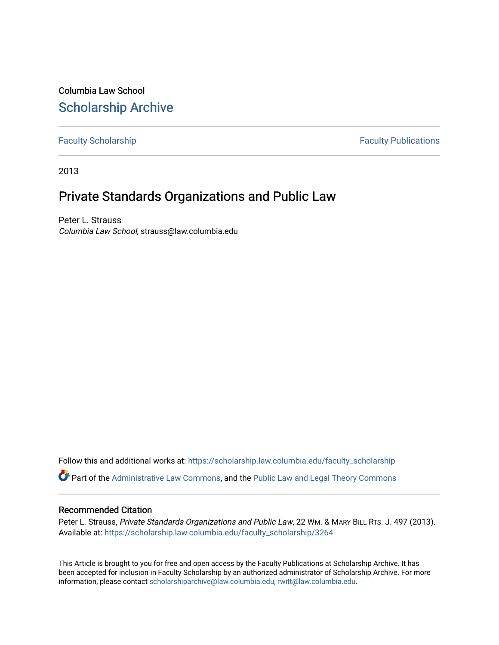Columbia Law School [Scholarship Archive](https://scholarship.law.columbia.edu/) 

[Faculty Scholarship](https://scholarship.law.columbia.edu/faculty_scholarship) **Faculty Scholarship Faculty Publications** 

2013

# Private Standards Organizations and Public Law

Peter L. Strauss Columbia Law School, strauss@law.columbia.edu

Follow this and additional works at: [https://scholarship.law.columbia.edu/faculty\\_scholarship](https://scholarship.law.columbia.edu/faculty_scholarship?utm_source=scholarship.law.columbia.edu%2Ffaculty_scholarship%2F3264&utm_medium=PDF&utm_campaign=PDFCoverPages)

Part of the [Administrative Law Commons,](http://network.bepress.com/hgg/discipline/579?utm_source=scholarship.law.columbia.edu%2Ffaculty_scholarship%2F3264&utm_medium=PDF&utm_campaign=PDFCoverPages) and the [Public Law and Legal Theory Commons](http://network.bepress.com/hgg/discipline/871?utm_source=scholarship.law.columbia.edu%2Ffaculty_scholarship%2F3264&utm_medium=PDF&utm_campaign=PDFCoverPages) 

# Recommended Citation

Peter L. Strauss, Private Standards Organizations and Public Law, 22 Wm. & MARY BILL RTS. J. 497 (2013). Available at: [https://scholarship.law.columbia.edu/faculty\\_scholarship/3264](https://scholarship.law.columbia.edu/faculty_scholarship/3264?utm_source=scholarship.law.columbia.edu%2Ffaculty_scholarship%2F3264&utm_medium=PDF&utm_campaign=PDFCoverPages)

This Article is brought to you for free and open access by the Faculty Publications at Scholarship Archive. It has been accepted for inclusion in Faculty Scholarship by an authorized administrator of Scholarship Archive. For more information, please contact [scholarshiparchive@law.columbia.edu, rwitt@law.columbia.edu](mailto:scholarshiparchive@law.columbia.edu,%20rwitt@law.columbia.edu).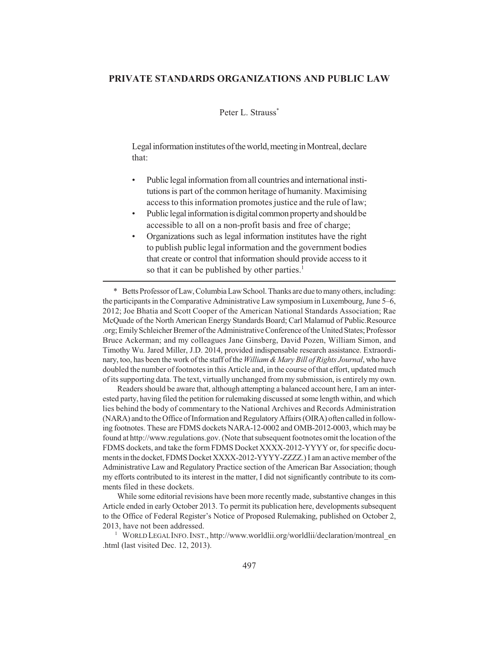# **PRIVATE STANDARDS ORGANIZATIONS AND PUBLIC LAW**

# Peter L. Strauss<sup>\*</sup>

Legal information institutes of the world, meeting in Montreal, declare that:

- Public legal information from all countries and international institutions is part of the common heritage of humanity. Maximising access to this information promotes justice and the rule of law;
- Public legal information is digital common property and should be accessible to all on a non-profit basis and free of charge;
- Organizations such as legal information institutes have the right to publish public legal information and the government bodies that create or control that information should provide access to it so that it can be published by other parties.<sup>1</sup>

\* Betts Professor of Law, Columbia Law School. Thanks are due to many others, including: the participants in the Comparative Administrative Law symposium in Luxembourg, June 5–6, 2012; Joe Bhatia and Scott Cooper of the American National Standards Association; Rae McQuade of the North American Energy Standards Board; Carl Malamud of Public.Resource .org; Emily Schleicher Bremer of the Administrative Conference of the United States; Professor Bruce Ackerman; and my colleagues Jane Ginsberg, David Pozen, William Simon, and Timothy Wu. Jared Miller, J.D. 2014, provided indispensable research assistance. Extraordinary, too, has been the work of the staff of the *William & Mary Bill of Rights Journal*, who have doubled the number of footnotes in this Article and, in the course of that effort, updated much of its supporting data. The text, virtually unchanged from my submission, is entirely my own.

Readers should be aware that, although attempting a balanced account here, I am an interested party, having filed the petition for rulemaking discussed at some length within, and which lies behind the body of commentary to the National Archives and Records Administration (NARA) and to the Office of Information and Regulatory Affairs (OIRA) often called in following footnotes. These are FDMS dockets NARA-12-0002 and OMB-2012-0003, which may be found at http://www.regulations.gov. (Note that subsequent footnotes omit the location of the FDMS dockets, and take the form FDMS Docket XXXX-2012-YYYY or, for specific documents in the docket, FDMS Docket XXXX-2012-YYYY-ZZZZ.) I am an active member of the Administrative Law and Regulatory Practice section of the American Bar Association; though my efforts contributed to its interest in the matter, I did not significantly contribute to its comments filed in these dockets.

While some editorial revisions have been more recently made, substantive changes in this Article ended in early October 2013. To permit its publication here, developments subsequent to the Office of Federal Register's Notice of Proposed Rulemaking, published on October 2, 2013, have not been addressed.

<sup>1</sup> WORLD LEGAL INFO. INST., http://www.worldlii.org/worldlii/declaration/montreal\_en .html (last visited Dec. 12, 2013).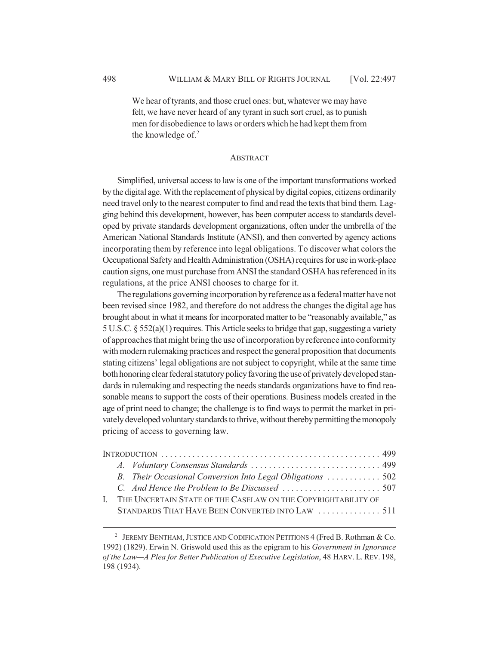We hear of tyrants, and those cruel ones: but, whatever we may have felt, we have never heard of any tyrant in such sort cruel, as to punish men for disobedience to laws or orders which he had kept them from the knowledge of. $2$ 

# ABSTRACT

Simplified, universal access to law is one of the important transformations worked by the digital age. With the replacement of physical by digital copies, citizens ordinarily need travel only to the nearest computer to find and read the texts that bind them. Lagging behind this development, however, has been computer access to standards developed by private standards development organizations, often under the umbrella of the American National Standards Institute (ANSI), and then converted by agency actions incorporating them by reference into legal obligations. To discover what colors the Occupational Safety and Health Administration (OSHA) requires for use in work-place caution signs, one must purchase from ANSI the standard OSHA has referenced in its regulations, at the price ANSI chooses to charge for it.

The regulations governing incorporation by reference as a federal matter have not been revised since 1982, and therefore do not address the changes the digital age has brought about in what it means for incorporated matter to be "reasonably available," as 5 U.S.C. § 552(a)(1) requires. This Article seeks to bridge that gap, suggesting a variety of approaches that might bring the use of incorporation by reference into conformity with modern rulemaking practices and respect the general proposition that documents stating citizens' legal obligations are not subject to copyright, while at the same time both honoring clear federal statutory policy favoring the use of privately developed standards in rulemaking and respecting the needs standards organizations have to find reasonable means to support the costs of their operations. Business models created in the age of print need to change; the challenge is to find ways to permit the market in privately developed voluntary standards to thrive, without thereby permitting the monopoly pricing of access to governing law.

|                                                                  | B. Their Occasional Conversion Into Legal Obligations  502 |  |  |
|------------------------------------------------------------------|------------------------------------------------------------|--|--|
|                                                                  |                                                            |  |  |
| I. THE UNCERTAIN STATE OF THE CASELAW ON THE COPYRIGHTABILITY OF |                                                            |  |  |
|                                                                  | STANDARDS THAT HAVE BEEN CONVERTED INTO LAW  511           |  |  |
|                                                                  |                                                            |  |  |

<sup>&</sup>lt;sup>2</sup> JEREMY BENTHAM, JUSTICE AND CODIFICATION PETITIONS 4 (Fred B. Rothman & Co. 1992) (1829). Erwin N. Griswold used this as the epigram to his *Government in Ignorance of the Law—A Plea for Better Publication of Executive Legislation*, 48 HARV. L. REV. 198, 198 (1934).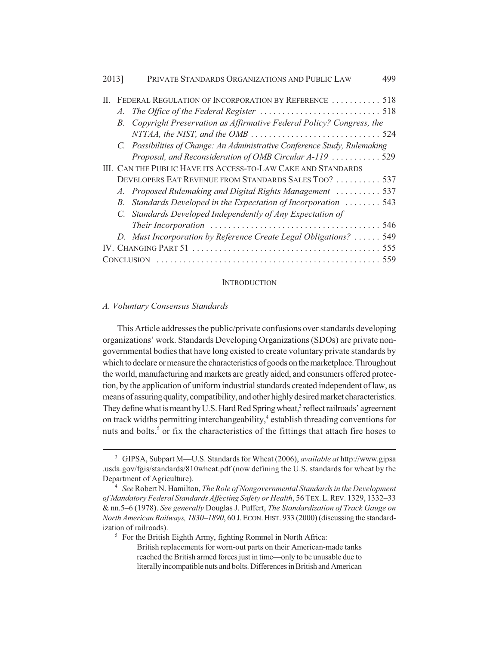| 2013] |                                                               | PRIVATE STANDARDS ORGANIZATIONS AND PUBLIC LAW                             | 499 |  |
|-------|---------------------------------------------------------------|----------------------------------------------------------------------------|-----|--|
|       |                                                               | II. FEDERAL REGULATION OF INCORPORATION BY REFERENCE  518                  |     |  |
|       | $A_{\cdot}$                                                   |                                                                            |     |  |
|       |                                                               | B. Copyright Preservation as Affirmative Federal Policy? Congress, the     |     |  |
|       |                                                               |                                                                            |     |  |
|       |                                                               | C. Possibilities of Change: An Administrative Conference Study, Rulemaking |     |  |
|       |                                                               | Proposal, and Reconsideration of OMB Circular A-119  529                   |     |  |
|       | III. CAN THE PUBLIC HAVE ITS ACCESS-TO-LAW CAKE AND STANDARDS |                                                                            |     |  |
|       |                                                               | DEVELOPERS EAT REVENUE FROM STANDARDS SALES TOO?  537                      |     |  |
|       |                                                               | A. Proposed Rulemaking and Digital Rights Management  537                  |     |  |
|       | $B_{-}$                                                       | Standards Developed in the Expectation of Incorporation  543               |     |  |
|       |                                                               | C. Standards Developed Independently of Any Expectation of                 |     |  |
|       |                                                               |                                                                            |     |  |
|       |                                                               | D. Must Incorporation by Reference Create Legal Obligations?  549          |     |  |
|       |                                                               |                                                                            |     |  |
|       |                                                               |                                                                            |     |  |

## **INTRODUCTION**

## *A. Voluntary Consensus Standards*

This Article addresses the public/private confusions over standards developing organizations' work. Standards Developing Organizations (SDOs) are private nongovernmental bodies that have long existed to create voluntary private standards by which to declare or measure the characteristics of goods on the marketplace. Throughout the world, manufacturing and markets are greatly aided, and consumers offered protection, by the application of uniform industrial standards created independent of law, as means of assuring quality, compatibility, and other highly desired market characteristics. They define what is meant by U.S. Hard Red Spring wheat,<sup>3</sup> reflect railroads' agreement on track widths permitting interchangeability,<sup>4</sup> establish threading conventions for nuts and bolts,<sup>5</sup> or fix the characteristics of the fittings that attach fire hoses to

<sup>5</sup> For the British Eighth Army, fighting Rommel in North Africa:

British replacements for worn-out parts on their American-made tanks reached the British armed forces just in time—only to be unusable due to literally incompatible nuts and bolts. Differences in British and American

<sup>3</sup> GIPSA, Subpart M—U.S. Standards for Wheat (2006), *available at* http://www.gipsa .usda.gov/fgis/standards/810wheat.pdf (now defining the U.S. standards for wheat by the Department of Agriculture).

<sup>4</sup> *See* Robert N. Hamilton, *The Role of Nongovernmental Standards in the Development of Mandatory Federal Standards Affecting Safety or Health*, 56 TEX.L.REV. 1329, 1332–33 & nn.5–6 (1978). *See generally* Douglas J. Puffert, *The Standardization of Track Gauge on North American Railways, 1830–1890*, 60 J.ECON.HIST. 933 (2000) (discussing the standardization of railroads).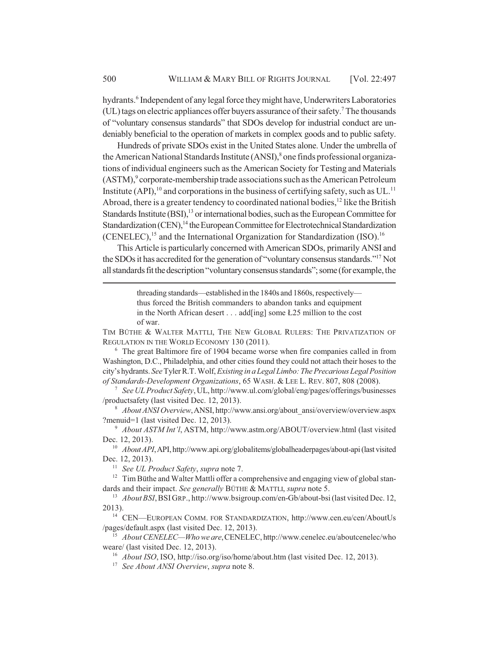hydrants.<sup>6</sup> Independent of any legal force they might have, Underwriters Laboratories (UL) tags on electric appliances offer buyers assurance of their safety.7 The thousands of "voluntary consensus standards" that SDOs develop for industrial conduct are undeniably beneficial to the operation of markets in complex goods and to public safety.

Hundreds of private SDOs exist in the United States alone. Under the umbrella of the American National Standards Institute (ANSI),<sup>8</sup> one finds professional organizations of individual engineers such as the American Society for Testing and Materials (ASTM),<sup>9</sup> corporate-membership trade associations such as the American Petroleum Institute (API),<sup>10</sup> and corporations in the business of certifying safety, such as  $UL$ <sup>11</sup> Abroad, there is a greater tendency to coordinated national bodies,  $^{12}$  like the British Standards Institute  $(BSI)$ ,<sup>13</sup> or international bodies, such as the European Committee for Standardization (CEN),<sup>14</sup> the European Committee for Electrotechnical Standardization (CENELEC),<sup>15</sup> and the International Organization for Standardization (ISO).<sup>16</sup>

This Article is particularly concerned with American SDOs, primarily ANSI and the SDOs it has accredited for the generation of "voluntary consensus standards."17 Not all standards fit the description "voluntary consensus standards"; some (for example, the

> threading standards—established in the 1840s and 1860s, respectively thus forced the British commanders to abandon tanks and equipment in the North African desert . . . add [ing] some  $L25$  million to the cost of war.

TIM BÜTHE & WALTER MATTLI, THE NEW GLOBAL RULERS: THE PRIVATIZATION OF REGULATION IN THE WORLD ECONOMY 130 (2011).

<sup>6</sup> The great Baltimore fire of 1904 became worse when fire companies called in from Washington, D.C., Philadelphia, and other cities found they could not attach their hoses to the city's hydrants. *See* Tyler R.T. Wolf, *Existing in a Legal Limbo: The Precarious Legal Position of Standards-Development Organizations*, 65 WASH. & LEE L. REV. 807, 808 (2008).

<sup>7</sup> *See UL Product Safety*, UL, http://www.ul.com/global/eng/pages/offerings/businesses /productsafety (last visited Dec. 12, 2013).

<sup>8</sup> *About ANSI Overview*,ANSI, http://www.ansi.org/about\_ansi/overview/overview.aspx ?menuid=1 (last visited Dec. 12, 2013).

<sup>9</sup> *About ASTM Int'l*, ASTM, http://www.astm.org/ABOUT/overview.html (last visited Dec. 12, 2013).

<sup>10</sup> *About API*, API, http://www.api.org/globalitems/globalheaderpages/about-api (last visited Dec. 12, 2013).

<sup>11</sup> *See UL Product Safety*, *supra* note 7.

<sup>12</sup> Tim Büthe and Walter Mattli offer a comprehensive and engaging view of global standards and their impact. *See generally* BÜTHE & MATTLI, *supra* note 5.

<sup>13</sup> *About BSI*,BSIGRP., http://www.bsigroup.com/en-Gb/about-bsi (last visited Dec. 12, 2013).

<sup>14</sup> CEN—EUROPEAN COMM. FOR STANDARDIZATION, http://www.cen.eu/cen/AboutUs /pages/default.aspx (last visited Dec. 12, 2013).

<sup>15</sup> *About CENELEC—Who we are*,CENELEC, http://www.cenelec.eu/aboutcenelec/who weare/ (last visited Dec. 12, 2013).

<sup>16</sup> *About ISO*, ISO, http://iso.org/iso/home/about.htm (last visited Dec. 12, 2013).

<sup>17</sup> *See About ANSI Overview*, *supra* note 8.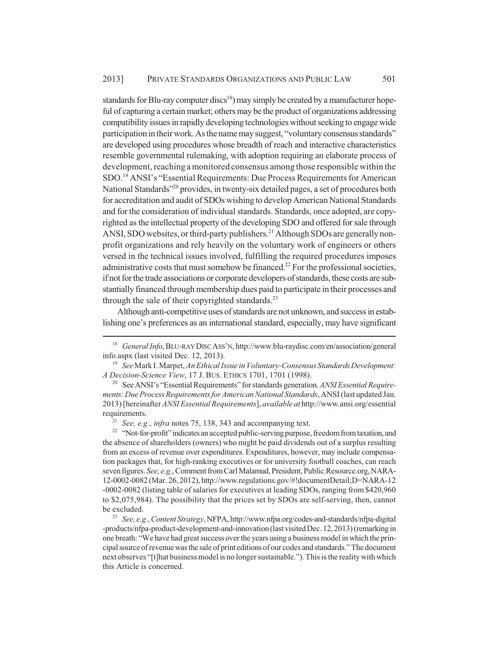standards for Blu-ray computer discs<sup>18</sup>) may simply be created by a manufacturer hopeful of capturing a certain market; others may be the product of organizations addressing compatibility issues in rapidly developing technologies without seeking to engage wide participation in their work. As the name may suggest, "voluntary consensus standards" are developed using procedures whose breadth of reach and interactive characteristics resemble governmental rulemaking, with adoption requiring an elaborate process of development, reaching a monitored consensus among those responsible within the SDO.19 ANSI's "Essential Requirements: Due Process Requirements for American National Standards"20 provides, in twenty-six detailed pages, a set of procedures both for accreditation and audit of SDOs wishing to develop American National Standards and for the consideration of individual standards. Standards, once adopted, are copyrighted as the intellectual property of the developing SDO and offered for sale through ANSI, SDO websites, or third-party publishers.<sup>21</sup> Although SDOs are generally nonprofit organizations and rely heavily on the voluntary work of engineers or others versed in the technical issues involved, fulfilling the required procedures imposes administrative costs that must somehow be financed.<sup>22</sup> For the professional societies, if not for the trade associations or corporate developers of standards, these costs are substantially financed through membership dues paid to participate in their processes and through the sale of their copyrighted standards. $^{23}$ 

Although anti-competitive uses of standards are not unknown, and success in establishing one's preferences as an international standard, especially, may have significant

<sup>18</sup> *General Info*,BLU-RAY DISC ASS'N, http://www.blu-raydisc.com/en/association/general info.aspx (last visited Dec. 12, 2013).

<sup>19</sup> *See* Mark I. Marpet, *An Ethical Issue in Voluntary-Consensus Standards Development: A Decision-Science View*, 17 J. BUS. ETHICS 1701, 1701 (1998).

<sup>20</sup> See ANSI's "Essential Requirements" for standards generation. *ANSI Essential Requirements: Due Process Requirements for American National Standards*, ANSI (last updated Jan. 2013) [hereinafter *ANSI Essential Requirements*], *available at* http://www.ansi.org/essential requirements.

<sup>21</sup> *See, e.g.*, *infra* notes 75, 138, 343 and accompanying text.

<sup>&</sup>lt;sup>22</sup> "Not-for-profit" indicates an accepted public-serving purpose, freedom from taxation, and the absence of shareholders (owners) who might be paid dividends out of a surplus resulting from an excess of revenue over expenditures. Expenditures, however, may include compensation packages that, for high-ranking executives or for university football coaches, can reach seven figures. *See, e.g.*, Comment from Carl Malamud, President, Public.Resource.org, NARA-12-0002-0082 (Mar. 26, 2012), http://www.regulations.gov/#!documentDetail;D=NARA-12 -0002-0082 (listing table of salaries for executives at leading SDOs, ranging from \$420,960 to \$2,075,984). The possibility that the prices set by SDOs are self-serving, then, cannot be excluded.

<sup>23</sup> *See, e.g.*, *Content Strategy*, NFPA, http://www.nfpa.org/codes-and-standards/nfpa-digital -products/nfpa-product-development-and-innovation (last visited Dec. 12, 2013) (remarking in one breath: "We have had great success over the years using a business model in which the principal source of revenue was the sale of print editions of our codes and standards." The document next observes "[t]hat business model is no longer sustainable."). This is the reality with which this Article is concerned.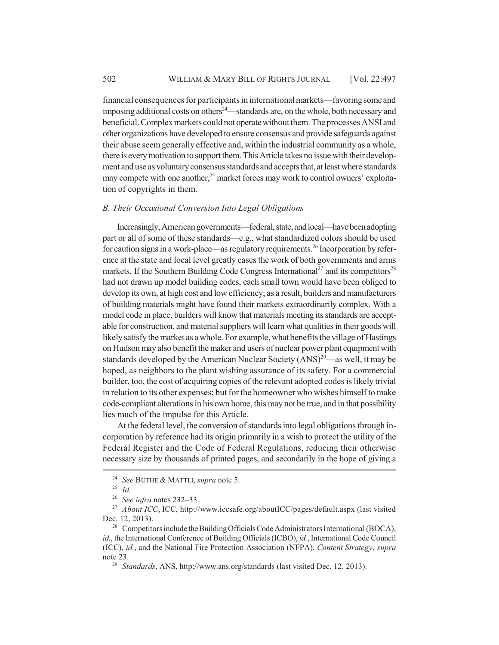financial consequences for participants in international markets—favoring some and imposing additional costs on others<sup>24</sup>—standards are, on the whole, both necessary and beneficial. Complex markets could not operate without them. The processes ANSI and other organizations have developed to ensure consensus and provide safeguards against their abuse seem generally effective and, within the industrial community as a whole, there is every motivation to support them. This Article takes no issue with their development and use as voluntary consensus standards and accepts that, at least where standards may compete with one another, $25$  market forces may work to control owners' exploitation of copyrights in them.

#### *B. Their Occasional Conversion Into Legal Obligations*

Increasingly, American governments—federal, state, and local—have been adopting part or all of some of these standards—e.g., what standardized colors should be used for caution signs in a work-place—as regulatory requirements.<sup>26</sup> Incorporation by reference at the state and local level greatly eases the work of both governments and arms markets. If the Southern Building Code Congress International<sup>27</sup> and its competitors<sup>28</sup> had not drawn up model building codes, each small town would have been obliged to develop its own, at high cost and low efficiency; as a result, builders and manufacturers of building materials might have found their markets extraordinarily complex. With a model code in place, builders will know that materials meeting its standards are acceptable for construction, and material suppliers will learn what qualities in their goods will likely satisfy the market as a whole. For example, what benefits the village of Hastings on Hudson may also benefit the maker and users of nuclear power plant equipment with standards developed by the American Nuclear Society  $(ANS)^{29}$ —as well, it may be hoped, as neighbors to the plant wishing assurance of its safety. For a commercial builder, too, the cost of acquiring copies of the relevant adopted codes is likely trivial in relation to its other expenses; but for the homeowner who wishes himself to make code-compliant alterations in his own home, this may not be true, and in that possibility lies much of the impulse for this Article.

At the federal level, the conversion of standards into legal obligations through incorporation by reference had its origin primarily in a wish to protect the utility of the Federal Register and the Code of Federal Regulations, reducing their otherwise necessary size by thousands of printed pages, and secondarily in the hope of giving a

<sup>24</sup> *See* BÜTHE & MATTLI, *supra* note 5.

<sup>25</sup> *Id.*

<sup>26</sup> *See infra* notes 232–33.

<sup>&</sup>lt;sup>27</sup> *About ICC*, ICC, http://www.iccsafe.org/aboutICC/pages/default.aspx (last visited Dec. 12, 2013).

<sup>&</sup>lt;sup>28</sup> Competitors include the Building Officials Code Administrators International (BOCA), *id.*, the International Conference of Building Officials (ICBO), *id.*, International Code Council (ICC), *id.*, and the National Fire Protection Association (NFPA), *Content Strategy*, *supra* note 23.

<sup>29</sup> *Standards*, ANS, http://www.ans.org/standards (last visited Dec. 12, 2013).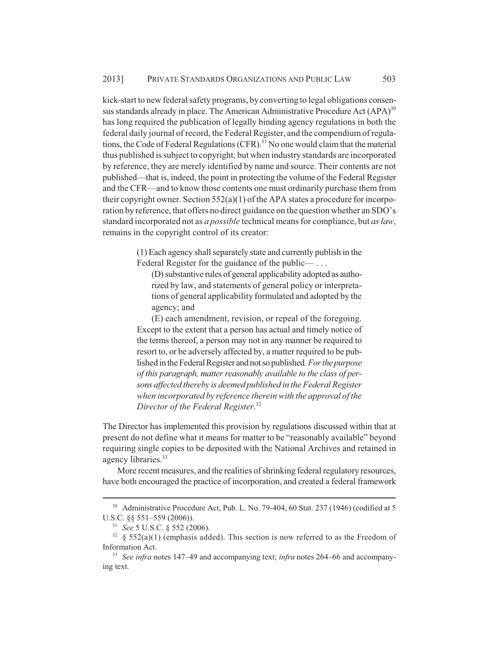kick-start to new federal safety programs, by converting to legal obligations consensus standards already in place. The American Administrative Procedure Act  $(APA)^{30}$ has long required the publication of legally binding agency regulations in both the federal daily journal of record, the Federal Register, and the compendium of regulations, the Code of Federal Regulations  $(CFR)$ .<sup>31</sup> No one would claim that the material thus published is subject to copyright; but when industry standards are incorporated by reference, they are merely identified by name and source. Their contents are not published—that is, indeed, the point in protecting the volume of the Federal Register and the CFR—and to know those contents one must ordinarily purchase them from their copyright owner. Section  $552(a)(1)$  of the APA states a procedure for incorporation by reference, that offers no direct guidance on the question whether an SDO's standard incorporated not as *a possible* technical means for compliance, but *as law*, remains in the copyright control of its creator:

> (1) Each agency shall separately state and currently publish in the Federal Register for the guidance of the public— ...

(D) substantive rules of general applicability adopted as authorized by law, and statements of general policy or interpretations of general applicability formulated and adopted by the agency; and

(E) each amendment, revision, or repeal of the foregoing. Except to the extent that a person has actual and timely notice of the terms thereof, a person may not in any manner be required to resort to, or be adversely affected by, a matter required to be published in the Federal Register and not so published. *For the purpose of this paragraph, matter reasonably available to the class of persons affected thereby is deemed published in the Federal Register when incorporated by reference therein with the approval of the Director of the Federal Register*. 32

The Director has implemented this provision by regulations discussed within that at present do not define what it means for matter to be "reasonably available" beyond requiring single copies to be deposited with the National Archives and retained in agency libraries.<sup>33</sup>

More recent measures, and the realities of shrinking federal regulatory resources, have both encouraged the practice of incorporation, and created a federal framework

<sup>&</sup>lt;sup>30</sup> Administrative Procedure Act, Pub. L. No. 79-404, 60 Stat. 237 (1946) (codified at 5 U.S.C. §§ 551–559 (2006)).

<sup>31</sup> *See* 5 U.S.C. § 552 (2006).

 $32 \& 552(a)(1)$  (emphasis added). This section is now referred to as the Freedom of Information Act.

<sup>33</sup> *See infra* notes 147–49 and accompanying text; *infra* notes 264–66 and accompanying text.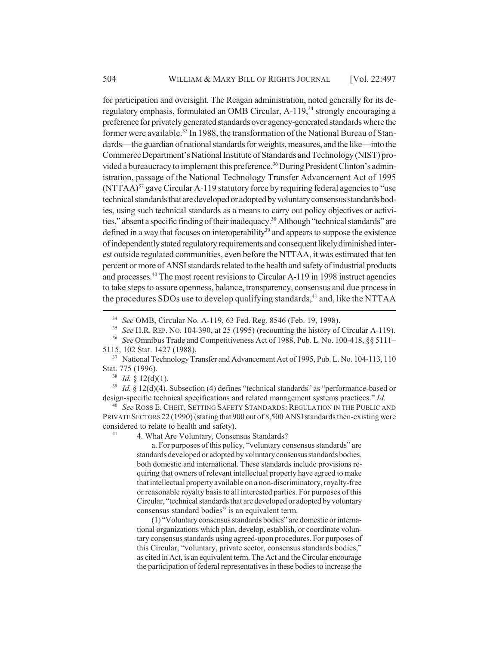for participation and oversight. The Reagan administration, noted generally for its deregulatory emphasis, formulated an OMB Circular, A-119,<sup>34</sup> strongly encouraging a preference for privately generated standards over agency-generated standards where the former were available.<sup>35</sup> In 1988, the transformation of the National Bureau of Standards—the guardian of national standards for weights, measures, and the like—into the Commerce Department's National Institute of Standards and Technology (NIST) provided a bureaucracy to implement this preference.<sup>36</sup> During President Clinton's administration, passage of the National Technology Transfer Advancement Act of 1995  $(NTTAA)^{37}$  gave Circular A-119 statutory force by requiring federal agencies to "use technical standards that are developed or adopted by voluntary consensus standards bodies, using such technical standards as a means to carry out policy objectives or activities," absent a specific finding of their inadequacy.<sup>38</sup> Although "technical standards" are defined in a way that focuses on interoperability<sup>39</sup> and appears to suppose the existence of independently stated regulatory requirements and consequent likely diminished interest outside regulated communities, even before the NTTAA, it was estimated that ten percent or more of ANSI standards related to the health and safety of industrial products and processes.<sup>40</sup> The most recent revisions to Circular A-119 in 1998 instruct agencies to take steps to assure openness, balance, transparency, consensus and due process in the procedures SDOs use to develop qualifying standards,<sup>41</sup> and, like the NTTAA

 $38$  *Id.* § 12(d)(1).

<sup>39</sup> *Id.* § 12(d)(4). Subsection (4) defines "technical standards" as "performance-based or design-specific technical specifications and related management systems practices." *Id.*

<sup>40</sup> *See* ROSS E. CHEIT, SETTING SAFETY STANDARDS: REGULATION IN THE PUBLIC AND PRIVATE SECTORS 22 (1990) (stating that 900 out of 8,500 ANSI standards then-existing were considered to relate to health and safety).<br> $\frac{41}{4}$  Mbat Are Valuetary Conserved.

4. What Are Voluntary, Consensus Standards?

a. For purposes of this policy, "voluntary consensus standards" are standards developed or adopted by voluntary consensus standards bodies, both domestic and international. These standards include provisions requiring that owners of relevant intellectual property have agreed to make that intellectual property available on a non-discriminatory, royalty-free or reasonable royalty basis to all interested parties. For purposes of this Circular, "technical standards that are developed or adopted by voluntary consensus standard bodies" is an equivalent term.

(1) "Voluntary consensus standards bodies" are domestic or international organizations which plan, develop, establish, or coordinate voluntary consensus standards using agreed-upon procedures. For purposes of this Circular, "voluntary, private sector, consensus standards bodies," as cited in Act, is an equivalent term. The Act and the Circular encourage the participation of federal representatives in these bodies to increase the

<sup>34</sup> *See* OMB, Circular No. A-119, 63 Fed. Reg. 8546 (Feb. 19, 1998).

<sup>35</sup> *See* H.R. REP. NO. 104-390, at 25 (1995) (recounting the history of Circular A-119).

<sup>36</sup> *See* Omnibus Trade and Competitiveness Act of 1988, Pub. L. No. 100-418, §§ 5111– 5115, 102 Stat. 1427 (1988).

<sup>&</sup>lt;sup>37</sup> National Technology Transfer and Advancement Act of 1995, Pub. L. No. 104-113, 110 Stat. 775 (1996).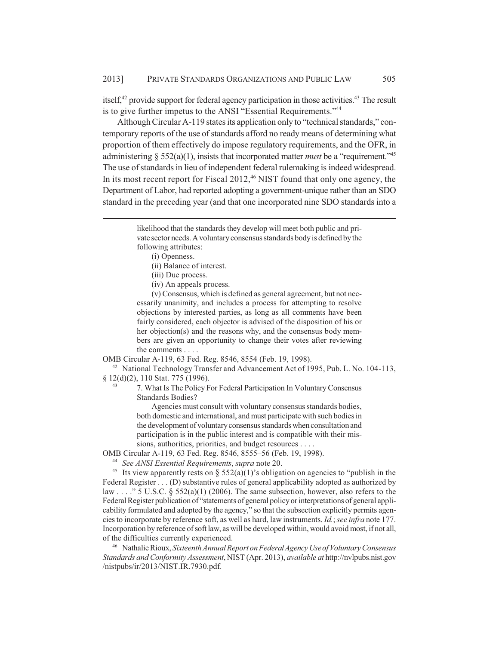itself, $42$  provide support for federal agency participation in those activities. $43$  The result is to give further impetus to the ANSI "Essential Requirements."44

Although Circular A-119 states its application only to "technical standards," contemporary reports of the use of standards afford no ready means of determining what proportion of them effectively do impose regulatory requirements, and the OFR, in administering § 552(a)(1), insists that incorporated matter *must* be a "requirement."45 The use of standards in lieu of independent federal rulemaking is indeed widespread. In its most recent report for Fiscal  $2012<sup>46</sup>$  NIST found that only one agency, the Department of Labor, had reported adopting a government-unique rather than an SDO standard in the preceding year (and that one incorporated nine SDO standards into a

(i) Openness.

- (ii) Balance of interest.
- (iii) Due process.
- (iv) An appeals process.

(v) Consensus, which is defined as general agreement, but not necessarily unanimity, and includes a process for attempting to resolve objections by interested parties, as long as all comments have been fairly considered, each objector is advised of the disposition of his or her objection(s) and the reasons why, and the consensus body members are given an opportunity to change their votes after reviewing the comments . . . .

OMB Circular A-119, 63 Fed. Reg. 8546, 8554 (Feb. 19, 1998).

<sup>42</sup> National Technology Transfer and Advancement Act of 1995, Pub. L. No. 104-113, § 12(d)(2), 110 Stat. 775 (1996).

> <sup>43</sup> 7. What Is The Policy For Federal Participation In Voluntary Consensus Standards Bodies?

Agencies must consult with voluntary consensus standards bodies, both domestic and international, and must participate with such bodies in the development of voluntary consensus standards when consultation and participation is in the public interest and is compatible with their missions, authorities, priorities, and budget resources . . . .

OMB Circular A-119, 63 Fed. Reg. 8546, 8555–56 (Feb. 19, 1998).

<sup>44</sup> *See ANSI Essential Requirements*, *supra* note 20.

<sup>45</sup> Its view apparently rests on § 552(a)(1)'s obligation on agencies to "publish in the Federal Register . . . (D) substantive rules of general applicability adopted as authorized by law . . . ." 5 U.S.C. § 552(a)(1) (2006). The same subsection, however, also refers to the Federal Register publication of "statements of general policy or interpretations of general applicability formulated and adopted by the agency," so that the subsection explicitly permits agencies to incorporate by reference soft, as well as hard, law instruments. *Id.*; *see infra* note 177. Incorporation by reference of soft law, as will be developed within, would avoid most, if not all, of the difficulties currently experienced.

<sup>46</sup> Nathalie Rioux, *Sixteenth Annual Report on Federal Agency Use of Voluntary Consensus Standards and Conformity Assessment*, NIST (Apr. 2013), *available at* http://nvlpubs.nist.gov /nistpubs/ir/2013/NIST.IR.7930.pdf.

likelihood that the standards they develop will meet both public and private sector needs. A voluntary consensus standards body is defined by the following attributes: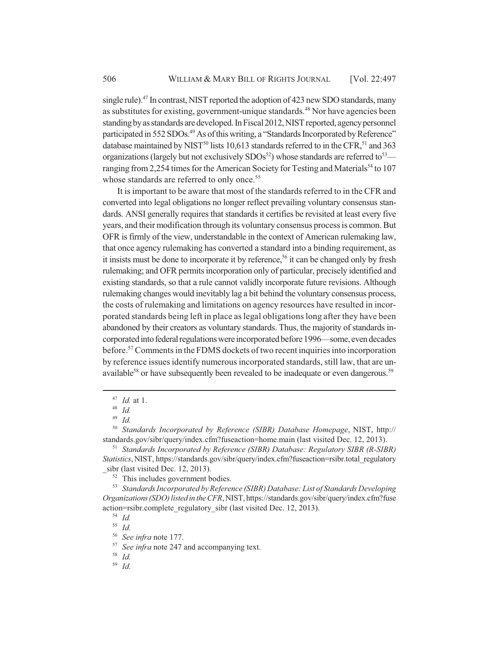single rule).<sup>47</sup> In contrast, NIST reported the adoption of 423 new SDO standards, many as substitutes for existing, government-unique standards.<sup>48</sup> Nor have agencies been standing by as standards are developed. In Fiscal 2012, NIST reported, agency personnel participated in 552 SDOs.<sup>49</sup> As of this writing, a "Standards Incorporated by Reference" database maintained by NIST<sup>50</sup> lists 10,613 standards referred to in the CFR,<sup>51</sup> and 363 organizations (largely but not exclusively  $SDOs<sup>52</sup>$ ) whose standards are referred to<sup>53</sup> ranging from 2,254 times for the American Society for Testing and Materials<sup>54</sup> to 107 whose standards are referred to only once.<sup>55</sup>

It is important to be aware that most of the standards referred to in the CFR and converted into legal obligations no longer reflect prevailing voluntary consensus standards. ANSI generally requires that standards it certifies be revisited at least every five years, and their modification through its voluntary consensus process is common. But OFR is firmly of the view, understandable in the context of American rulemaking law, that once agency rulemaking has converted a standard into a binding requirement, as it insists must be done to incorporate it by reference,<sup>56</sup> it can be changed only by fresh rulemaking; and OFR permits incorporation only of particular, precisely identified and existing standards, so that a rule cannot validly incorporate future revisions. Although rulemaking changes would inevitably lag a bit behind the voluntary consensus process, the costs of rulemaking and limitations on agency resources have resulted in incorporated standards being left in place as legal obligations long after they have been abandoned by their creators as voluntary standards. Thus, the majority of standards incorporated into federal regulations were incorporated before 1996—some, even decades before.57 Comments in the FDMS dockets of two recent inquiries into incorporation by reference issues identify numerous incorporated standards, still law, that are unavailable<sup>58</sup> or have subsequently been revealed to be inadequate or even dangerous.<sup>59</sup>

<sup>50</sup> *Standards Incorporated by Reference (SIBR) Database Homepage*, NIST, http:// standards.gov/sibr/query/index.cfm?fuseaction=home.main (last visited Dec. 12, 2013).

<sup>51</sup> *Standards Incorporated by Reference (SIBR) Database: Regulatory SIBR (R-SIBR) Statistics*, NIST, https://standards.gov/sibr/query/index.cfm?fuseaction=rsibr.total\_regulatory sibr (last visited Dec. 12, 2013).

<sup>52</sup> This includes government bodies.

<sup>53</sup> *Standards Incorporated by Reference (SIBR) Database: List of Standards Developing Organizations (SDO) listed in the CFR*, NIST, https://standards.gov/sibr/query/index.cfm?fuse action=rsibr.complete\_regulatory\_sibr (last visited Dec. 12, 2013).

<sup>54</sup> *Id.* <sup>55</sup> *Id.*

<sup>56</sup> *See infra* note 177.

<sup>57</sup> *See infra* note 247 and accompanying text.

<sup>59</sup> *Id.*

<sup>47</sup> *Id.* at 1.

<sup>48</sup> *Id.*

<sup>49</sup> *Id.*

<sup>58</sup> *Id.*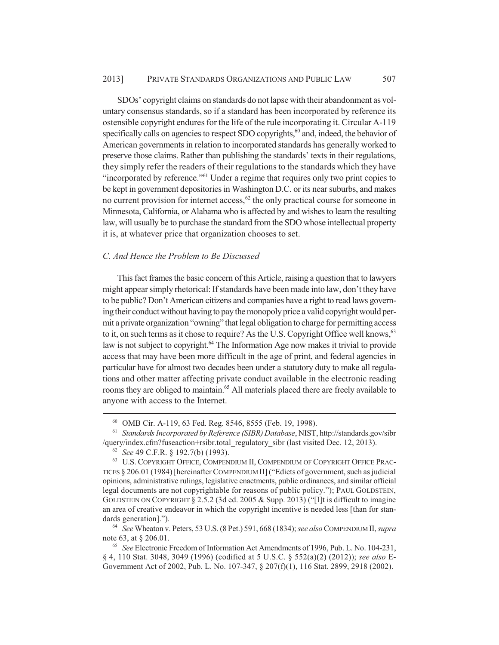SDOs' copyright claims on standards do not lapse with their abandonment as voluntary consensus standards, so if a standard has been incorporated by reference its ostensible copyright endures for the life of the rule incorporating it. Circular A-119 specifically calls on agencies to respect SDO copyrights,<sup>60</sup> and, indeed, the behavior of American governments in relation to incorporated standards has generally worked to preserve those claims. Rather than publishing the standards' texts in their regulations, they simply refer the readers of their regulations to the standards which they have "incorporated by reference."61 Under a regime that requires only two print copies to be kept in government depositories in Washington D.C. or its near suburbs, and makes no current provision for internet access, $62$  the only practical course for someone in Minnesota, California, or Alabama who is affected by and wishes to learn the resulting law, will usually be to purchase the standard from the SDO whose intellectual property it is, at whatever price that organization chooses to set.

## *C. And Hence the Problem to Be Discussed*

This fact frames the basic concern of this Article, raising a question that to lawyers might appear simply rhetorical: If standards have been made into law, don't they have to be public? Don't American citizens and companies have a right to read laws governing their conduct without having to pay the monopoly price a valid copyright would permit a private organization "owning" that legal obligation to charge for permitting access to it, on such terms as it chose to require? As the U.S. Copyright Office well knows,<sup>63</sup> law is not subject to copyright.<sup>64</sup> The Information Age now makes it trivial to provide access that may have been more difficult in the age of print, and federal agencies in particular have for almost two decades been under a statutory duty to make all regulations and other matter affecting private conduct available in the electronic reading rooms they are obliged to maintain.<sup>65</sup> All materials placed there are freely available to anyone with access to the Internet.

<sup>60</sup> OMB Cir. A-119, 63 Fed. Reg. 8546, 8555 (Feb. 19, 1998).

<sup>61</sup> *Standards Incorporated by Reference (SIBR) Database*, NIST, http://standards.gov/sibr /query/index.cfm?fuseaction+rsibr.total\_regulatory\_sibr (last visited Dec. 12, 2013).

<sup>62</sup> *See* 49 C.F.R. § 192.7(b) (1993).

<sup>63</sup> U.S. COPYRIGHT OFFICE, COMPENDIUM II, COMPENDIUM OF COPYRIGHT OFFICE PRAC-TICES § 206.01 (1984) [hereinafter COMPENDIUM II] ("Edicts of government, such as judicial opinions, administrative rulings, legislative enactments, public ordinances, and similar official legal documents are not copyrightable for reasons of public policy."); PAUL GOLDSTEIN, GOLDSTEIN ON COPYRIGHT § 2.5.2 (3d ed. 2005 & Supp. 2013) ("[I]t is difficult to imagine an area of creative endeavor in which the copyright incentive is needed less [than for standards generation].").

<sup>64</sup> *See* Wheaton v. Peters, 53 U.S. (8 Pet.) 591, 668 (1834); *see also* COMPENDIUM II, *supra* note 63, at § 206.01.

<sup>65</sup> *See* Electronic Freedom of Information Act Amendments of 1996, Pub. L. No. 104-231, § 4, 110 Stat. 3048, 3049 (1996) (codified at 5 U.S.C. § 552(a)(2) (2012)); *see also* E-Government Act of 2002, Pub. L. No. 107-347, § 207(f)(1), 116 Stat. 2899, 2918 (2002).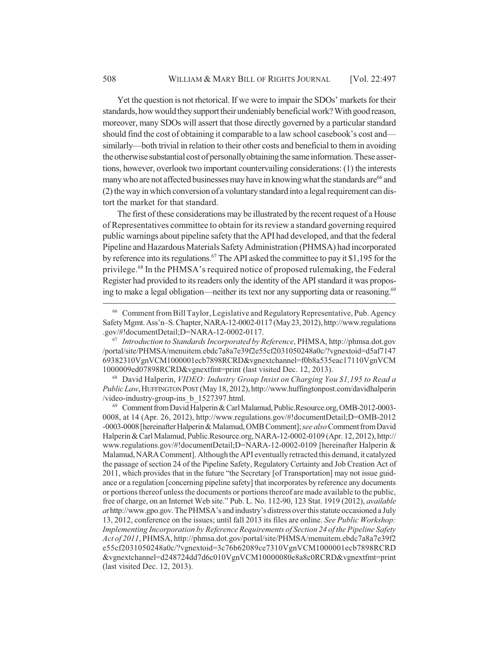Yet the question is not rhetorical. If we were to impair the SDOs' markets for their standards, how would they support their undeniably beneficial work? With good reason, moreover, many SDOs will assert that those directly governed by a particular standard should find the cost of obtaining it comparable to a law school casebook's cost and similarly—both trivial in relation to their other costs and beneficial to them in avoiding the otherwise substantial cost of personally obtaining the same information. These assertions, however, overlook two important countervailing considerations: (1) the interests many who are not affected businesses may have in knowing what the standards are<sup>66</sup> and (2) the way in which conversion of a voluntary standard into a legal requirement can distort the market for that standard.

The first of these considerations may be illustrated by the recent request of a House of Representatives committee to obtain for its review a standard governing required public warnings about pipeline safety that the API had developed, and that the federal Pipeline and Hazardous Materials Safety Administration (PHMSA) had incorporated by reference into its regulations.<sup>67</sup> The API asked the committee to pay it \$1,195 for the privilege.68 In the PHMSA's required notice of proposed rulemaking, the Federal Register had provided to its readers only the identity of the API standard it was proposing to make a legal obligation—neither its text nor any supporting data or reasoning.<sup>69</sup>

<sup>68</sup> David Halperin, *VIDEO: Industry Group Insist on Charging You \$1,195 to Read a Public Law*, HUFFINGTON POST (May 18, 2012), http://www.huffingtonpost.com/davidhalperin /video-industry-group-ins\_b\_1527397.html.

<sup>69</sup> Comment from David Halperin & Carl Malamud, Public.Resource.org, OMB-2012-0003- 0008, at 14 (Apr. 26, 2012), http://www.regulations.gov/#!documentDetail;D=OMB-2012 -0003-0008 [hereinafter Halperin & Malamud, OMB Comment]; *see also* Comment from David Halperin & Carl Malamud, Public.Resource.org, NARA-12-0002-0109 (Apr. 12, 2012), http:// www.regulations.gov/#!documentDetail;D=NARA-12-0002-0109 [hereinafter Halperin & Malamud, NARA Comment]. Although the API eventually retracted this demand, it catalyzed the passage of section 24 of the Pipeline Safety, Regulatory Certainty and Job Creation Act of 2011, which provides that in the future "the Secretary [of Transportation] may not issue guidance or a regulation [concerning pipeline safety] that incorporates by reference any documents or portions thereof unless the documents or portions thereof are made available to the public, free of charge, on an Internet Web site." Pub. L. No. 112-90, 123 Stat. 1919 (2012), *available at* http://www.gpo.gov. The PHMSA's and industry's distress over this statute occasioned a July 13, 2012, conference on the issues; until fall 2013 its files are online. *See Public Workshop: Implementing Incorporation by Reference Requirements of Section 24 of the Pipeline Safety Act of 2011*, PHMSA, http://phmsa.dot.gov/portal/site/PHMSA/menuitem.ebdc7a8a7e39f2 e55cf2031050248a0c/?vgnextoid=3c76b62089ce7310VgnVCM1000001ecb7898RCRD &vgnextchannel=d248724dd7d6c010VgnVCM10000080e8a8c0RCRD&vgnextfmt=print (last visited Dec. 12, 2013).

<sup>66</sup> Comment from Bill Taylor, Legislative and Regulatory Representative, Pub. Agency Safety Mgmt. Ass'n–S. Chapter, NARA-12-0002-0117 (May 23, 2012), http://www.regulations .gov/#!documentDetail;D=NARA-12-0002-0117.

<sup>67</sup> *Introduction to Standards Incorporated by Reference*, PHMSA, http://phmsa.dot.gov /portal/site/PHMSA/menuitem.ebdc7a8a7e39f2e55cf2031050248a0c/?vgnextoid=d5af7147 69382310VgnVCM1000001ecb7898RCRD&vgnextchannel=f0b8a535eac17110VgnVCM 1000009ed07898RCRD&vgnextfmt=print (last visited Dec. 12, 2013).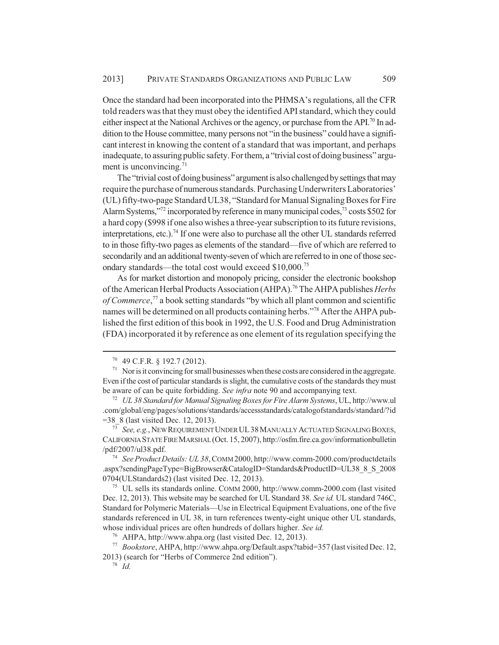Once the standard had been incorporated into the PHMSA's regulations, all the CFR told readers was that they must obey the identified API standard, which they could either inspect at the National Archives or the agency, or purchase from the API.<sup>70</sup> In addition to the House committee, many persons not "in the business" could have a significant interest in knowing the content of a standard that was important, and perhaps inadequate, to assuring public safety. For them, a "trivial cost of doing business" argument is unconvincing. $71$ 

The "trivial cost of doing business" argument is also challenged by settings that may require the purchase of numerous standards. Purchasing Underwriters Laboratories' (UL) fifty-two-page Standard UL38, "Standard for Manual Signaling Boxes for Fire Alarm Systems,"<sup>72</sup> incorporated by reference in many municipal codes,<sup>73</sup> costs \$502 for a hard copy (\$998 if one also wishes a three-year subscription to its future revisions, interpretations, etc.).<sup>74</sup> If one were also to purchase all the other UL standards referred to in those fifty-two pages as elements of the standard—five of which are referred to secondarily and an additional twenty-seven of which are referred to in one of those secondary standards—the total cost would exceed \$10,000.75

As for market distortion and monopoly pricing, consider the electronic bookshop of the American Herbal Products Association (AHPA).76 The AHPA publishes *Herbs* of Commerce,<sup>77</sup> a book setting standards "by which all plant common and scientific names will be determined on all products containing herbs."78 After the AHPA published the first edition of this book in 1992, the U.S. Food and Drug Administration (FDA) incorporated it by reference as one element of its regulation specifying the

<sup>73</sup> *See, e.g.*, NEW REQUIREMENT UNDER UL38MANUALLY ACTUATED SIGNALING BOXES, CALIFORNIA STATE FIRE MARSHAL (Oct. 15, 2007), http://osfm.fire.ca.gov/informationbulletin /pdf/2007/ul38.pdf.

<sup>74</sup> *See Product Details: UL 38*, COMM 2000, http://www.comm-2000.com/productdetails .aspx?sendingPageType=BigBrowser&CatalogID=Standards&ProductID=UL38\_8\_S\_2008 0704(ULStandards2) (last visited Dec. 12, 2013).

<sup>75</sup> UL sells its standards online. COMM 2000, http://www.comm-2000.com (last visited Dec. 12, 2013). This website may be searched for UL Standard 38. *See id.* UL standard 746C, Standard for Polymeric Materials—Use in Electrical Equipment Evaluations, one of the five standards referenced in UL 38, in turn references twenty-eight unique other UL standards, whose individual prices are often hundreds of dollars higher. *See id.*

<sup>70</sup> 49 C.F.R. § 192.7 (2012).

 $71$  Nor is it convincing for small businesses when these costs are considered in the aggregate. Even if the cost of particular standards is slight, the cumulative costs of the standards they must be aware of can be quite forbidding. *See infra* note 90 and accompanying text.

<sup>72</sup> *UL 38 Standard for Manual Signaling Boxes for Fire Alarm Systems*, UL, http://www.ul .com/global/eng/pages/solutions/standards/accessstandards/catalogofstandards/standard/?id =38\_8 (last visited Dec. 12, 2013).

<sup>76</sup> AHPA, http://www.ahpa.org (last visited Dec. 12, 2013).

<sup>77</sup> *Bookstore*, AHPA, http://www.ahpa.org/Default.aspx?tabid=357 (last visited Dec. 12, 2013) (search for "Herbs of Commerce 2nd edition").

<sup>78</sup> *Id.*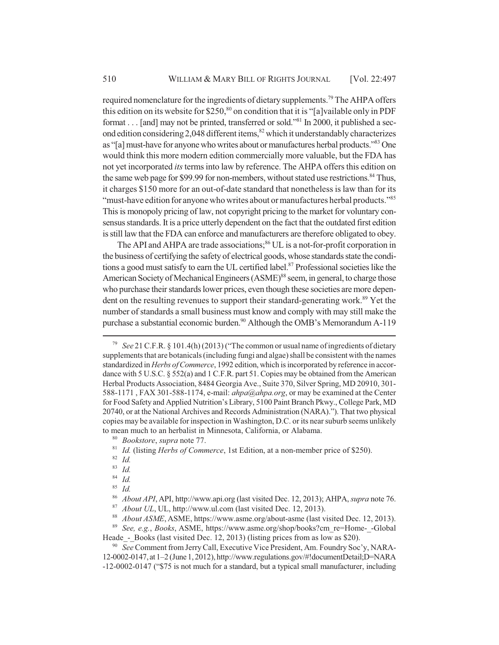required nomenclature for the ingredients of dietary supplements.<sup>79</sup> The AHPA offers this edition on its website for  $$250$ ,<sup>80</sup> on condition that it is "[a]vailable only in PDF format . . . [and] may not be printed, transferred or sold."<sup>81</sup> In 2000, it published a second edition considering 2,048 different items,<sup>82</sup> which it understandably characterizes as "[a] must-have for anyone who writes about or manufactures herbal products."83 One would think this more modern edition commercially more valuable, but the FDA has not yet incorporated *its* terms into law by reference. The AHPA offers this edition on the same web page for \$99.99 for non-members, without stated use restrictions.<sup>84</sup> Thus, it charges \$150 more for an out-of-date standard that nonetheless is law than for its "must-have edition for anyone who writes about or manufactures herbal products."<sup>85</sup> This is monopoly pricing of law, not copyright pricing to the market for voluntary consensus standards. It is a price utterly dependent on the fact that the outdated first edition is still law that the FDA can enforce and manufacturers are therefore obligated to obey.

The API and AHPA are trade associations;<sup>86</sup> UL is a not-for-profit corporation in the business of certifying the safety of electrical goods, whose standards state the conditions a good must satisfy to earn the UL certified label.<sup>87</sup> Professional societies like the American Society of Mechanical Engineers (ASME)<sup>88</sup> seem, in general, to charge those who purchase their standards lower prices, even though these societies are more dependent on the resulting revenues to support their standard-generating work.<sup>89</sup> Yet the number of standards a small business must know and comply with may still make the purchase a substantial economic burden.<sup>90</sup> Although the OMB's Memorandum A-119

<sup>89</sup> *See, e.g.*, *Books*, ASME, https://www.asme.org/shop/books?cm\_re=Home-\_-Global Heade - Books (last visited Dec. 12, 2013) (listing prices from as low as \$20).

<sup>90</sup> *See* Comment from Jerry Call, Executive Vice President, Am. Foundry Soc'y, NARA-12-0002-0147, at 1–2 (June 1, 2012), http://www.regulations.gov/#!documentDetail;D=NARA -12-0002-0147 ("\$75 is not much for a standard, but a typical small manufacturer, including

<sup>79</sup> *See* 21 C.F.R. § 101.4(h) (2013) ("The common or usual name of ingredients of dietary supplements that are botanicals (including fungi and algae) shall be consistent with the names standardized in *Herbs of Commerce*, 1992 edition, which is incorporated by reference in accordance with 5 U.S.C. § 552(a) and 1 C.F.R. part 51. Copies may be obtained from the American Herbal Products Association, 8484 Georgia Ave., Suite 370, Silver Spring, MD 20910, 301- 588-1171 , FAX 301-588-1174, e-mail: *ahpa@ahpa.org*, or may be examined at the Center for Food Safety and Applied Nutrition's Library, 5100 Paint Branch Pkwy., College Park, MD 20740, or at the National Archives and Records Administration (NARA)."). That two physical copies may be available for inspection in Washington, D.C. or its near suburb seems unlikely to mean much to an herbalist in Minnesota, California, or Alabama.

<sup>80</sup> *Bookstore*, *supra* note 77.

<sup>81</sup> *Id.* (listing *Herbs of Commerce*, 1st Edition, at a non-member price of \$250).

<sup>82</sup> *Id.*

<sup>83</sup> *Id.*

<sup>84</sup> *Id.*

<sup>85</sup> *Id.*

<sup>86</sup> *About API*, API, http://www.api.org (last visited Dec. 12, 2013); AHPA, *supra* note 76.

<sup>87</sup> *About UL*, UL, http://www.ul.com (last visited Dec. 12, 2013).

<sup>88</sup> *About ASME*, ASME, https://www.asme.org/about-asme (last visited Dec. 12, 2013).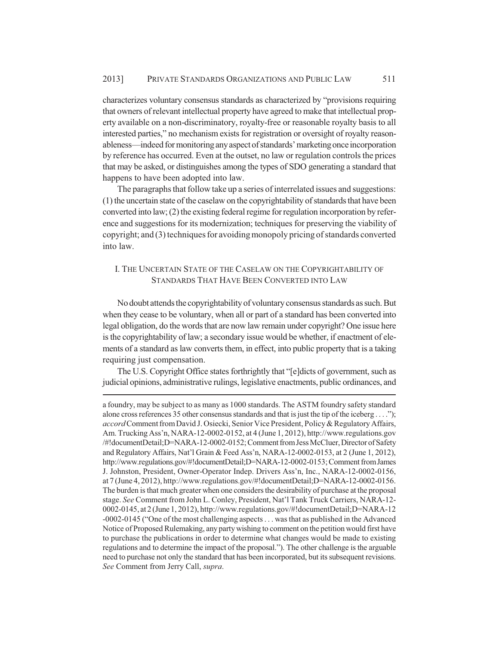characterizes voluntary consensus standards as characterized by "provisions requiring that owners of relevant intellectual property have agreed to make that intellectual property available on a non-discriminatory, royalty-free or reasonable royalty basis to all interested parties," no mechanism exists for registration or oversight of royalty reasonableness—indeed for monitoring any aspect of standards' marketing once incorporation by reference has occurred. Even at the outset, no law or regulation controls the prices that may be asked, or distinguishes among the types of SDO generating a standard that happens to have been adopted into law.

The paragraphs that follow take up a series of interrelated issues and suggestions: (1) the uncertain state of the caselaw on the copyrightability of standards that have been converted into law; (2) the existing federal regime for regulation incorporation by reference and suggestions for its modernization; techniques for preserving the viability of copyright; and (3) techniques for avoiding monopoly pricing of standards converted into law.

# I. THE UNCERTAIN STATE OF THE CASELAW ON THE COPYRIGHTABILITY OF STANDARDS THAT HAVE BEEN CONVERTED INTO LAW

No doubt attends the copyrightability of voluntary consensus standards as such. But when they cease to be voluntary, when all or part of a standard has been converted into legal obligation, do the words that are now law remain under copyright? One issue here is the copyrightability of law; a secondary issue would be whether, if enactment of elements of a standard as law converts them, in effect, into public property that is a taking requiring just compensation.

The U.S. Copyright Office states forthrightly that "[e]dicts of government, such as judicial opinions, administrative rulings, legislative enactments, public ordinances, and

a foundry, may be subject to as many as 1000 standards. The ASTM foundry safety standard alone cross references 35 other consensus standards and that is just the tip of the iceberg . . . ."); *accord* Comment from David J. Osiecki, Senior Vice President, Policy & Regulatory Affairs, Am. Trucking Ass'n, NARA-12-0002-0152, at 4 (June 1, 2012), http://www.regulations.gov /#!documentDetail;D=NARA-12-0002-0152; Comment from Jess McCluer, Director of Safety and Regulatory Affairs, Nat'l Grain & Feed Ass'n, NARA-12-0002-0153, at 2 (June 1, 2012), http://www.regulations.gov/#!documentDetail;D=NARA-12-0002-0153; Comment from James J. Johnston, President, Owner-Operator Indep. Drivers Ass'n, Inc., NARA-12-0002-0156, at 7 (June 4, 2012), http://www.regulations.gov/#!documentDetail;D=NARA-12-0002-0156. The burden is that much greater when one considers the desirability of purchase at the proposal stage. *See* Comment from John L. Conley, President, Nat'l Tank Truck Carriers, NARA-12- 0002-0145, at 2 (June 1, 2012), http://www.regulations.gov/#!documentDetail;D=NARA-12 -0002-0145 ("One of the most challenging aspects . . . was that as published in the Advanced Notice of Proposed Rulemaking, any party wishing to comment on the petition would first have to purchase the publications in order to determine what changes would be made to existing regulations and to determine the impact of the proposal."). The other challenge is the arguable need to purchase not only the standard that has been incorporated, but its subsequent revisions. *See* Comment from Jerry Call, *supra*.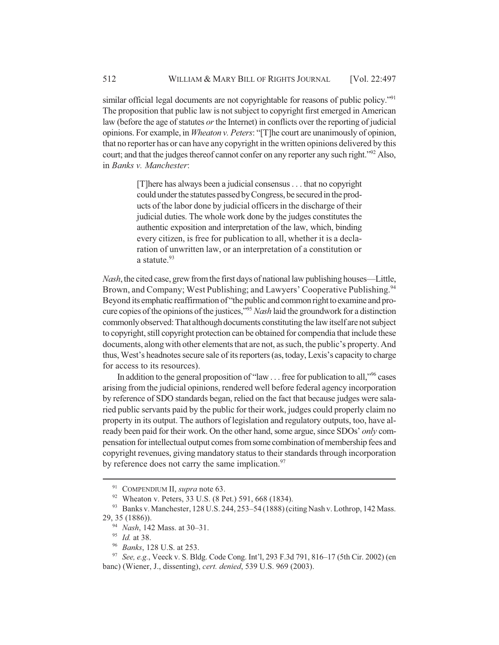similar official legal documents are not copyrightable for reasons of public policy."<sup>91</sup> The proposition that public law is not subject to copyright first emerged in American law (before the age of statutes *or* the Internet) in conflicts over the reporting of judicial opinions. For example, in *Wheaton v. Peters*: "[T]he court are unanimously of opinion, that no reporter has or can have any copyright in the written opinions delivered by this court; and that the judges thereof cannot confer on any reporter any such right."<sup>92</sup> Also, in *Banks v. Manchester*:

> [T]here has always been a judicial consensus . . . that no copyright could under the statutes passed by Congress, be secured in the products of the labor done by judicial officers in the discharge of their judicial duties. The whole work done by the judges constitutes the authentic exposition and interpretation of the law, which, binding every citizen, is free for publication to all, whether it is a declaration of unwritten law, or an interpretation of a constitution or a statute.<sup>93</sup>

*Nash*, the cited case, grew from the first days of national law publishing houses—Little, Brown, and Company; West Publishing; and Lawyers' Cooperative Publishing.<sup>94</sup> Beyond its emphatic reaffirmation of "the public and common right to examine and procure copies of the opinions of the justices,"95 *Nash* laid the groundwork for a distinction commonly observed: That although documents constituting the law itself are not subject to copyright, still copyright protection can be obtained for compendia that include these documents, along with other elements that are not, as such, the public's property. And thus, West's headnotes secure sale of its reporters (as, today, Lexis's capacity to charge for access to its resources).

In addition to the general proposition of "law . . . free for publication to all,"<sup>96</sup> cases arising from the judicial opinions, rendered well before federal agency incorporation by reference of SDO standards began, relied on the fact that because judges were salaried public servants paid by the public for their work, judges could properly claim no property in its output. The authors of legislation and regulatory outputs, too, have already been paid for their work. On the other hand, some argue, since SDOs' *only* compensation for intellectual output comes from some combination of membership fees and copyright revenues, giving mandatory status to their standards through incorporation by reference does not carry the same implication. $97$ 

<sup>96</sup> *Banks*, 128 U.S. at 253.

<sup>91</sup> COMPENDIUM II, *supra* note 63.

<sup>92</sup> Wheaton v. Peters, 33 U.S. (8 Pet.) 591, 668 (1834).

<sup>93</sup> Banks v. Manchester, 128 U.S. 244, 253–54 (1888) (citing Nash v. Lothrop, 142 Mass. 29, 35 (1886)).

<sup>94</sup> *Nash*, 142 Mass. at 30–31.

<sup>&</sup>lt;sup>95</sup> *Id.* at 38.<br><sup>96</sup> *Banks* 12

<sup>97</sup> *See, e.g.*, Veeck v. S. Bldg. Code Cong. Int'l, 293 F.3d 791, 816–17 (5th Cir. 2002) (en banc) (Wiener, J., dissenting), *cert. denied*, 539 U.S. 969 (2003).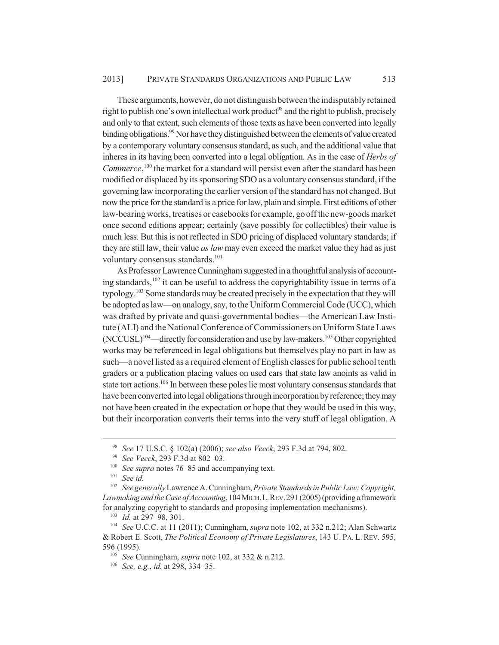These arguments, however, do not distinguish between the indisputably retained right to publish one's own intellectual work product<sup>98</sup> and the right to publish, precisely and only to that extent, such elements of those texts as have been converted into legally binding obligations.<sup>99</sup> Nor have they distinguished between the elements of value created by a contemporary voluntary consensus standard, as such, and the additional value that inheres in its having been converted into a legal obligation. As in the case of *Herbs of* Commerce,<sup>100</sup> the market for a standard will persist even after the standard has been modified or displaced by its sponsoring SDO as a voluntary consensus standard, if the governing law incorporating the earlier version of the standard has not changed. But now the price for the standard is a price for law, plain and simple. First editions of other law-bearing works, treatises or casebooks for example, go off the new-goods market once second editions appear; certainly (save possibly for collectibles) their value is much less. But this is not reflected in SDO pricing of displaced voluntary standards; if they are still law, their value *as law* may even exceed the market value they had as just voluntary consensus standards.<sup>101</sup>

As Professor Lawrence Cunningham suggested in a thoughtful analysis of accounting standards, $102$  it can be useful to address the copyrightability issue in terms of a typology.103 Some standards may be created precisely in the expectation that they will be adopted as law—on analogy, say, to the Uniform Commercial Code (UCC), which was drafted by private and quasi-governmental bodies—the American Law Institute (ALI) and the National Conference of Commissioners on Uniform State Laws (NCCUSL)104—directly for consideration and use by law-makers.105 Other copyrighted works may be referenced in legal obligations but themselves play no part in law as such—a novel listed as a required element of English classes for public school tenth graders or a publication placing values on used cars that state law anoints as valid in state tort actions.<sup>106</sup> In between these poles lie most voluntary consensus standards that have been converted into legal obligations through incorporation by reference; they may not have been created in the expectation or hope that they would be used in this way, but their incorporation converts their terms into the very stuff of legal obligation. A

<sup>98</sup> *See* 17 U.S.C. § 102(a) (2006); *see also Veeck*, 293 F.3d at 794, 802.

<sup>99</sup> *See Veeck*, 293 F.3d at 802–03.

<sup>100</sup> *See supra* notes 76–85 and accompanying text.

<sup>101</sup> *See id.*

<sup>102</sup> *See generally* Lawrence A. Cunningham, *Private Standards in Public Law: Copyright, Lawmaking and the Case of Accounting*, 104 MICH.L.REV.291 (2005) (providing a framework for analyzing copyright to standards and proposing implementation mechanisms).

<sup>103</sup> *Id.* at 297–98, 301.

<sup>104</sup> *See* U.C.C. at 11 (2011); Cunningham, *supra* note 102, at 332 n.212; Alan Schwartz & Robert E. Scott, *The Political Economy of Private Legislatures*, 143 U. PA. L. REV. 595, 596 (1995).

<sup>105</sup> *See* Cunningham, *supra* note 102, at 332 & n.212.

<sup>106</sup> *See, e.g.*, *id.* at 298, 334–35.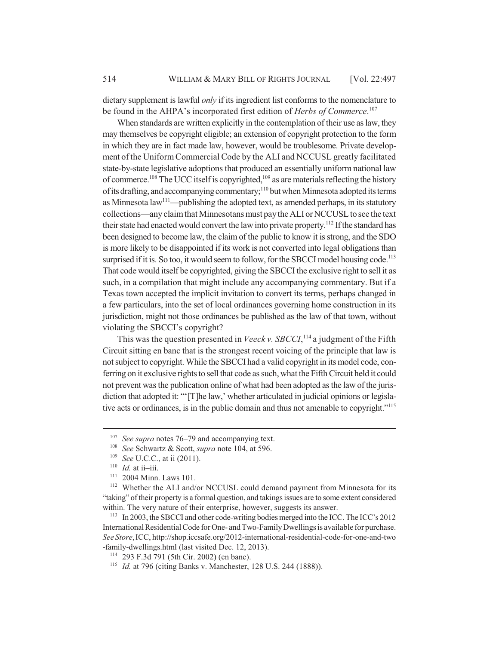dietary supplement is lawful *only* if its ingredient list conforms to the nomenclature to be found in the AHPA's incorporated first edition of *Herbs of Commerce*. 107

When standards are written explicitly in the contemplation of their use as law, they may themselves be copyright eligible; an extension of copyright protection to the form in which they are in fact made law, however, would be troublesome. Private development of the Uniform Commercial Code by the ALI and NCCUSL greatly facilitated state-by-state legislative adoptions that produced an essentially uniform national law of commerce.108 The UCC itself is copyrighted,109 as are materials reflecting the history of its drafting, and accompanying commentary;110 but when Minnesota adopted its terms as Minnesota  $law<sup>111</sup>$ —publishing the adopted text, as amended perhaps, in its statutory collections—any claim that Minnesotans must pay the ALI or NCCUSL to see the text their state had enacted would convert the law into private property.<sup>112</sup> If the standard has been designed to become law, the claim of the public to know it is strong, and the SDO is more likely to be disappointed if its work is not converted into legal obligations than surprised if it is. So too, it would seem to follow, for the SBCCI model housing code.<sup>113</sup> That code would itself be copyrighted, giving the SBCCI the exclusive right to sell it as such, in a compilation that might include any accompanying commentary. But if a Texas town accepted the implicit invitation to convert its terms, perhaps changed in a few particulars, into the set of local ordinances governing home construction in its jurisdiction, might not those ordinances be published as the law of that town, without violating the SBCCI's copyright?

This was the question presented in *Veeck v. SBCCI*,<sup>114</sup> a judgment of the Fifth Circuit sitting en banc that is the strongest recent voicing of the principle that law is not subject to copyright. While the SBCCI had a valid copyright in its model code, conferring on it exclusive rights to sell that code as such, what the Fifth Circuit held it could not prevent was the publication online of what had been adopted as the law of the jurisdiction that adopted it: "'[T]he law,' whether articulated in judicial opinions or legislative acts or ordinances, is in the public domain and thus not amenable to copyright."115

<sup>&</sup>lt;sup>107</sup> *See supra* notes 76–79 and accompanying text.

<sup>108</sup> *See* Schwartz & Scott, *supra* note 104, at 596.

*See U.C.C.*, at ii (2011).

<sup>&</sup>lt;sup>110</sup> *Id.* at ii–iii.<br><sup>111</sup> 2004 Minn

 $^{111}$  2004 Minn. Laws 101.<br> $^{112}$  Whether the ALI and/

Whether the ALI and/or NCCUSL could demand payment from Minnesota for its "taking" of their property is a formal question, and takings issues are to some extent considered within. The very nature of their enterprise, however, suggests its answer.

<sup>&</sup>lt;sup>113</sup> In 2003, the SBCCI and other code-writing bodies merged into the ICC. The ICC's 2012 International Residential Code for One- and Two-Family Dwellings is available for purchase. *See Store*,ICC, http://shop.iccsafe.org/2012-international-residential-code-for-one-and-two -family-dwellings.html (last visited Dec. 12, 2013).

<sup>114</sup> 293 F.3d 791 (5th Cir. 2002) (en banc).

<sup>115</sup> *Id.* at 796 (citing Banks v. Manchester, 128 U.S. 244 (1888)).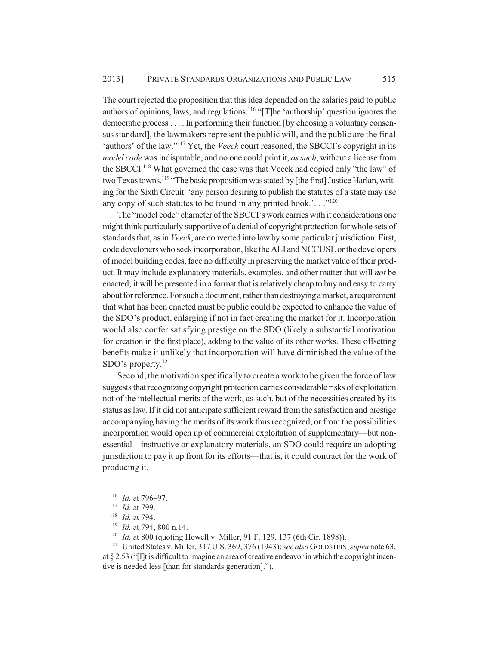The court rejected the proposition that this idea depended on the salaries paid to public authors of opinions, laws, and regulations.<sup>116</sup> "[T]he 'authorship' question ignores the democratic process . . . . In performing their function [by choosing a voluntary consensus standard], the lawmakers represent the public will, and the public are the final 'authors' of the law."117 Yet, the *Veeck* court reasoned, the SBCCI's copyright in its *model code* was indisputable, and no one could print it, *as such*, without a license from the SBCCI.118 What governed the case was that Veeck had copied only "the law" of two Texas towns.<sup>119</sup> "The basic proposition was stated by [the first] Justice Harlan, writing for the Sixth Circuit: 'any person desiring to publish the statutes of a state may use any copy of such statutes to be found in any printed book.'..."<sup>120</sup>

The "model code" character of the SBCCI's work carries with it considerations one might think particularly supportive of a denial of copyright protection for whole sets of standards that, as in *Veeck*, are converted into law by some particular jurisdiction. First, code developers who seek incorporation, like the ALI and NCCUSL or the developers of model building codes, face no difficulty in preserving the market value of their product. It may include explanatory materials, examples, and other matter that will *not* be enacted; it will be presented in a format that is relatively cheap to buy and easy to carry about for reference. For such a document, rather than destroying a market, a requirement that what has been enacted must be public could be expected to enhance the value of the SDO's product, enlarging if not in fact creating the market for it. Incorporation would also confer satisfying prestige on the SDO (likely a substantial motivation for creation in the first place), adding to the value of its other works. These offsetting benefits make it unlikely that incorporation will have diminished the value of the SDO's property.<sup>121</sup>

Second, the motivation specifically to create a work to be given the force of law suggests that recognizing copyright protection carries considerable risks of exploitation not of the intellectual merits of the work, as such, but of the necessities created by its status as law. If it did not anticipate sufficient reward from the satisfaction and prestige accompanying having the merits of its work thus recognized, or from the possibilities incorporation would open up of commercial exploitation of supplementary—but nonessential—instructive or explanatory materials, an SDO could require an adopting jurisdiction to pay it up front for its efforts—that is, it could contract for the work of producing it.

<sup>116</sup> *Id.* at 796–97.

<sup>117</sup> *Id.* at 799.

<sup>118</sup> *Id.* at 794.

<sup>&</sup>lt;sup>119</sup> *Id.* at 794, 800 n.14.<br><sup>120</sup> *Id.* at 800 (quoting F

<sup>&</sup>lt;sup>120</sup> *Id.* at 800 (quoting Howell v. Miller, 91 F. 129, 137 (6th Cir. 1898)).<br><sup>121</sup> United States v. Miller, 317 U.S. 369, 376 (1943): see also GOLDSTEIN

<sup>121</sup> United States v. Miller, 317 U.S. 369, 376 (1943); *see also* GOLDSTEIN,*supra* note 63, at § 2.53 ("[I]t is difficult to imagine an area of creative endeavor in which the copyright incentive is needed less [than for standards generation].").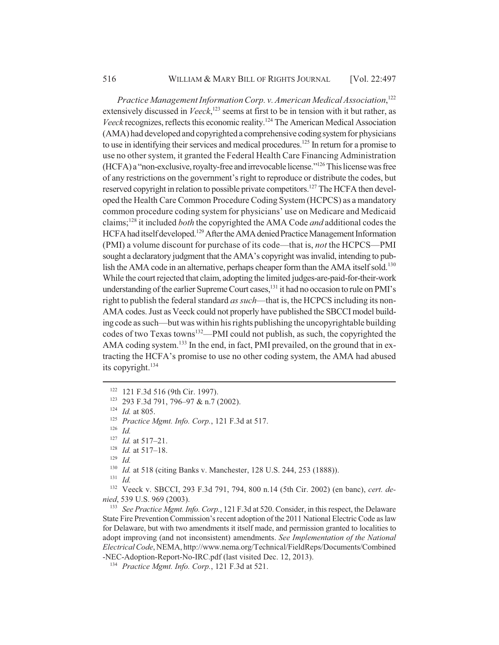*Practice Management Information Corp. v. American Medical Association*, 122 extensively discussed in *Veeck*,<sup>123</sup> seems at first to be in tension with it but rather, as *Veeck* recognizes, reflects this economic reality.124 The American Medical Association (AMA) had developed and copyrighted a comprehensive coding system for physicians to use in identifying their services and medical procedures.<sup>125</sup> In return for a promise to use no other system, it granted the Federal Health Care Financing Administration (HCFA) a "non-exclusive, royalty-free and irrevocable license."126 This license was free of any restrictions on the government's right to reproduce or distribute the codes, but reserved copyright in relation to possible private competitors.<sup>127</sup> The HCFA then developed the Health Care Common Procedure Coding System (HCPCS) as a mandatory common procedure coding system for physicians' use on Medicare and Medicaid claims;128 it included *both* the copyrighted the AMA Code *and* additional codes the HCFA had itself developed.<sup>129</sup> After the AMA denied Practice Management Information (PMI) a volume discount for purchase of its code—that is, *not* the HCPCS—PMI sought a declaratory judgment that the AMA's copyright was invalid, intending to publish the AMA code in an alternative, perhaps cheaper form than the AMA itself sold.<sup>130</sup> While the court rejected that claim, adopting the limited judges-are-paid-for-their-work understanding of the earlier Supreme Court cases,<sup>131</sup> it had no occasion to rule on PMI's right to publish the federal standard *as such*—that is, the HCPCS including its non-AMA codes. Just as Veeck could not properly have published the SBCCI model building code as such—but was within his rights publishing the uncopyrightable building codes of two Texas towns<sup>132</sup>—PMI could not publish, as such, the copyrighted the AMA coding system.<sup>133</sup> In the end, in fact, PMI prevailed, on the ground that in extracting the HCFA's promise to use no other coding system, the AMA had abused its copyright. $134$ 

<sup>129</sup> *Id.*

<sup>130</sup> *Id.* at 518 (citing Banks v. Manchester, 128 U.S. 244, 253 (1888)).

<sup>133</sup> *See Practice Mgmt. Info. Corp.*, 121 F.3d at 520. Consider, in this respect, the Delaware State Fire Prevention Commission's recent adoption of the 2011 National Electric Code as law for Delaware, but with two amendments it itself made, and permission granted to localities to adopt improving (and not inconsistent) amendments. *See Implementation of the National Electrical Code*, NEMA, http://www.nema.org/Technical/FieldReps/Documents/Combined -NEC-Adoption-Report-No-IRC.pdf (last visited Dec. 12, 2013).

<sup>122</sup> 121 F.3d 516 (9th Cir. 1997).

<sup>123</sup> 293 F.3d 791, 796–97 & n.7 (2002).

<sup>124</sup> *Id.* at 805.

<sup>125</sup> *Practice Mgmt. Info. Corp.*, 121 F.3d at 517.

<sup>126</sup> *Id.*

<sup>127</sup> *Id.* at 517–21.

<sup>128</sup> *Id.* at 517–18.

<sup>131</sup> *Id.*

<sup>132</sup> Veeck v. SBCCI, 293 F.3d 791, 794, 800 n.14 (5th Cir. 2002) (en banc), *cert. denied*, 539 U.S. 969 (2003).

<sup>134</sup> *Practice Mgmt. Info. Corp.*, 121 F.3d at 521.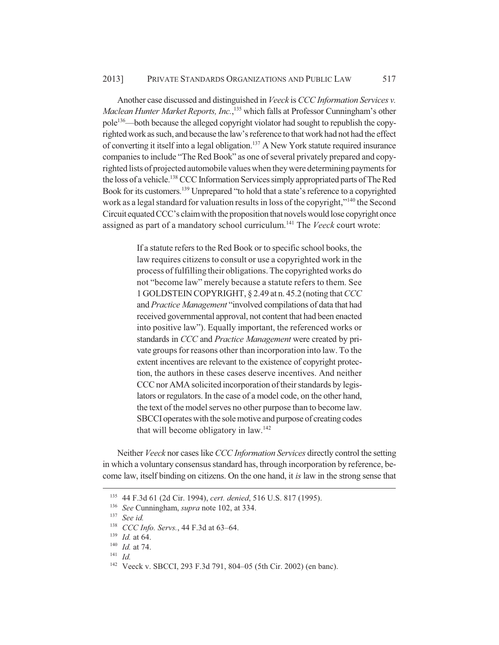Another case discussed and distinguished in *Veeck* is *CCC Information Services v. Maclean Hunter Market Reports, Inc.*, 135 which falls at Professor Cunningham's other pole<sup>136</sup>—both because the alleged copyright violator had sought to republish the copyrighted work as such, and because the law's reference to that work had not had the effect of converting it itself into a legal obligation.137 A New York statute required insurance companies to include "The Red Book" as one of several privately prepared and copyrighted lists of projected automobile values when they were determining payments for the loss of a vehicle.138 CCC Information Services simply appropriated parts of The Red Book for its customers.139 Unprepared "to hold that a state's reference to a copyrighted work as a legal standard for valuation results in loss of the copyright,"<sup>140</sup> the Second Circuit equated CCC's claim with the proposition that novels would lose copyright once assigned as part of a mandatory school curriculum.141 The *Veeck* court wrote:

> If a statute refers to the Red Book or to specific school books, the law requires citizens to consult or use a copyrighted work in the process of fulfilling their obligations. The copyrighted works do not "become law" merely because a statute refers to them. See 1 GOLDSTEIN COPYRIGHT, § 2.49 at n. 45.2 (noting that *CCC* and *Practice Management* "involved compilations of data that had received governmental approval, not content that had been enacted into positive law"). Equally important, the referenced works or standards in *CCC* and *Practice Management* were created by private groups for reasons other than incorporation into law. To the extent incentives are relevant to the existence of copyright protection, the authors in these cases deserve incentives. And neither CCC nor AMA solicited incorporation of their standards by legislators or regulators. In the case of a model code, on the other hand, the text of the model serves no other purpose than to become law. SBCCI operates with the sole motive and purpose of creating codes that will become obligatory in law.<sup>142</sup>

Neither *Veeck* nor cases like *CCC Information Services* directly control the setting in which a voluntary consensus standard has, through incorporation by reference, become law, itself binding on citizens. On the one hand, it *is* law in the strong sense that

<sup>135</sup> 44 F.3d 61 (2d Cir. 1994), *cert. denied*, 516 U.S. 817 (1995).

<sup>136</sup> *See* Cunningham, *supra* note 102, at 334.

<sup>137</sup> *See id.*

<sup>138</sup> *CCC Info. Servs.*, 44 F.3d at 63–64.

<sup>139</sup> *Id.* at 64.

<sup>140</sup> *Id.* at 74.

<sup>141</sup> *Id.*

<sup>142</sup> Veeck v. SBCCI, 293 F.3d 791, 804–05 (5th Cir. 2002) (en banc).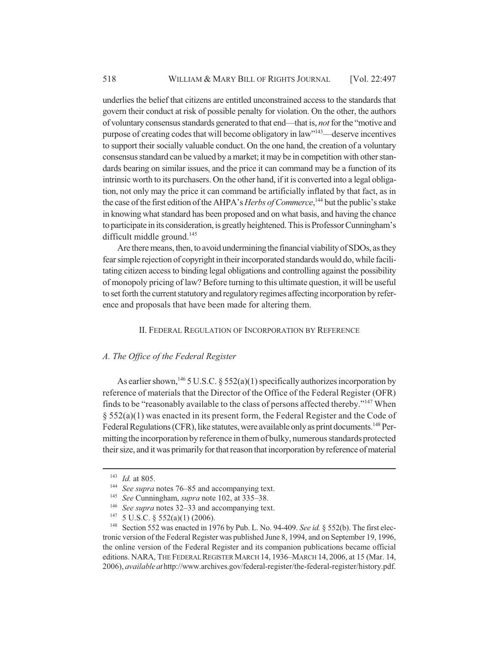underlies the belief that citizens are entitled unconstrained access to the standards that govern their conduct at risk of possible penalty for violation. On the other, the authors of voluntary consensus standards generated to that end—that is, *not* for the "motive and purpose of creating codes that will become obligatory in law"143—deserve incentives to support their socially valuable conduct. On the one hand, the creation of a voluntary consensus standard can be valued by a market; it may be in competition with other standards bearing on similar issues, and the price it can command may be a function of its intrinsic worth to its purchasers. On the other hand, if it is converted into a legal obligation, not only may the price it can command be artificially inflated by that fact, as in the case of the first edition of the AHPA's *Herbs of Commerce*,<sup>144</sup> but the public's stake in knowing what standard has been proposed and on what basis, and having the chance to participate in its consideration, is greatly heightened. This is Professor Cunningham's difficult middle ground.<sup>145</sup>

Are there means, then, to avoid undermining the financial viability of SDOs, as they fear simple rejection of copyright in their incorporated standards would do, while facilitating citizen access to binding legal obligations and controlling against the possibility of monopoly pricing of law? Before turning to this ultimate question, it will be useful to set forth the current statutory and regulatory regimes affecting incorporation by reference and proposals that have been made for altering them.

#### II. FEDERAL REGULATION OF INCORPORATION BY REFERENCE

# *A. The Office of the Federal Register*

As earlier shown,<sup>146</sup> 5 U.S.C. § 552(a)(1) specifically authorizes incorporation by reference of materials that the Director of the Office of the Federal Register (OFR) finds to be "reasonably available to the class of persons affected thereby."147 When § 552(a)(1) was enacted in its present form, the Federal Register and the Code of Federal Regulations (CFR), like statutes, were available only as print documents.<sup>148</sup> Permitting the incorporation by reference in them of bulky, numerous standards protected their size, and it was primarily for that reason that incorporation by reference of material

<sup>143</sup> *Id.* at 805.

<sup>144</sup> *See supra* notes 76–85 and accompanying text.

<sup>145</sup> *See* Cunningham, *supra* note 102, at 335–38.

<sup>146</sup> *See supra* notes 32–33 and accompanying text.

<sup>147</sup> 5 U.S.C. § 552(a)(1) (2006).

<sup>&</sup>lt;sup>148</sup> Section 552 was enacted in 1976 by Pub. L. No. 94-409. *See id.* § 552(b). The first electronic version of the Federal Register was published June 8, 1994, and on September 19, 1996, the online version of the Federal Register and its companion publications became official editions. NARA, THE FEDERAL REGISTER MARCH 14, 1936–MARCH 14, 2006, at 15 (Mar. 14, 2006), *available at* http://www.archives.gov/federal-register/the-federal-register/history.pdf.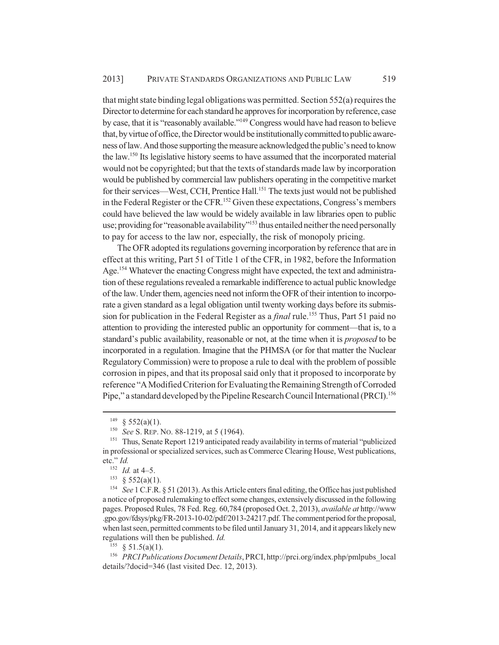that might state binding legal obligations was permitted. Section 552(a) requires the Director to determine for each standard he approves for incorporation by reference, case by case, that it is "reasonably available."149 Congress would have had reason to believe that, by virtue of office, the Director would be institutionally committed to public awareness of law. And those supporting the measure acknowledged the public's need to know the law.150 Its legislative history seems to have assumed that the incorporated material would not be copyrighted; but that the texts of standards made law by incorporation would be published by commercial law publishers operating in the competitive market for their services—West, CCH, Prentice Hall.<sup>151</sup> The texts just would not be published in the Federal Register or the CFR.<sup>152</sup> Given these expectations, Congress's members could have believed the law would be widely available in law libraries open to public use; providing for "reasonable availability"<sup>153</sup> thus entailed neither the need personally to pay for access to the law nor, especially, the risk of monopoly pricing.

The OFR adopted its regulations governing incorporation by reference that are in effect at this writing, Part 51 of Title 1 of the CFR, in 1982, before the Information Age.<sup>154</sup> Whatever the enacting Congress might have expected, the text and administration of these regulations revealed a remarkable indifference to actual public knowledge of the law. Under them, agencies need not inform the OFR of their intention to incorporate a given standard as a legal obligation until twenty working days before its submission for publication in the Federal Register as a *final* rule.<sup>155</sup> Thus, Part 51 paid no attention to providing the interested public an opportunity for comment—that is, to a standard's public availability, reasonable or not, at the time when it is *proposed* to be incorporated in a regulation. Imagine that the PHMSA (or for that matter the Nuclear Regulatory Commission) were to propose a rule to deal with the problem of possible corrosion in pipes, and that its proposal said only that it proposed to incorporate by reference "A Modified Criterion for Evaluating the Remaining Strength of Corroded Pipe," a standard developed by the Pipeline Research Council International (PRCI).156

 $155 \& 51.5(a)(1)$ .

 $149 \& 552(a)(1)$ .

<sup>150</sup> *See* S. REP. NO. 88-1219, at 5 (1964).

<sup>&</sup>lt;sup>151</sup> Thus, Senate Report 1219 anticipated ready availability in terms of material "publicized in professional or specialized services, such as Commerce Clearing House, West publications, etc." *Id.*

 $\frac{152}{153}$  *Id.* at 4–5.

 $$552(a)(1).$ 

<sup>154</sup> *See* 1 C.F.R. § 51 (2013). As this Article enters final editing, the Office has just published a notice of proposed rulemaking to effect some changes, extensively discussed in the following pages. Proposed Rules, 78 Fed. Reg. 60,784 (proposed Oct. 2, 2013), *available at* http://www .gpo.gov/fdsys/pkg/FR-2013-10-02/pdf/2013-24217.pdf. The comment period for the proposal, when last seen, permitted comments to be filed until January 31, 2014, and it appears likely new regulations will then be published. *Id.*

<sup>156</sup> *PRCI Publications Document Details*, PRCI, http://prci.org/index.php/pmlpubs\_local details/?docid=346 (last visited Dec. 12, 2013).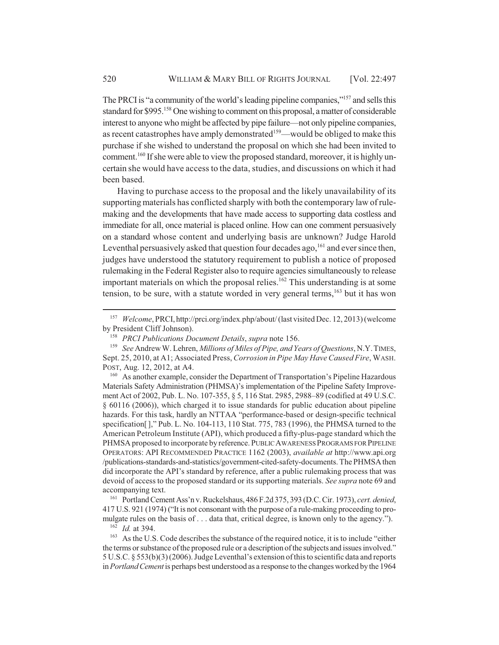The PRCI is "a community of the world's leading pipeline companies,"<sup>157</sup> and sells this standard for \$995.<sup>158</sup> One wishing to comment on this proposal, a matter of considerable interest to anyone who might be affected by pipe failure—not only pipeline companies, as recent catastrophes have amply demonstrated<sup>159</sup>—would be obliged to make this purchase if she wished to understand the proposal on which she had been invited to comment.<sup>160</sup> If she were able to view the proposed standard, moreover, it is highly uncertain she would have access to the data, studies, and discussions on which it had been based.

Having to purchase access to the proposal and the likely unavailability of its supporting materials has conflicted sharply with both the contemporary law of rulemaking and the developments that have made access to supporting data costless and immediate for all, once material is placed online. How can one comment persuasively on a standard whose content and underlying basis are unknown? Judge Harold Leventhal persuasively asked that question four decades ago,  $^{161}$  and ever since then, judges have understood the statutory requirement to publish a notice of proposed rulemaking in the Federal Register also to require agencies simultaneously to release important materials on which the proposal relies.<sup>162</sup> This understanding is at some tension, to be sure, with a statute worded in very general terms,  $163$  but it has won

<sup>160</sup> As another example, consider the Department of Transportation's Pipeline Hazardous Materials Safety Administration (PHMSA)'s implementation of the Pipeline Safety Improvement Act of 2002, Pub. L. No. 107-355, § 5, 116 Stat. 2985, 2988–89 (codified at 49 U.S.C. § 60116 (2006)), which charged it to issue standards for public education about pipeline hazards. For this task, hardly an NTTAA "performance-based or design-specific technical specification[ ]," Pub. L. No. 104-113, 110 Stat. 775, 783 (1996), the PHMSA turned to the American Petroleum Institute (API), which produced a fifty-plus-page standard which the PHMSA proposed to incorporate by reference. PUBLIC AWARENESS PROGRAMS FOR PIPELINE OPERATORS: API RECOMMENDED PRACTICE 1162 (2003), *available at* http://www.api.org /publications-standards-and-statistics/government-cited-safety-documents. The PHMSA then did incorporate the API's standard by reference, after a public rulemaking process that was devoid of access to the proposed standard or its supporting materials. *See supra* note 69 and accompanying text.

<sup>161</sup> Portland Cement Ass'n v. Ruckelshaus, 486 F.2d 375, 393 (D.C. Cir. 1973), *cert. denied*, 417 U.S. 921 (1974) ("It is not consonant with the purpose of a rule-making proceeding to promulgate rules on the basis of . . . data that, critical degree, is known only to the agency."). <sup>162</sup> *Id.* at 394.<br><sup>163</sup> As the U.S.

As the U.S. Code describes the substance of the required notice, it is to include "either the terms or substance of the proposed rule or a description of the subjects and issues involved." 5 U.S.C. § 553(b)(3) (2006). Judge Leventhal's extension of this to scientific data and reports in *Portland Cement* is perhaps best understood as a response to the changes worked by the 1964

<sup>157</sup> *Welcome*, PRCI, http://prci.org/index.php/about/ (last visited Dec. 12, 2013) (welcome by President Cliff Johnson).

<sup>&</sup>lt;sup>158</sup> *PRCI Publications Document Details, supra* note 156.<br><sup>159</sup> *See* Andrew W Lehren *Millions of Miles of Pine, and Ye* 

<sup>159</sup> *See* Andrew W. Lehren, *Millions of Miles of Pipe, and Years of Questions*, N.Y.TIMES, Sept. 25, 2010, at A1; Associated Press, *Corrosion in Pipe May Have Caused Fire*, WASH. POST, Aug. 12, 2012, at A4.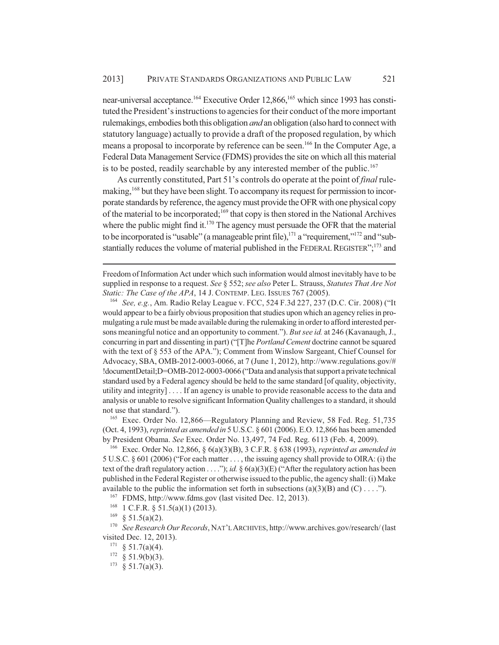near-universal acceptance.<sup>164</sup> Executive Order 12,866,<sup>165</sup> which since 1993 has constituted the President's instructions to agencies for their conduct of the more important rulemakings, embodies both this obligation *and* an obligation (also hard to connect with statutory language) actually to provide a draft of the proposed regulation, by which means a proposal to incorporate by reference can be seen.166 In the Computer Age, a Federal Data Management Service (FDMS) provides the site on which all this material is to be posted, readily searchable by any interested member of the public.<sup>167</sup>

As currently constituted, Part 51's controls do operate at the point of *final* rulemaking,<sup>168</sup> but they have been slight. To accompany its request for permission to incorporate standards by reference, the agency must provide the OFR with one physical copy of the material to be incorporated;169 that copy is then stored in the National Archives where the public might find it.<sup>170</sup> The agency must persuade the OFR that the material to be incorporated is "usable" (a manageable print file), $171$  a "requirement," $172$  and "substantially reduces the volume of material published in the FEDERAL REGISTER";<sup>173</sup> and

Freedom of Information Act under which such information would almost inevitably have to be supplied in response to a request. *See* § 552; *see also* Peter L. Strauss, *Statutes That Are Not Static: The Case of the APA*, 14 J. CONTEMP. LEG. ISSUES 767 (2005).

<sup>164</sup> *See, e.g.*, Am. Radio Relay League v. FCC, 524 F.3d 227, 237 (D.C. Cir. 2008) ("It would appear to be a fairly obvious proposition that studies upon which an agency relies in promulgating a rule must be made available during the rulemaking in order to afford interested persons meaningful notice and an opportunity to comment."). *But see id.* at 246 (Kavanaugh, J., concurring in part and dissenting in part) ("[T]he *Portland Cement* doctrine cannot be squared with the text of  $\S$  553 of the APA."); Comment from Winslow Sargeant, Chief Counsel for Advocacy, SBA, OMB-2012-0003-0066, at 7 (June 1, 2012), http://www.regulations.gov/# !documentDetail;D=OMB-2012-0003-0066 ("Data and analysis that support a private technical standard used by a Federal agency should be held to the same standard [of quality, objectivity, utility and integrity] . . . . If an agency is unable to provide reasonable access to the data and analysis or unable to resolve significant Information Quality challenges to a standard, it should not use that standard.").

<sup>165</sup> Exec. Order No. 12,866—Regulatory Planning and Review, 58 Fed. Reg. 51,735 (Oct. 4, 1993), *reprinted as amended in* 5 U.S.C. § 601 (2006). E.O. 12,866 has been amended by President Obama. *See* Exec. Order No. 13,497, 74 Fed. Reg. 6113 (Feb. 4, 2009).

<sup>166</sup> Exec. Order No. 12,866, § 6(a)(3)(B), 3 C.F.R. § 638 (1993), *reprinted as amended in* 5 U.S.C. § 601 (2006) ("For each matter . . . , the issuing agency shall provide to OIRA: (i) the text of the draft regulatory action . . . ."); *id.* § 6(a)(3)(E) ("After the regulatory action has been published in the Federal Register or otherwise issued to the public, the agency shall: (i) Make available to the public the information set forth in subsections (a)(3)(B) and (C) . . . .").

<sup>167</sup> FDMS, http://www.fdms.gov (last visited Dec. 12, 2013).

 $168$  1 C.F.R. § 51.5(a)(1) (2013).

 $169 \& 51.5(a)(2)$ .

<sup>170</sup> *See Research Our Records*, NAT'L ARCHIVES, http://www.archives.gov/research/ (last visited Dec. 12, 2013).

 $171 \S 51.7(a)(4)$ .

 $172 \quad \text{§ } 51.9(b)(3).$ 

 $173 \quad \text{\$} 51.7(a)(3).$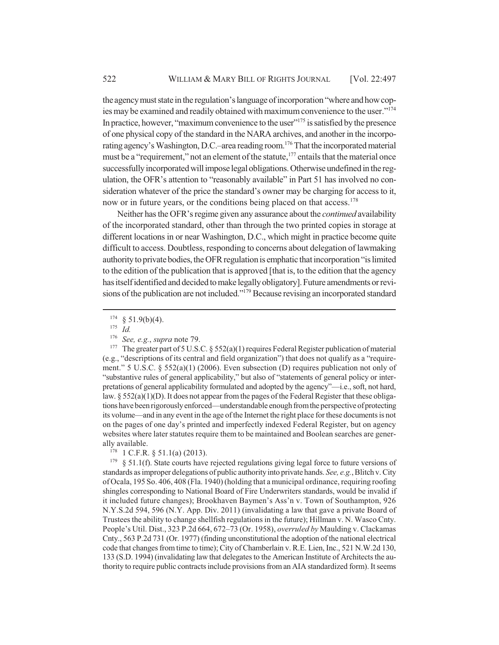the agency must state in the regulation's language of incorporation "where and how copies may be examined and readily obtained with maximum convenience to the user."174 In practice, however, "maximum convenience to the user" $175$  is satisfied by the presence of one physical copy of the standard in the NARA archives, and another in the incorporating agency's Washington, D.C.–area reading room.176 That the incorporated material must be a "requirement," not an element of the statute, $177$  entails that the material once successfully incorporated will impose legal obligations. Otherwise undefined in the regulation, the OFR's attention to "reasonably available" in Part 51 has involved no consideration whatever of the price the standard's owner may be charging for access to it, now or in future years, or the conditions being placed on that access.<sup>178</sup>

Neither has the OFR's regime given any assurance about the *continued* availability of the incorporated standard, other than through the two printed copies in storage at different locations in or near Washington, D.C., which might in practice become quite difficult to access. Doubtless, responding to concerns about delegation of lawmaking authority to private bodies, the OFR regulation is emphatic that incorporation "is limited to the edition of the publication that is approved [that is, to the edition that the agency has itself identified and decided to make legally obligatory]. Future amendments or revisions of the publication are not included."179 Because revising an incorporated standard

The greater part of 5 U.S.C.  $\S$  552(a)(1) requires Federal Register publication of material (e.g., "descriptions of its central and field organization") that does not qualify as a "requirement." 5 U.S.C. § 552(a)(1) (2006). Even subsection (D) requires publication not only of "substantive rules of general applicability," but also of "statements of general policy or interpretations of general applicability formulated and adopted by the agency"—i.e., soft, not hard, law.  $\S 552(a)(1)(D)$ . It does not appear from the pages of the Federal Register that these obligations have been rigorously enforced—understandable enough from the perspective of protecting its volume—and in any event in the age of the Internet the right place for these documents is not on the pages of one day's printed and imperfectly indexed Federal Register, but on agency websites where later statutes require them to be maintained and Boolean searches are generally available.

 $178$  1 C.F.R. § 51.1(a) (2013).

 $179$  § 51.1(f). State courts have rejected regulations giving legal force to future versions of standards as improper delegations of public authority into private hands. *See, e.g.*, Blitch v. City of Ocala, 195 So. 406, 408 (Fla. 1940) (holding that a municipal ordinance, requiring roofing shingles corresponding to National Board of Fire Underwriters standards, would be invalid if it included future changes); Brookhaven Baymen's Ass'n v. Town of Southampton, 926 N.Y.S.2d 594, 596 (N.Y. App. Div. 2011) (invalidating a law that gave a private Board of Trustees the ability to change shellfish regulations in the future); Hillman v. N. Wasco Cnty. People's Util. Dist., 323 P.2d 664, 672–73 (Or. 1958), *overruled by* Maulding v. Clackamas Cnty., 563 P.2d 731 (Or. 1977) (finding unconstitutional the adoption of the national electrical code that changes from time to time); City of Chamberlain v. R.E. Lien, Inc., 521 N.W.2d 130, 133 (S.D. 1994) (invalidating law that delegates to the American Institute of Architects the authority to require public contracts include provisions from an AIA standardized form). It seems

 $rac{174}{175}$  § 51.9(b)(4).

 $\frac{175}{176}$  *Id.* 

<sup>&</sup>lt;sup>176</sup> *See, e.g., supra* note 79.<br><sup>177</sup> The greater part of 5 U.S.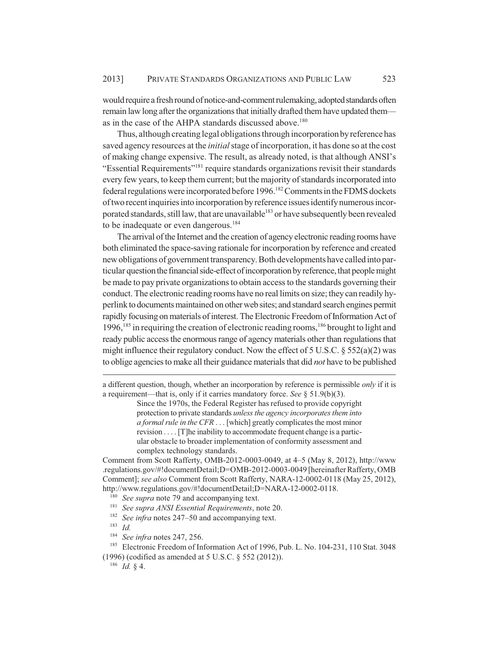would require a fresh round of notice-and-comment rulemaking, adopted standards often remain law long after the organizations that initially drafted them have updated them as in the case of the AHPA standards discussed above.<sup>180</sup>

Thus, although creating legal obligations through incorporation by reference has saved agency resources at the *initial* stage of incorporation, it has done so at the cost of making change expensive. The result, as already noted, is that although ANSI's "Essential Requirements"181 require standards organizations revisit their standards every few years, to keep them current; but the majority of standards incorporated into federal regulations were incorporated before 1996.182 Comments in the FDMS dockets of two recent inquiries into incorporation by reference issues identify numerous incorporated standards, still law, that are unavailable<sup>183</sup> or have subsequently been revealed to be inadequate or even dangerous.<sup>184</sup>

The arrival of the Internet and the creation of agency electronic reading rooms have both eliminated the space-saving rationale for incorporation by reference and created new obligations of government transparency. Both developments have called into particular question the financial side-effect of incorporation by reference, that people might be made to pay private organizations to obtain access to the standards governing their conduct. The electronic reading rooms have no real limits on size; they can readily hyperlink to documents maintained on other web sites; and standard search engines permit rapidly focusing on materials of interest. The Electronic Freedom of Information Act of 1996,<sup>185</sup> in requiring the creation of electronic reading rooms,<sup>186</sup> brought to light and ready public access the enormous range of agency materials other than regulations that might influence their regulatory conduct. Now the effect of 5 U.S.C. § 552(a)(2) was to oblige agencies to make all their guidance materials that did *not* have to be published

Comment from Scott Rafferty, OMB-2012-0003-0049, at 4–5 (May 8, 2012), http://www .regulations.gov/#!documentDetail;D=OMB-2012-0003-0049 [hereinafter Rafferty, OMB Comment]; *see also* Comment from Scott Rafferty, NARA-12-0002-0118 (May 25, 2012), http://www.regulations.gov/#!documentDetail;D=NARA-12-0002-0118.

<sup>180</sup> *See supra* note 79 and accompanying text.

- <sup>181</sup> *See supra ANSI Essential Requirements*, note 20.
- <sup>182</sup> *See infra* notes 247–50 and accompanying text.
- <sup>183</sup> *Id.*
- <sup>184</sup> *See infra* notes 247, 256.

(1996) (codified as amended at 5 U.S.C. § 552 (2012)).

a different question, though, whether an incorporation by reference is permissible *only* if it is a requirement—that is, only if it carries mandatory force. *See* § 51.9(b)(3).

Since the 1970s, the Federal Register has refused to provide copyright protection to private standards *unless the agency incorporates them into a formal rule in the CFR* . . . [which] greatly complicates the most minor revision . . . . [T]he inability to accommodate frequent change is a particular obstacle to broader implementation of conformity assessment and complex technology standards.

<sup>&</sup>lt;sup>185</sup> Electronic Freedom of Information Act of 1996, Pub. L. No. 104-231, 110 Stat. 3048

<sup>186</sup> *Id.* § 4.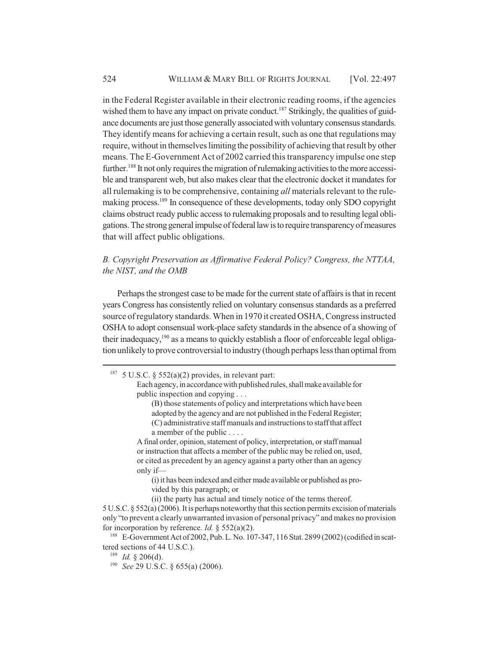in the Federal Register available in their electronic reading rooms, if the agencies wished them to have any impact on private conduct.<sup>187</sup> Strikingly, the qualities of guidance documents are just those generally associated with voluntary consensus standards. They identify means for achieving a certain result, such as one that regulations may require, without in themselves limiting the possibility of achieving that result by other means. The E-Government Act of 2002 carried this transparency impulse one step further.<sup>188</sup> It not only requires the migration of rulemaking activities to the more accessible and transparent web, but also makes clear that the electronic docket it mandates for all rulemaking is to be comprehensive, containing *all* materials relevant to the rulemaking process.189 In consequence of these developments, today only SDO copyright claims obstruct ready public access to rulemaking proposals and to resulting legal obligations. The strong general impulse of federal law is to require transparency of measures that will affect public obligations.

# *B. Copyright Preservation as Affirmative Federal Policy? Congress, the NTTAA, the NIST, and the OMB*

Perhaps the strongest case to be made for the current state of affairs is that in recent years Congress has consistently relied on voluntary consensus standards as a preferred source of regulatory standards. When in 1970 it created OSHA, Congress instructed OSHA to adopt consensual work-place safety standards in the absence of a showing of their inadequacy,190 as a means to quickly establish a floor of enforceable legal obligation unlikely to prove controversial to industry (though perhaps less than optimal from

(B) those statements of policy and interpretations which have been adopted by the agency and are not published in the Federal Register; (C) administrative staff manuals and instructions to staff that affect a member of the public . . . .

A final order, opinion, statement of policy, interpretation, or staff manual or instruction that affects a member of the public may be relied on, used, or cited as precedent by an agency against a party other than an agency only if—

(i) it has been indexed and either made available or published as provided by this paragraph; or

(ii) the party has actual and timely notice of the terms thereof.

<sup>&</sup>lt;sup>187</sup> 5 U.S.C. § 552(a)(2) provides, in relevant part:

Each agency, in accordance with published rules, shall make available for public inspection and copying . . .

<sup>5</sup> U.S.C. § 552(a) (2006). It is perhaps noteworthy that this section permits excision of materials only "to prevent a clearly unwarranted invasion of personal privacy" and makes no provision for incorporation by reference. *Id.* § 552(a)(2).

<sup>188</sup> E-Government Act of 2002, Pub. L. No. 107-347, 116 Stat. 2899 (2002) (codified in scattered sections of 44 U.S.C.).

<sup>189</sup> *Id.* § 206(d).

<sup>190</sup> *See* 29 U.S.C. § 655(a) (2006).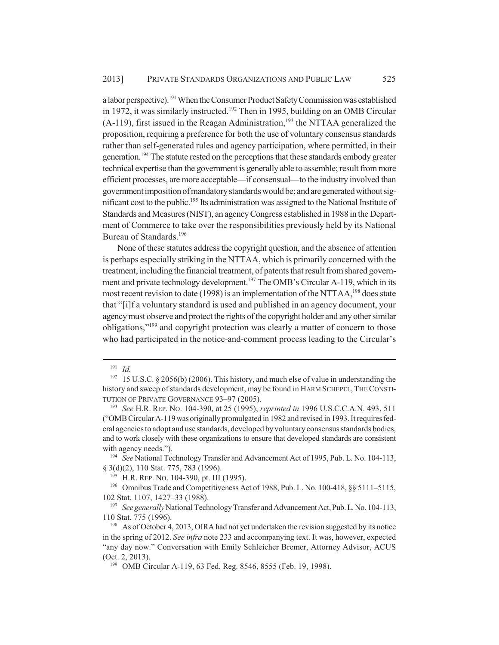a labor perspective).191 When the Consumer Product Safety Commission was established in 1972, it was similarly instructed.<sup>192</sup> Then in 1995, building on an OMB Circular  $(A-119)$ , first issued in the Reagan Administration,<sup>193</sup> the NTTAA generalized the proposition, requiring a preference for both the use of voluntary consensus standards rather than self-generated rules and agency participation, where permitted, in their generation.194 The statute rested on the perceptions that these standards embody greater technical expertise than the government is generally able to assemble; result from more efficient processes, are more acceptable—if consensual—to the industry involved than government imposition of mandatory standards would be; and are generated without significant cost to the public.195 Its administration was assigned to the National Institute of Standards and Measures (NIST), an agency Congress established in 1988 in the Department of Commerce to take over the responsibilities previously held by its National Bureau of Standards.<sup>196</sup>

None of these statutes address the copyright question, and the absence of attention is perhaps especially striking in the NTTAA, which is primarily concerned with the treatment, including the financial treatment, of patents that result from shared government and private technology development.<sup>197</sup> The OMB's Circular A-119, which in its most recent revision to date (1998) is an implementation of the NTTAA,<sup>198</sup> does state that "[i]f a voluntary standard is used and published in an agency document, your agency must observe and protect the rights of the copyright holder and any other similar obligations,"199 and copyright protection was clearly a matter of concern to those who had participated in the notice-and-comment process leading to the Circular's

<sup>191</sup> *Id.*

<sup>&</sup>lt;sup>192</sup> 15 U.S.C. § 2056(b) (2006). This history, and much else of value in understanding the history and sweep of standards development, may be found in HARM SCHEPEL,THE CONSTI-TUTION OF PRIVATE GOVERNANCE 93–97 (2005).

<sup>193</sup> *See* H.R. REP. NO. 104-390, at 25 (1995), *reprinted in* 1996 U.S.C.C.A.N. 493, 511 ("OMB Circular A-119 was originally promulgated in 1982 and revised in 1993. It requires federal agencies to adopt and use standards, developed by voluntary consensus standards bodies, and to work closely with these organizations to ensure that developed standards are consistent with agency needs.").

<sup>194</sup> *See* National Technology Transfer and Advancement Act of 1995, Pub. L. No. 104-113, § 3(d)(2), 110 Stat. 775, 783 (1996).

<sup>&</sup>lt;sup>195</sup> H.R. REP. NO. 104-390, pt. III (1995).

<sup>&</sup>lt;sup>196</sup> Omnibus Trade and Competitiveness Act of 1988, Pub. L. No. 100-418, §§ 5111-5115, 102 Stat. 1107, 1427–33 (1988).

<sup>197</sup> *See generally* National Technology Transfer and Advancement Act, Pub. L. No. 104-113, 110 Stat. 775 (1996).

<sup>&</sup>lt;sup>198</sup> As of October 4, 2013, OIRA had not yet undertaken the revision suggested by its notice in the spring of 2012. *See infra* note 233 and accompanying text. It was, however, expected "any day now." Conversation with Emily Schleicher Bremer, Attorney Advisor, ACUS (Oct. 2, 2013).

<sup>199</sup> OMB Circular A-119, 63 Fed. Reg. 8546, 8555 (Feb. 19, 1998).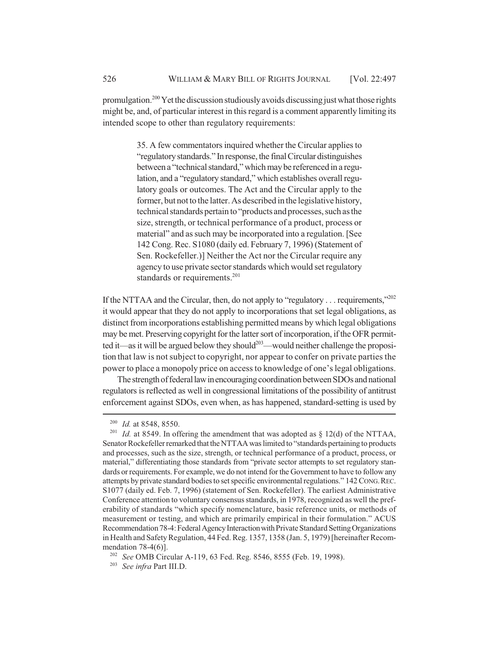promulgation.200 Yet the discussion studiously avoids discussing just what those rights might be, and, of particular interest in this regard is a comment apparently limiting its intended scope to other than regulatory requirements:

> 35. A few commentators inquired whether the Circular applies to "regulatory standards." In response, the final Circular distinguishes between a "technical standard," which may be referenced in a regulation, and a "regulatory standard," which establishes overall regulatory goals or outcomes. The Act and the Circular apply to the former, but not to the latter. As described in the legislative history, technical standards pertain to "products and processes, such as the size, strength, or technical performance of a product, process or material" and as such may be incorporated into a regulation. [See 142 Cong. Rec. S1080 (daily ed. February 7, 1996) (Statement of Sen. Rockefeller.)] Neither the Act nor the Circular require any agency to use private sector standards which would set regulatory standards or requirements.<sup>201</sup>

If the NTTAA and the Circular, then, do not apply to "regulatory . . . requirements,"202 it would appear that they do not apply to incorporations that set legal obligations, as distinct from incorporations establishing permitted means by which legal obligations may be met. Preserving copyright for the latter sort of incorporation, if the OFR permitted it—as it will be argued below they should<sup>203</sup>—would neither challenge the proposition that law is not subject to copyright, nor appear to confer on private parties the power to place a monopoly price on access to knowledge of one's legal obligations.

The strength of federal law in encouraging coordination between SDOs and national regulators is reflected as well in congressional limitations of the possibility of antitrust enforcement against SDOs, even when, as has happened, standard-setting is used by

<sup>&</sup>lt;sup>200</sup> *Id.* at 8548, 8550.<br><sup>201</sup> *Id.* at 8549. In of

*Id.* at 8549. In offering the amendment that was adopted as  $\S$  12(d) of the NTTAA, Senator Rockefeller remarked that the NTTAA was limited to "standards pertaining to products and processes, such as the size, strength, or technical performance of a product, process, or material," differentiating those standards from "private sector attempts to set regulatory standards or requirements. For example, we do not intend for the Government to have to follow any attempts by private standard bodies to set specific environmental regulations." 142 CONG.REC. S1077 (daily ed. Feb. 7, 1996) (statement of Sen. Rockefeller). The earliest Administrative Conference attention to voluntary consensus standards, in 1978, recognized as well the preferability of standards "which specify nomenclature, basic reference units, or methods of measurement or testing, and which are primarily empirical in their formulation." ACUS Recommendation 78-4: Federal Agency Interaction with Private Standard Setting Organizations in Health and Safety Regulation, 44 Fed. Reg. 1357, 1358 (Jan. 5, 1979) [hereinafter Recommendation 78-4(6)].

<sup>202</sup> *See* OMB Circular A-119, 63 Fed. Reg. 8546, 8555 (Feb. 19, 1998).

<sup>203</sup> *See infra* Part III.D.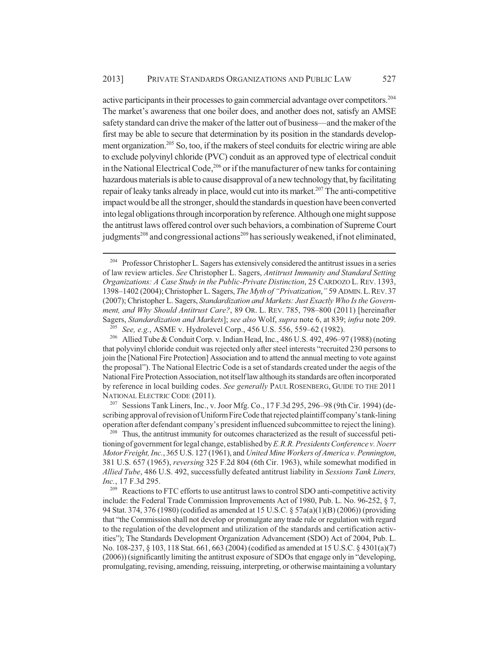active participants in their processes to gain commercial advantage over competitors.204 The market's awareness that one boiler does, and another does not, satisfy an AMSE safety standard can drive the maker of the latter out of business—and the maker of the first may be able to secure that determination by its position in the standards development organization.205 So, too, if the makers of steel conduits for electric wiring are able to exclude polyvinyl chloride (PVC) conduit as an approved type of electrical conduit in the National Electrical Code,<sup>206</sup> or if the manufacturer of new tanks for containing hazardous materials is able to cause disapproval of a new technology that, by facilitating repair of leaky tanks already in place, would cut into its market.<sup>207</sup> The anti-competitive impact would be all the stronger, should the standards in question have been converted into legal obligations through incorporation by reference. Although one might suppose the antitrust laws offered control over such behaviors, a combination of Supreme Court judgments<sup>208</sup> and congressional actions<sup>209</sup> has seriously weakened, if not eliminated,

<sup>207</sup> Sessions Tank Liners, Inc., v. Joor Mfg. Co., 17 F.3d 295, 296–98 (9th Cir. 1994) (describing approval of revision of Uniform Fire Code that rejected plaintiff company's tank-lining operation after defendant company's president influenced subcommittee to reject the lining).

<sup>208</sup> Thus, the antitrust immunity for outcomes characterized as the result of successful petitioning of government for legal change, established by *E.R.R. Presidents Conference v. Noerr Motor Freight, Inc.*, 365 U.S. 127 (1961), and *United Mine Workers of America v. Pennington*, 381 U.S. 657 (1965), *reversing* 325 F.2d 804 (6th Cir. 1963), while somewhat modified in *Allied Tube*, 486 U.S. 492, successfully defeated antitrust liability in *Sessions Tank Liners, Inc.*, 17 F.3d 295.

<sup>209</sup> Reactions to FTC efforts to use antitrust laws to control SDO anti-competitive activity include: the Federal Trade Commission Improvements Act of 1980, Pub. L. No. 96-252, § 7, 94 Stat. 374, 376 (1980) (codified as amended at 15 U.S.C. § 57a(a)(1)(B) (2006)) (providing that "the Commission shall not develop or promulgate any trade rule or regulation with regard to the regulation of the development and utilization of the standards and certification activities"); The Standards Development Organization Advancement (SDO) Act of 2004, Pub. L. No. 108-237, § 103, 118 Stat. 661, 663 (2004) (codified as amended at 15 U.S.C. § 4301(a)(7) (2006)) (significantly limiting the antitrust exposure of SDOs that engage only in "developing, promulgating, revising, amending, reissuing, interpreting, or otherwise maintaining a voluntary

<sup>&</sup>lt;sup>204</sup> Professor Christopher L. Sagers has extensively considered the antitrust issues in a series of law review articles. *See* Christopher L. Sagers, *Antitrust Immunity and Standard Setting Organizations: A Case Study in the Public-Private Distinction*, 25 CARDOZO L. REV. 1393, 1398–1402 (2004); Christopher L. Sagers, *The Myth of "Privatization*,*"* 59 ADMIN.L.REV.37 (2007); Christopher L. Sagers, *Standardization and Markets: Just Exactly Who Is the Government, and Why Should Antitrust Care?*, 89 OR. L. REV. 785, 798–800 (2011) [hereinafter Sagers, *Standardization and Markets*]; *see also* Wolf, *supra* note 6, at 839; *infra* note 209.

<sup>205</sup> *See, e.g.*, ASME v. Hydrolevel Corp., 456 U.S. 556, 559–62 (1982).

<sup>206</sup> Allied Tube & Conduit Corp. v. Indian Head, Inc., 486 U.S. 492, 496–97 (1988) (noting that polyvinyl chloride conduit was rejected only after steel interests "recruited 230 persons to join the [National Fire Protection] Association and to attend the annual meeting to vote against the proposal"). The National Electric Code is a set of standards created under the aegis of the National Fire Protection Association, not itself law although its standards are often incorporated by reference in local building codes. *See generally* PAUL ROSENBERG, GUIDE TO THE 2011 NATIONAL ELECTRIC CODE (2011).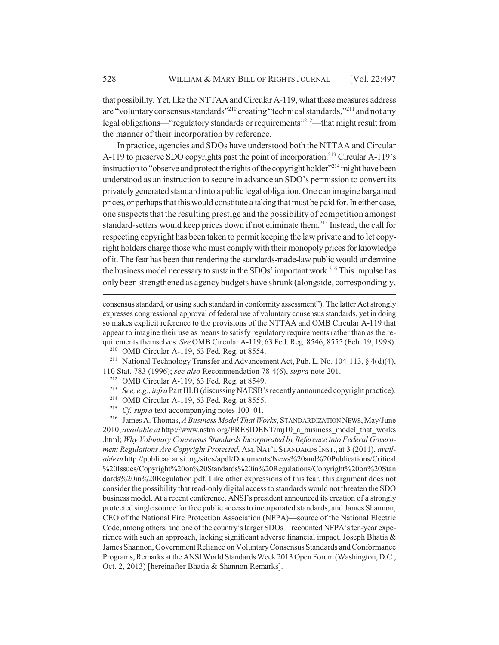that possibility. Yet, like the NTTAA and Circular A-119, what these measures address are "voluntary consensus standards"<sup>210</sup> creating "technical standards,"<sup>211</sup> and not any legal obligations—"regulatory standards or requirements"<sup>212</sup>—that might result from the manner of their incorporation by reference.

In practice, agencies and SDOs have understood both the NTTAA and Circular A-119 to preserve SDO copyrights past the point of incorporation.<sup>213</sup> Circular A-119's instruction to "observe and protect the rights of the copyright holder"<sup>214</sup> might have been understood as an instruction to secure in advance an SDO's permission to convert its privately generated standard into a public legal obligation. One can imagine bargained prices, or perhaps that this would constitute a taking that must be paid for. In either case, one suspects that the resulting prestige and the possibility of competition amongst standard-setters would keep prices down if not eliminate them.<sup>215</sup> Instead, the call for respecting copyright has been taken to permit keeping the law private and to let copyright holders charge those who must comply with their monopoly prices for knowledge of it. The fear has been that rendering the standards-made-law public would undermine the business model necessary to sustain the SDOs' important work.<sup>216</sup> This impulse has only been strengthened as agency budgets have shrunk (alongside, correspondingly,

consensus standard, or using such standard in conformity assessment"). The latter Act strongly expresses congressional approval of federal use of voluntary consensus standards, yet in doing so makes explicit reference to the provisions of the NTTAA and OMB Circular A-119 that appear to imagine their use as means to satisfy regulatory requirements rather than as the requirements themselves. *See* OMB Circular A-119, 63 Fed. Reg. 8546, 8555 (Feb. 19, 1998).

<sup>210</sup> OMB Circular A-119, 63 Fed. Reg. at 8554.<br><sup>211</sup> National Technology Transfer and Advancen

<sup>211</sup> National Technology Transfer and Advancement Act, Pub. L. No. 104-113, § 4(d)(4), 110 Stat. 783 (1996); *see also* Recommendation 78-4(6), *supra* note 201.

<sup>212</sup> OMB Circular A-119, 63 Fed. Reg. at 8549.

- <sup>213</sup> *See, e.g.*, *infra* Part III.B (discussing NAESB's recently announced copyright practice).
- <sup>214</sup> OMB Circular A-119, 63 Fed. Reg. at 8555.<br><sup>215</sup> Cf sunra text accompanying notes 100–01
- *Cf. supra* text accompanying notes 100–01.

<sup>216</sup> James A. Thomas, *A Business Model That Works*, STANDARDIZATION NEWS, May/June 2010, *available at* http://www.astm.org/PRESIDENT/mj10\_a\_business\_model\_that\_works .html; *Why Voluntary Consensus Standards Incorporated by Reference into Federal Government Regulations Are Copyright Protected*, AM. NAT'L STANDARDS INST., at 3 (2011), *available at* http://publicaa.ansi.org/sites/apdl/Documents/News%20and%20Publications/Critical %20Issues/Copyright%20on%20Standards%20in%20Regulations/Copyright%20on%20Stan dards%20in%20Regulation.pdf. Like other expressions of this fear, this argument does not consider the possibility that read-only digital access to standards would not threaten the SDO business model. At a recent conference, ANSI's president announced its creation of a strongly protected single source for free public access to incorporated standards, and James Shannon, CEO of the National Fire Protection Association (NFPA)—source of the National Electric Code, among others, and one of the country's larger SDOs—recounted NFPA's ten-year experience with such an approach, lacking significant adverse financial impact. Joseph Bhatia & James Shannon, Government Reliance on Voluntary Consensus Standards and Conformance Programs, Remarks at the ANSI World Standards Week 2013 Open Forum (Washington, D.C., Oct. 2, 2013) [hereinafter Bhatia & Shannon Remarks].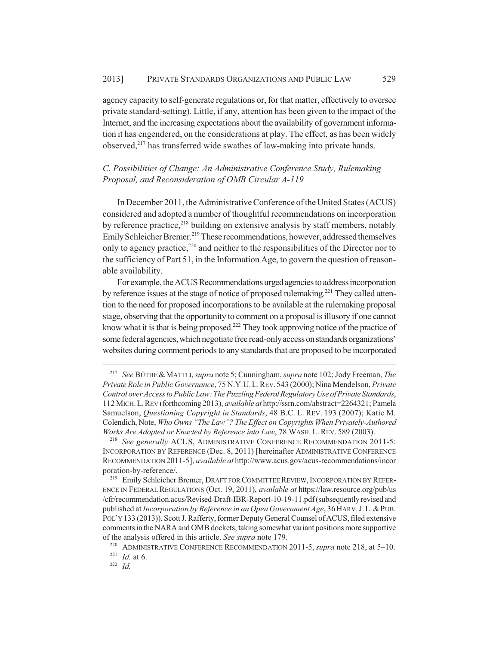agency capacity to self-generate regulations or, for that matter, effectively to oversee private standard-setting). Little, if any, attention has been given to the impact of the Internet, and the increasing expectations about the availability of government information it has engendered, on the considerations at play. The effect, as has been widely observed, $2^{17}$  has transferred wide swathes of law-making into private hands.

# *C. Possibilities of Change: An Administrative Conference Study, Rulemaking Proposal, and Reconsideration of OMB Circular A-119*

In December 2011, the Administrative Conference of the United States (ACUS) considered and adopted a number of thoughtful recommendations on incorporation by reference practice, $218$  building on extensive analysis by staff members, notably Emily Schleicher Bremer.<sup>219</sup> These recommendations, however, addressed themselves only to agency practice,<sup>220</sup> and neither to the responsibilities of the Director nor to the sufficiency of Part 51, in the Information Age, to govern the question of reasonable availability.

For example, the ACUS Recommendations urged agencies to address incorporation by reference issues at the stage of notice of proposed rulemaking.<sup>221</sup> They called attention to the need for proposed incorporations to be available at the rulemaking proposal stage, observing that the opportunity to comment on a proposal is illusory if one cannot know what it is that is being proposed.<sup>222</sup> They took approving notice of the practice of some federal agencies, which negotiate free read-only access on standards organizations' websites during comment periods to any standards that are proposed to be incorporated

<sup>217</sup> *See* BÜTHE &MATTLI, *supra* note 5; Cunningham, *supra* note 102; Jody Freeman, *The Private Role in Public Governance*, 75 N.Y.U.L.REV.543 (2000); Nina Mendelson, *Private Control over Access to Public Law: The Puzzling Federal Regulatory Use of Private Standards*, 112 MICH.L.REV (forthcoming 2013), *available at* http://ssrn.com/abstract=2264321; Pamela Samuelson, *Questioning Copyright in Standards*, 48 B.C. L. REV. 193 (2007); Katie M. Colendich, Note, *Who Owns "The Law"? The Effect on Copyrights When Privately-Authored Works Are Adopted or Enacted by Reference into Law*, 78 WASH. L. REV. 589 (2003).

<sup>218</sup> *See generally* ACUS, ADMINISTRATIVE CONFERENCE RECOMMENDATION 2011-5: INCORPORATION BY REFERENCE (Dec. 8, 2011) [hereinafter ADMINISTRATIVE CONFERENCE RECOMMENDATION 2011-5], *available at* http://www.acus.gov/acus-recommendations/incor poration-by-reference/.

<sup>&</sup>lt;sup>219</sup> Emily Schleicher Bremer, DRAFT FOR COMMITTEE REVIEW, INCORPORATION BY REFER-ENCE IN FEDERAL REGULATIONS (Oct. 19, 2011), *available at* https://law.resource.org/pub/us /cfr/recommendation.acus/Revised-Draft-IBR-Report-10-19-11.pdf (subsequently revised and published at *Incorporation by Reference in an Open Government Age*, 36HARV.J.L.&PUB. POL'Y 133 (2013)). Scott J. Rafferty, former Deputy General Counsel of ACUS, filed extensive comments in the NARA and OMB dockets, taking somewhat variant positions more supportive of the analysis offered in this article. *See supra* note 179.

<sup>220</sup> ADMINISTRATIVE CONFERENCE RECOMMENDATION 2011-5, *supra* note 218, at 5–10.

<sup>221</sup> *Id.* at 6.

<sup>222</sup> *Id.*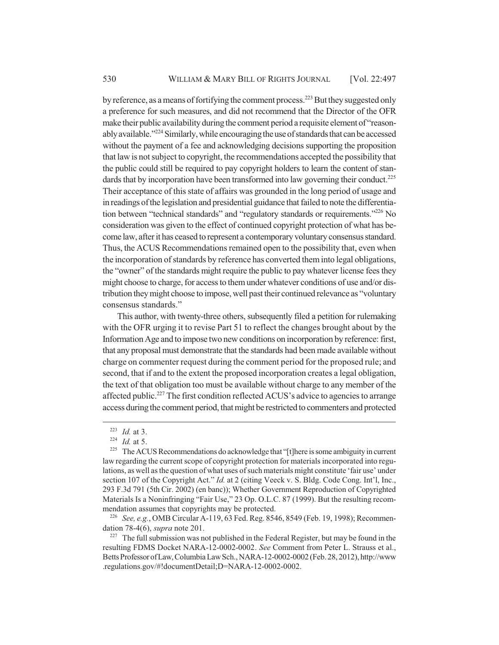by reference, as a means of fortifying the comment process.<sup>223</sup> But they suggested only a preference for such measures, and did not recommend that the Director of the OFR make their public availability during the comment period a requisite element of "reasonably available."<sup>224</sup> Similarly, while encouraging the use of standards that can be accessed without the payment of a fee and acknowledging decisions supporting the proposition that law is not subject to copyright, the recommendations accepted the possibility that the public could still be required to pay copyright holders to learn the content of standards that by incorporation have been transformed into law governing their conduct.<sup>225</sup> Their acceptance of this state of affairs was grounded in the long period of usage and in readings of the legislation and presidential guidance that failed to note the differentiation between "technical standards" and "regulatory standards or requirements."<sup>226</sup> No consideration was given to the effect of continued copyright protection of what has become law, after it has ceased to represent a contemporary voluntary consensus standard. Thus, the ACUS Recommendations remained open to the possibility that, even when the incorporation of standards by reference has converted them into legal obligations, the "owner" of the standards might require the public to pay whatever license fees they might choose to charge, for access to them under whatever conditions of use and/or distribution they might choose to impose, well past their continued relevance as "voluntary consensus standards."

This author, with twenty-three others, subsequently filed a petition for rulemaking with the OFR urging it to revise Part 51 to reflect the changes brought about by the Information Age and to impose two new conditions on incorporation by reference: first, that any proposal must demonstrate that the standards had been made available without charge on commenter request during the comment period for the proposed rule; and second, that if and to the extent the proposed incorporation creates a legal obligation, the text of that obligation too must be available without charge to any member of the affected public.<sup>227</sup> The first condition reflected ACUS's advice to agencies to arrange access during the comment period, that might be restricted to commenters and protected

<sup>226</sup> *See, e.g.*, OMB Circular A-119, 63 Fed. Reg. 8546, 8549 (Feb. 19, 1998); Recommendation 78-4(6), *supra* note 201.

 $227$  The full submission was not published in the Federal Register, but may be found in the resulting FDMS Docket NARA-12-0002-0002. *See* Comment from Peter L. Strauss et al., Betts Professor of Law, Columbia Law Sch., NARA-12-0002-0002 (Feb. 28, 2012), http://www .regulations.gov/#!documentDetail;D=NARA-12-0002-0002.

<sup>223</sup> *Id.* at 3.

 $^{224}$  *Id.* at 5.

<sup>&</sup>lt;sup>225</sup> The ACUS Recommendations do acknowledge that "[t]here is some ambiguity in current law regarding the current scope of copyright protection for materials incorporated into regulations, as well as the question of what uses of such materials might constitute 'fair use' under section 107 of the Copyright Act." *Id.* at 2 (citing Veeck v. S. Bldg. Code Cong. Int'l, Inc., 293 F.3d 791 (5th Cir. 2002) (en banc)); Whether Government Reproduction of Copyrighted Materials Is a Noninfringing "Fair Use," 23 Op. O.L.C. 87 (1999). But the resulting recommendation assumes that copyrights may be protected.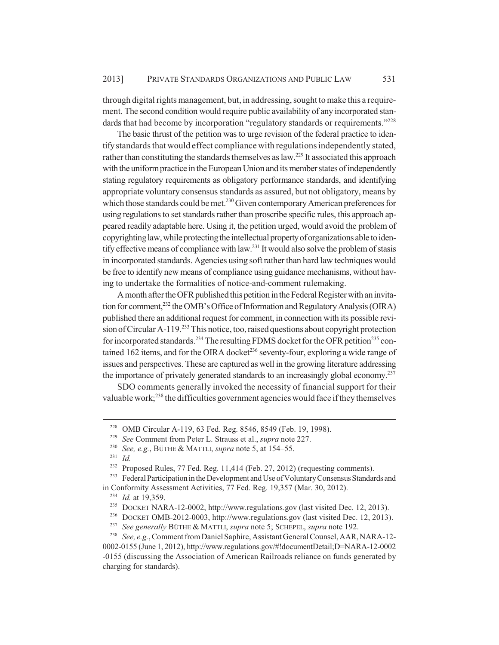through digital rights management, but, in addressing, sought to make this a requirement. The second condition would require public availability of any incorporated standards that had become by incorporation "regulatory standards or requirements."<sup>228</sup>

The basic thrust of the petition was to urge revision of the federal practice to identify standards that would effect compliance with regulations independently stated, rather than constituting the standards themselves as law.<sup>229</sup> It associated this approach with the uniform practice in the European Union and its member states of independently stating regulatory requirements as obligatory performance standards, and identifying appropriate voluntary consensus standards as assured, but not obligatory, means by which those standards could be met.<sup>230</sup> Given contemporary American preferences for using regulations to set standards rather than proscribe specific rules, this approach appeared readily adaptable here. Using it, the petition urged, would avoid the problem of copyrighting law, while protecting the intellectual property of organizations able to identify effective means of compliance with law.231 It would also solve the problem of stasis in incorporated standards. Agencies using soft rather than hard law techniques would be free to identify new means of compliance using guidance mechanisms, without having to undertake the formalities of notice-and-comment rulemaking.

A month after the OFR published this petition in the Federal Register with an invitation for comment,<sup>232</sup> the OMB's Office of Information and Regulatory Analysis (OIRA) published there an additional request for comment, in connection with its possible revision of Circular A-119.<sup>233</sup> This notice, too, raised questions about copyright protection for incorporated standards.<sup>234</sup> The resulting FDMS docket for the OFR petition<sup>235</sup> contained 162 items, and for the OIRA docket<sup>236</sup> seventy-four, exploring a wide range of issues and perspectives. These are captured as well in the growing literature addressing the importance of privately generated standards to an increasingly global economy.<sup>237</sup>

SDO comments generally invoked the necessity of financial support for their valuable work;<sup>238</sup> the difficulties government agencies would face if they themselves

<sup>&</sup>lt;sup>228</sup> OMB Circular A-119, 63 Fed. Reg. 8546, 8549 (Feb. 19, 1998).<br><sup>229</sup> See Comment from Peter L. Strauss et al. *sunra* note 227.

<sup>&</sup>lt;sup>229</sup> *See* Comment from Peter L. Strauss et al., *supra* note 227.<br><sup>230</sup> *See e g* RÜTHE & MATTH *supra* note 5 at 154–55

<sup>230</sup> *See, e.g.*, BÜTHE & MATTLI, *supra* note 5, at 154–55.

<sup>231</sup> *Id.*

<sup>&</sup>lt;sup>232</sup> Proposed Rules, 77 Fed. Reg. 11,414 (Feb. 27, 2012) (requesting comments).<br><sup>233</sup> Federal Participation in the Development and Use of Voluntary Consensus Standar

Federal Participation in the Development and Use of Voluntary Consensus Standards and

in Conformity Assessment Activities, 77 Fed. Reg. 19,357 (Mar. 30, 2012).

<sup>234</sup> *Id.* at 19,359.

<sup>235</sup> DOCKET NARA-12-0002, http://www.regulations.gov (last visited Dec. 12, 2013).

<sup>&</sup>lt;sup>236</sup> DOCKET OMB-2012-0003, http://www.regulations.gov (last visited Dec. 12, 2013).<br><sup>237</sup> See generally BÜTHE & MATTL sunra note 5: SCHEPEL, sunra note 192

<sup>237</sup> *See generally* BÜTHE & MATTLI, *supra* note 5; SCHEPEL, *supra* note 192.

<sup>238</sup> *See, e.g.*, Comment from Daniel Saphire, Assistant General Counsel, AAR, NARA-12- 0002-0155 (June 1, 2012), http://www.regulations.gov/#!documentDetail;D=NARA-12-0002 -0155 (discussing the Association of American Railroads reliance on funds generated by charging for standards).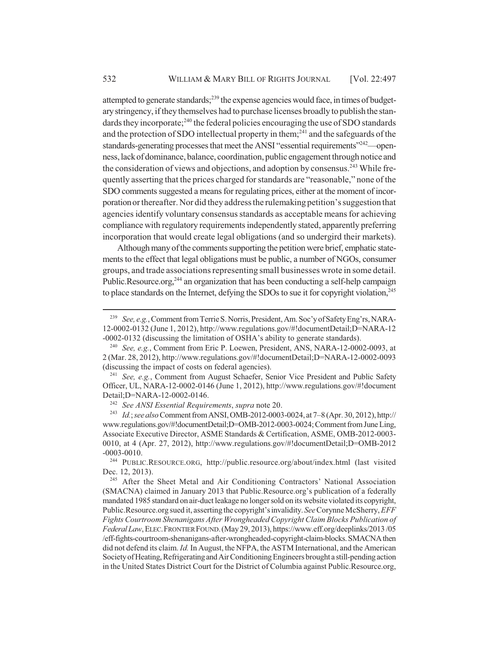attempted to generate standards;<sup>239</sup> the expense agencies would face, in times of budgetary stringency, if they themselves had to purchase licenses broadly to publish the standards they incorporate;<sup>240</sup> the federal policies encouraging the use of SDO standards and the protection of SDO intellectual property in them;<sup>241</sup> and the safeguards of the standards-generating processes that meet the ANSI "essential requirements"<sup>242</sup>—openness, lack of dominance, balance, coordination, public engagement through notice and the consideration of views and objections, and adoption by consensus.<sup>243</sup> While frequently asserting that the prices charged for standards are "reasonable," none of the SDO comments suggested a means for regulating prices, either at the moment of incorporation or thereafter. Nor did they address the rulemaking petition's suggestion that agencies identify voluntary consensus standards as acceptable means for achieving compliance with regulatory requirements independently stated, apparently preferring incorporation that would create legal obligations (and so undergird their markets).

Although many of the comments supporting the petition were brief, emphatic statements to the effect that legal obligations must be public, a number of NGOs, consumer groups, and trade associations representing small businesses wrote in some detail. Public.Resource.org,<sup>244</sup> an organization that has been conducting a self-help campaign to place standards on the Internet, defying the SDOs to sue it for copyright violation,<sup>245</sup>

<sup>239</sup> *See, e.g.*, Comment from Terrie S. Norris, President, Am. Soc'y of Safety Eng'rs, NARA-12-0002-0132 (June 1, 2012), http://www.regulations.gov/#!documentDetail;D=NARA-12 -0002-0132 (discussing the limitation of OSHA's ability to generate standards).

<sup>240</sup> *See, e.g.*, Comment from Eric P. Loewen, President, ANS, NARA-12-0002-0093, at 2 (Mar. 28, 2012), http://www.regulations.gov/#!documentDetail;D=NARA-12-0002-0093 (discussing the impact of costs on federal agencies).

<sup>241</sup> *See, e.g.*, Comment from August Schaefer, Senior Vice President and Public Safety Officer, UL, NARA-12-0002-0146 (June 1, 2012), http://www.regulations.gov/#!document Detail;D=NARA-12-0002-0146.

<sup>242</sup> *See ANSI Essential Requirements*, *supra* note 20.

<sup>243</sup> *Id.*; *see also* Comment from ANSI, OMB-2012-0003-0024, at 7–8 (Apr. 30, 2012), http:// www.regulations.gov/#!documentDetail;D=OMB-2012-0003-0024; Comment from June Ling, Associate Executive Director, ASME Standards & Certification, ASME, OMB-2012-0003- 0010, at 4 (Apr. 27, 2012), http://www.regulations.gov/#!documentDetail;D=OMB-2012 -0003-0010.

<sup>244</sup> PUBLIC.RESOURCE.ORG, http://public.resource.org/about/index.html (last visited Dec. 12, 2013).

<sup>&</sup>lt;sup>245</sup> After the Sheet Metal and Air Conditioning Contractors' National Association (SMACNA) claimed in January 2013 that Public.Resource.org's publication of a federally mandated 1985 standard on air-duct leakage no longer sold on its website violated its copyright, Public.Resource.org sued it, asserting the copyright's invalidity. *See* Corynne McSherry, *EFF Fights Courtroom Shenanigans After Wrongheaded Copyright Claim Blocks Publication of Federal Law*, ELEC.FRONTIER FOUND.(May 29, 2013), https://www.eff.org/deeplinks/2013 /05 /eff-fights-courtroom-shenanigans-after-wrongheaded-copyright-claim-blocks. SMACNA then did not defend its claim. *Id.* In August, the NFPA, the ASTM International, and the American Society of Heating, Refrigerating and Air Conditioning Engineers brought a still-pending action in the United States District Court for the District of Columbia against Public.Resource.org,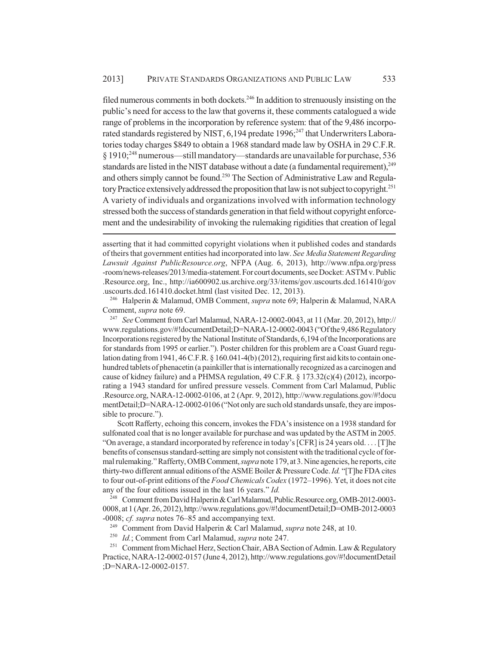filed numerous comments in both dockets.<sup>246</sup> In addition to strenuously insisting on the public's need for access to the law that governs it, these comments catalogued a wide range of problems in the incorporation by reference system: that of the 9,486 incorporated standards registered by NIST,  $6,194$  predate  $1996$ ;<sup>247</sup> that Underwriters Laboratories today charges \$849 to obtain a 1968 standard made law by OSHA in 29 C.F.R. § 1910;248 numerous—still mandatory—standards are unavailable for purchase, 536 standards are listed in the NIST database without a date (a fundamental requirement), $^{249}$ and others simply cannot be found.<sup>250</sup> The Section of Administrative Law and Regulatory Practice extensively addressed the proposition that law is not subject to copyright.<sup>251</sup> A variety of individuals and organizations involved with information technology stressed both the success of standards generation in that field without copyright enforcement and the undesirability of invoking the rulemaking rigidities that creation of legal

<sup>246</sup> Halperin & Malamud, OMB Comment, *supra* note 69; Halperin & Malamud, NARA Comment, *supra* note 69.

<sup>247</sup> *See* Comment from Carl Malamud, NARA-12-0002-0043, at 11 (Mar. 20, 2012), http:// www.regulations.gov/#!documentDetail;D=NARA-12-0002-0043 ("Of the 9,486 Regulatory Incorporations registered by the National Institute of Standards, 6,194 of the Incorporations are for standards from 1995 or earlier."). Poster children for this problem are a Coast Guard regulation dating from 1941, 46 C.F.R. § 160.041-4(b) (2012), requiring first aid kits to contain onehundred tablets of phenacetin (a painkiller that is internationally recognized as a carcinogen and cause of kidney failure) and a PHMSA regulation, 49 C.F.R. § 173.32(c)(4) (2012), incorporating a 1943 standard for unfired pressure vessels. Comment from Carl Malamud, Public .Resource.org, NARA-12-0002-0106, at 2 (Apr. 9, 2012), http://www.regulations.gov/#!docu mentDetail;D=NARA-12-0002-0106 ("Not only are such old standards unsafe, they are impossible to procure.").

Scott Rafferty, echoing this concern, invokes the FDA's insistence on a 1938 standard for sulfonated coal that is no longer available for purchase and was updated by the ASTM in 2005. "On average, a standard incorporated by reference in today's [CFR] is 24 years old. . . . [T]he benefits of consensus standard-setting are simply not consistent with the traditional cycle of formal rulemaking." Rafferty, OMB Comment, *supra* note 179, at 3. Nine agencies, he reports, cite thirty-two different annual editions of the ASME Boiler & Pressure Code. *Id.* "[T]he FDA cites to four out-of-print editions of the *Food Chemicals Codex* (1972–1996). Yet, it does not cite any of the four editions issued in the last 16 years." *Id.*

<sup>248</sup> Comment from David Halperin & Carl Malamud, Public.Resource.org, OMB-2012-0003- 0008, at 1 (Apr. 26, 2012), http://www.regulations.gov/#!documentDetail;D=OMB-2012-0003 -0008; *cf. supra* notes 76–85 and accompanying text.

<sup>249</sup> Comment from David Halperin & Carl Malamud, *supra* note 248, at 10.

<sup>250</sup> *Id.*; Comment from Carl Malamud, *supra* note 247.

<sup>251</sup> Comment from Michael Herz, Section Chair, ABA Section of Admin. Law & Regulatory Practice, NARA-12-0002-0157 (June 4, 2012), http://www.regulations.gov/#!documentDetail ;D=NARA-12-0002-0157.

asserting that it had committed copyright violations when it published codes and standards of theirs that government entities had incorporated into law. *See Media Statement Regarding Lawsuit Against PublicResource.org*, NFPA (Aug. 6, 2013), http://www.nfpa.org/press -room/news-releases/2013/media-statement. For court documents, see Docket: ASTM v. Public .Resource.org, Inc., http://ia600902.us.archive.org/33/items/gov.uscourts.dcd.161410/gov .uscourts.dcd.161410.docket.html (last visited Dec. 12, 2013).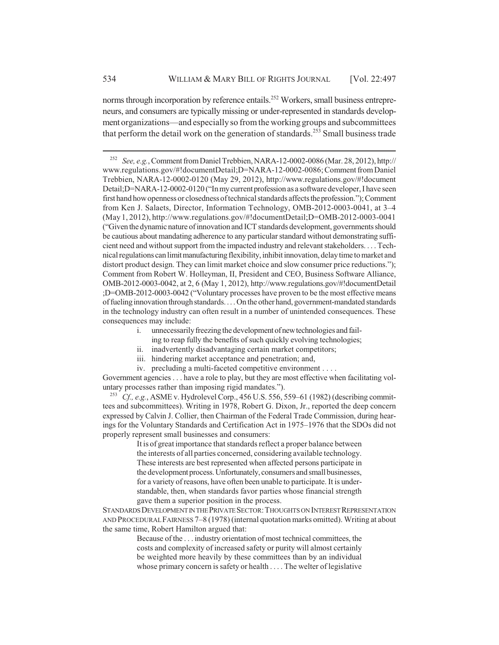norms through incorporation by reference entails.<sup>252</sup> Workers, small business entrepreneurs, and consumers are typically missing or under-represented in standards development organizations—and especially so from the working groups and subcommittees that perform the detail work on the generation of standards.<sup>253</sup> Small business trade

- i. unnecessarily freezing the development of new technologies and failing to reap fully the benefits of such quickly evolving technologies;
- ii. inadvertently disadvantaging certain market competitors;
- iii. hindering market acceptance and penetration; and,
- iv. precluding a multi-faceted competitive environment . . . .

Government agencies . . . have a role to play, but they are most effective when facilitating voluntary processes rather than imposing rigid mandates.").

<sup>253</sup> *Cf., e.g.*, ASME v. Hydrolevel Corp., 456 U.S. 556, 559–61 (1982) (describing committees and subcommittees). Writing in 1978, Robert G. Dixon, Jr., reported the deep concern expressed by Calvin J. Collier, then Chairman of the Federal Trade Commission, during hearings for the Voluntary Standards and Certification Act in 1975–1976 that the SDOs did not properly represent small businesses and consumers:

> It is of great importance that standards reflect a proper balance between the interests of all parties concerned, considering available technology. These interests are best represented when affected persons participate in the development process. Unfortunately, consumers and small businesses, for a variety of reasons, have often been unable to participate. It is understandable, then, when standards favor parties whose financial strength gave them a superior position in the process.

STANDARDS DEVELOPMENT IN THE PRIVATE SECTOR:THOUGHTS ON INTEREST REPRESENTATION AND PROCEDURAL FAIRNESS 7–8 (1978) (internal quotation marks omitted). Writing at about the same time, Robert Hamilton argued that:

> Because of the . . . industry orientation of most technical committees, the costs and complexity of increased safety or purity will almost certainly be weighted more heavily by these committees than by an individual whose primary concern is safety or health . . . . The welter of legislative

<sup>252</sup> *See, e.g.*, Comment from Daniel Trebbien, NARA-12-0002-0086 (Mar. 28, 2012), http:// www.regulations.gov/#!documentDetail;D=NARA-12-0002-0086; Comment from Daniel Trebbien, NARA-12-0002-0120 (May 29, 2012), http://www.regulations.gov/#!document Detail;D=NARA-12-0002-0120 ("In my current profession as a software developer, I have seen first hand how openness or closedness of technical standards affects the profession."); Comment from Ken J. Salaets, Director, Information Technology, OMB-2012-0003-0041, at 3–4 (May 1, 2012), http://www.regulations.gov/#!documentDetail;D=OMB-2012-0003-0041 ("Given the dynamic nature of innovation and ICT standards development, governments should be cautious about mandating adherence to any particular standard without demonstrating sufficient need and without support from the impacted industry and relevant stakeholders. . . . Technical regulations can limit manufacturing flexibility, inhibit innovation, delay time to market and distort product design. They can limit market choice and slow consumer price reductions."); Comment from Robert W. Holleyman, II, President and CEO, Business Software Alliance, OMB-2012-0003-0042, at 2, 6 (May 1, 2012), http://www.regulations.gov/#!documentDetail ;D=OMB-2012-0003-0042 ("Voluntary processes have proven to be the most effective means of fueling innovation through standards. . . . On the other hand, government-mandated standards in the technology industry can often result in a number of unintended consequences. These consequences may include: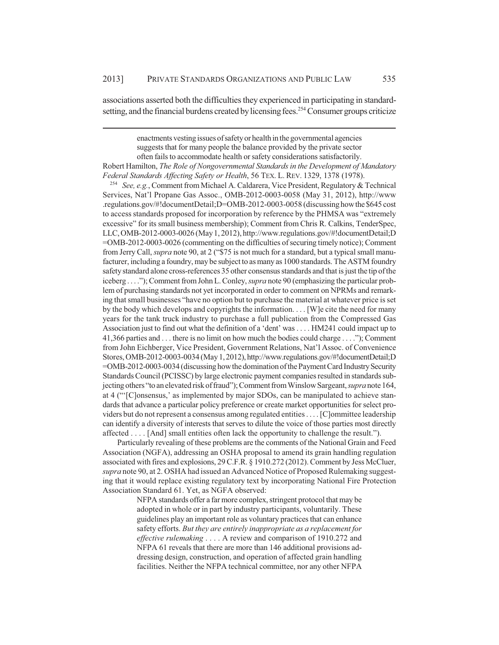associations asserted both the difficulties they experienced in participating in standardsetting, and the financial burdens created by licensing fees.<sup>254</sup> Consumer groups criticize

> enactments vesting issues of safety or health in the governmental agencies suggests that for many people the balance provided by the private sector

often fails to accommodate health or safety considerations satisfactorily.

Robert Hamilton, *The Role of Nongovernmental Standards in the Development of Mandatory Federal Standards Affecting Safety or Health*, 56 TEX. L. REV. 1329, 1378 (1978).

<sup>254</sup> *See, e.g.*, Comment from Michael A. Caldarera, Vice President, Regulatory & Technical Services, Nat'l Propane Gas Assoc., OMB-2012-0003-0058 (May 31, 2012), http://www .regulations.gov/#!documentDetail;D=OMB-2012-0003-0058 (discussing how the \$645 cost to access standards proposed for incorporation by reference by the PHMSA was "extremely excessive" for its small business membership); Comment from Chris R. Calkins, TenderSpec, LLC, OMB-2012-0003-0026 (May 1, 2012), http://www.regulations.gov/#!documentDetail;D =OMB-2012-0003-0026 (commenting on the difficulties of securing timely notice); Comment from Jerry Call, *supra* note 90, at 2 ("\$75 is not much for a standard, but a typical small manufacturer, including a foundry, may be subject to as many as 1000 standards. The ASTM foundry safety standard alone cross-references 35 other consensus standards and that is just the tip of the iceberg . . . ."); Comment from John L. Conley, *supra* note 90 (emphasizing the particular problem of purchasing standards not yet incorporated in order to comment on NPRMs and remarking that small businesses "have no option but to purchase the material at whatever price is set by the body which develops and copyrights the information. . . . [W]e cite the need for many years for the tank truck industry to purchase a full publication from the Compressed Gas Association just to find out what the definition of a 'dent' was . . . . HM241 could impact up to 41,366 parties and . . . there is no limit on how much the bodies could charge . . . ."); Comment from John Eichberger, Vice President, Government Relations, Nat'l Assoc. of Convenience Stores, OMB-2012-0003-0034 (May 1, 2012), http://www.regulations.gov/#!documentDetail;D =OMB-2012-0003-0034 (discussing how the domination of the Payment Card Industry Security Standards Council (PCISSC) by large electronic payment companies resulted in standards subjecting others "to an elevated risk of fraud"); Comment from Winslow Sargeant, *supra* note 164, at 4 ("'[C]onsensus,' as implemented by major SDOs, can be manipulated to achieve standards that advance a particular policy preference or create market opportunities for select providers but do not represent a consensus among regulated entities . . . . [C]ommittee leadership can identify a diversity of interests that serves to dilute the voice of those parties most directly affected . . . . [And] small entities often lack the opportunity to challenge the result.").

Particularly revealing of these problems are the comments of the National Grain and Feed Association (NGFA), addressing an OSHA proposal to amend its grain handling regulation associated with fires and explosions, 29 C.F.R. § 1910.272 (2012). Comment by Jess McCluer, *supra* note 90, at 2. OSHA had issued an Advanced Notice of Proposed Rulemaking suggesting that it would replace existing regulatory text by incorporating National Fire Protection Association Standard 61. Yet, as NGFA observed:

> NFPA standards offer a far more complex, stringent protocol that may be adopted in whole or in part by industry participants, voluntarily. These guidelines play an important role as voluntary practices that can enhance safety efforts. *But they are entirely inappropriate as a replacement for effective rulemaking* . . . . A review and comparison of 1910.272 and NFPA 61 reveals that there are more than 146 additional provisions addressing design, construction, and operation of affected grain handling facilities. Neither the NFPA technical committee, nor any other NFPA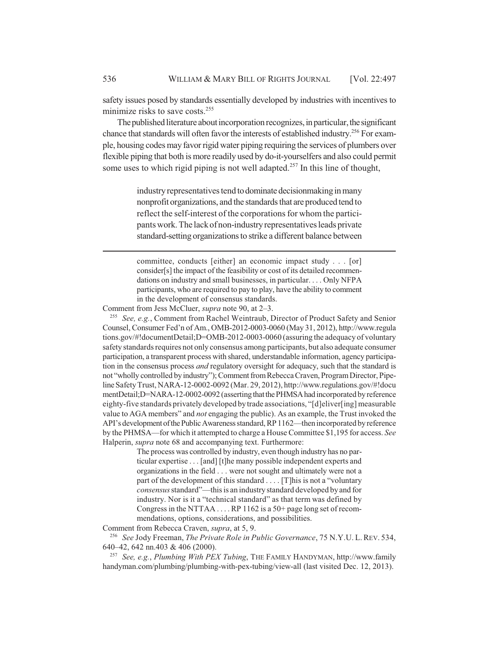safety issues posed by standards essentially developed by industries with incentives to minimize risks to save costs.<sup>255</sup>

The published literature about incorporation recognizes, in particular, the significant chance that standards will often favor the interests of established industry.<sup>256</sup> For example, housing codes may favor rigid water piping requiring the services of plumbers over flexible piping that both is more readily used by do-it-yourselfers and also could permit some uses to which rigid piping is not well adapted.<sup>257</sup> In this line of thought,

> industry representatives tend to dominate decisionmaking in many nonprofit organizations, and the standards that are produced tend to reflect the self-interest of the corporations for whom the participants work. The lack of non-industry representatives leads private standard-setting organizations to strike a different balance between

> committee, conducts [either] an economic impact study . . . [or] consider[s] the impact of the feasibility or cost of its detailed recommendations on industry and small businesses, in particular. . . . Only NFPA participants, who are required to pay to play, have the ability to comment in the development of consensus standards.

Comment from Jess McCluer, *supra* note 90, at 2–3.

<sup>255</sup> *See, e.g.*, Comment from Rachel Weintraub, Director of Product Safety and Senior Counsel, Consumer Fed'n of Am., OMB-2012-0003-0060 (May 31, 2012), http://www.regula tions.gov/#!documentDetail;D=OMB-2012-0003-0060 (assuring the adequacy of voluntary safety standards requires not only consensus among participants, but also adequate consumer participation, a transparent process with shared, understandable information, agency participation in the consensus process *and* regulatory oversight for adequacy, such that the standard is not "wholly controlled by industry"); Comment from Rebecca Craven, Program Director, Pipeline Safety Trust, NARA-12-0002-0092 (Mar. 29, 2012), http://www.regulations.gov/#!docu mentDetail;D=NARA-12-0002-0092 (asserting that the PHMSA had incorporated by reference eighty-five standards privately developed by trade associations, "[d]eliver[ing] measurable value to AGA members" and *not* engaging the public). As an example, the Trust invoked the API's development of the Public Awareness standard, RP 1162—then incorporated by reference by the PHMSA—for which it attempted to charge a House Committee \$1,195 for access. *See* Halperin, *supra* note 68 and accompanying text. Furthermore:

> The process was controlled by industry, even though industry has no particular expertise . . . [and] [t]he many possible independent experts and organizations in the field . . . were not sought and ultimately were not a part of the development of this standard . . . . [T]his is not a "voluntary *consensus* standard"—this is an industry standard developed by and for industry. Nor is it a "technical standard" as that term was defined by Congress in the NTTAA . . . . RP 1162 is a 50+ page long set of recommendations, options, considerations, and possibilities.

Comment from Rebecca Craven, *supra*, at 5, 9.

<sup>256</sup> *See* Jody Freeman, *The Private Role in Public Governance*, 75 N.Y.U. L. REV. 534, 640–42, 642 nn.403 & 406 (2000).

<sup>257</sup> *See, e.g.*, *Plumbing With PEX Tubing*, THE FAMILY HANDYMAN, http://www.family handyman.com/plumbing/plumbing-with-pex-tubing/view-all (last visited Dec. 12, 2013).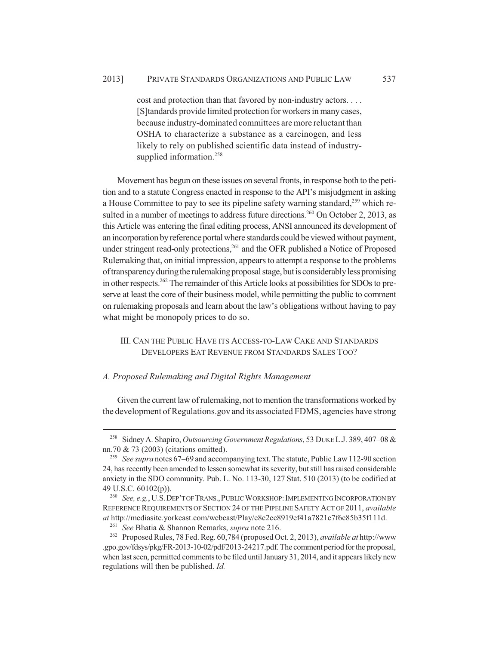cost and protection than that favored by non-industry actors. . . . [S]tandards provide limited protection for workers in many cases, because industry-dominated committees are more reluctant than OSHA to characterize a substance as a carcinogen, and less likely to rely on published scientific data instead of industrysupplied information.<sup>258</sup>

Movement has begun on these issues on several fronts, in response both to the petition and to a statute Congress enacted in response to the API's misjudgment in asking a House Committee to pay to see its pipeline safety warning standard,<sup>259</sup> which resulted in a number of meetings to address future directions.<sup>260</sup> On October 2, 2013, as this Article was entering the final editing process, ANSI announced its development of an incorporation by reference portal where standards could be viewed without payment, under stringent read-only protections,  $261$  and the OFR published a Notice of Proposed Rulemaking that, on initial impression, appears to attempt a response to the problems of transparency during the rulemaking proposal stage, but is considerably less promising in other respects.<sup>262</sup> The remainder of this Article looks at possibilities for SDOs to preserve at least the core of their business model, while permitting the public to comment on rulemaking proposals and learn about the law's obligations without having to pay what might be monopoly prices to do so.

# III. CAN THE PUBLIC HAVE ITS ACCESS-TO-LAW CAKE AND STANDARDS DEVELOPERS EAT REVENUE FROM STANDARDS SALES TOO?

## *A. Proposed Rulemaking and Digital Rights Management*

Given the current law of rulemaking, not to mention the transformations worked by the development of Regulations.gov and its associated FDMS, agencies have strong

<sup>258</sup> Sidney A. Shapiro, *Outsourcing Government Regulations*, 53 DUKE L.J. 389, 407–08 & nn.70 & 73 (2003) (citations omitted).

<sup>259</sup> *See supra* notes 67–69 and accompanying text. The statute, Public Law 112-90 section 24, has recently been amended to lessen somewhat its severity, but still has raised considerable anxiety in the SDO community. Pub. L. No. 113-30, 127 Stat. 510 (2013) (to be codified at 49 U.S.C. 60102(p)).

<sup>260</sup> *See, e.g.*, U.S.DEP'T OF TRANS.,PUBLIC WORKSHOP:IMPLEMENTING INCORPORATION BY REFERENCE REQUIREMENTS OF SECTION 24 OF THE PIPELINE SAFETY ACT OF 2011, *available at* http://mediasite.yorkcast.com/webcast/Play/e8c2cc8919ef41a7821e7f6c85b35f111d.

<sup>261</sup> *See* Bhatia & Shannon Remarks, *supra* note 216.

<sup>262</sup> Proposed Rules, 78 Fed. Reg. 60,784 (proposed Oct. 2, 2013), *available at* http://www .gpo.gov/fdsys/pkg/FR-2013-10-02/pdf/2013-24217.pdf. The comment period for the proposal, when last seen, permitted comments to be filed until January 31, 2014, and it appears likely new regulations will then be published. *Id.*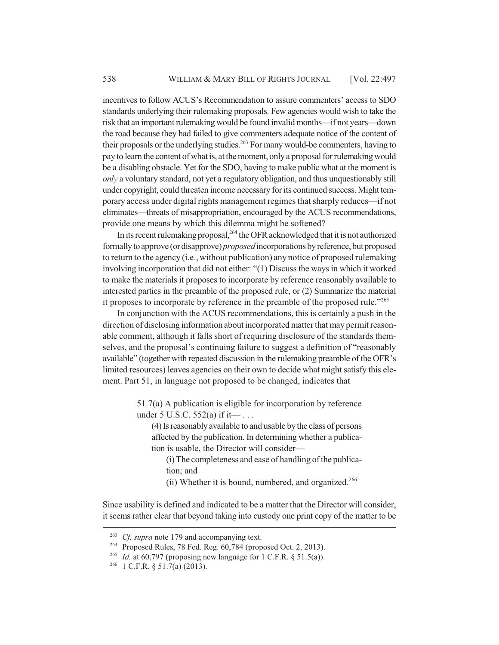incentives to follow ACUS's Recommendation to assure commenters' access to SDO standards underlying their rulemaking proposals. Few agencies would wish to take the risk that an important rulemaking would be found invalid months—if not years—down the road because they had failed to give commenters adequate notice of the content of their proposals or the underlying studies.<sup>263</sup> For many would-be commenters, having to pay to learn the content of what is, at the moment, only a proposal for rulemaking would be a disabling obstacle. Yet for the SDO, having to make public what at the moment is *only* a voluntary standard, not yet a regulatory obligation, and thus unquestionably still under copyright, could threaten income necessary for its continued success. Might temporary access under digital rights management regimes that sharply reduces—if not eliminates—threats of misappropriation, encouraged by the ACUS recommendations, provide one means by which this dilemma might be softened?

In its recent rulemaking proposal,  $^{264}$  the OFR acknowledged that it is not authorized formally to approve (or disapprove) *proposed* incorporations by reference, but proposed to return to the agency (i.e., without publication) any notice of proposed rulemaking involving incorporation that did not either: "(1) Discuss the ways in which it worked to make the materials it proposes to incorporate by reference reasonably available to interested parties in the preamble of the proposed rule, or (2) Summarize the material it proposes to incorporate by reference in the preamble of the proposed rule."265

In conjunction with the ACUS recommendations, this is certainly a push in the direction of disclosing information about incorporated matter that may permit reasonable comment, although it falls short of requiring disclosure of the standards themselves, and the proposal's continuing failure to suggest a definition of "reasonably available" (together with repeated discussion in the rulemaking preamble of the OFR's limited resources) leaves agencies on their own to decide what might satisfy this element. Part 51, in language not proposed to be changed, indicates that

> 51.7(a) A publication is eligible for incorporation by reference under 5 U.S.C. 552(a) if it— . . .

(4) Is reasonably available to and usable by the class of persons affected by the publication. In determining whether a publication is usable, the Director will consider—

(i) The completeness and ease of handling of the publication; and

(ii) Whether it is bound, numbered, and organized.<sup>266</sup>

Since usability is defined and indicated to be a matter that the Director will consider, it seems rather clear that beyond taking into custody one print copy of the matter to be

<sup>263</sup> *Cf. supra* note 179 and accompanying text.

<sup>&</sup>lt;sup>264</sup> Proposed Rules, 78 Fed. Reg. 60,784 (proposed Oct. 2, 2013).

<sup>&</sup>lt;sup>265</sup> *Id.* at 60,797 (proposing new language for 1 C.F.R. § 51.5(a)).

<sup>266</sup> 1 C.F.R. § 51.7(a) (2013).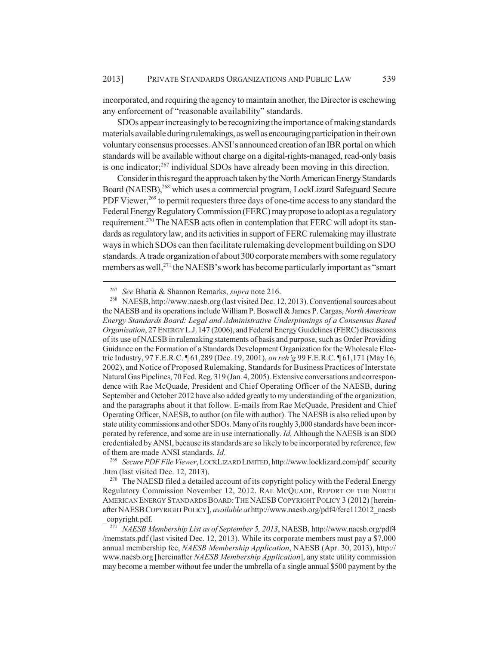incorporated, and requiring the agency to maintain another, the Director is eschewing any enforcement of "reasonable availability" standards.

SDOs appear increasingly to be recognizing the importance of making standards materials available during rulemakings, as well as encouraging participation in their own voluntary consensus processes. ANSI's announced creation of an IBR portal on which standards will be available without charge on a digital-rights-managed, read-only basis is one indicator; $^{267}$  individual SDOs have already been moving in this direction.

Consider in this regard the approach taken by the North American Energy Standards Board (NAESB),<sup>268</sup> which uses a commercial program, LockLizard Safeguard Secure PDF Viewer,<sup>269</sup> to permit requesters three days of one-time access to any standard the Federal Energy Regulatory Commission (FERC) may propose to adopt as a regulatory requirement.270 The NAESB acts often in contemplation that FERC will adopt its standards as regulatory law, and its activities in support of FERC rulemaking may illustrate ways in which SDOs can then facilitate rulemaking development building on SDO standards. A trade organization of about 300 corporate members with some regulatory members as well, $^{271}$  the NAESB's work has become particularly important as "smart"

<sup>269</sup> *Secure PDF File Viewer*, LOCKLIZARD LIMITED, http://www.locklizard.com/pdf\_security .htm (last visited Dec. 12, 2013).

 $270$  The NAESB filed a detailed account of its copyright policy with the Federal Energy Regulatory Commission November 12, 2012. RAE MCQUADE, REPORT OF THE NORTH AMERICAN ENERGY STANDARDS BOARD: THE NAESB COPYRIGHT POLICY 3 (2012) [hereinafter NAESBCOPYRIGHT POLICY], *available at* http://www.naesb.org/pdf4/ferc112012\_naesb \_copyright.pdf.

<sup>267</sup> *See* Bhatia & Shannon Remarks, *supra* note 216.

<sup>268</sup> NAESB,http://www.naesb.org (last visited Dec. 12, 2013). Conventional sources about the NAESB and its operations include William P. Boswell & James P. Cargas, *North American Energy Standards Board: Legal and Administrative Underpinnings of a Consensus Based Organization*, 27 ENERGY L.J.147 (2006), and Federal Energy Guidelines (FERC) discussions of its use of NAESB in rulemaking statements of basis and purpose, such as Order Providing Guidance on the Formation of a Standards Development Organization for the Wholesale Electric Industry, 97 F.E.R.C. ¶ 61,289 (Dec. 19, 2001), *on reh'g* 99 F.E.R.C. ¶ 61,171 (May 16, 2002), and Notice of Proposed Rulemaking, Standards for Business Practices of Interstate Natural Gas Pipelines, 70 Fed. Reg. 319 (Jan. 4, 2005). Extensive conversations and correspondence with Rae McQuade, President and Chief Operating Officer of the NAESB, during September and October 2012 have also added greatly to my understanding of the organization, and the paragraphs about it that follow. E-mails from Rae McQuade, President and Chief Operating Officer, NAESB, to author (on file with author). The NAESB is also relied upon by state utility commissions and other SDOs. Many of its roughly 3,000 standards have been incorporated by reference, and some are in use internationally. *Id.* Although the NAESB is an SDO credentialed by ANSI, because its standards are so likely to be incorporated by reference, few of them are made ANSI standards. *Id.*

<sup>271</sup> *NAESB Membership List as of September 5, 2013*, NAESB, http://www.naesb.org/pdf4 /memstats.pdf (last visited Dec. 12, 2013). While its corporate members must pay a \$7,000 annual membership fee, *NAESB Membership Application*, NAESB (Apr. 30, 2013), http:// www.naesb.org [hereinafter *NAESB Membership Application*], any state utility commission may become a member without fee under the umbrella of a single annual \$500 payment by the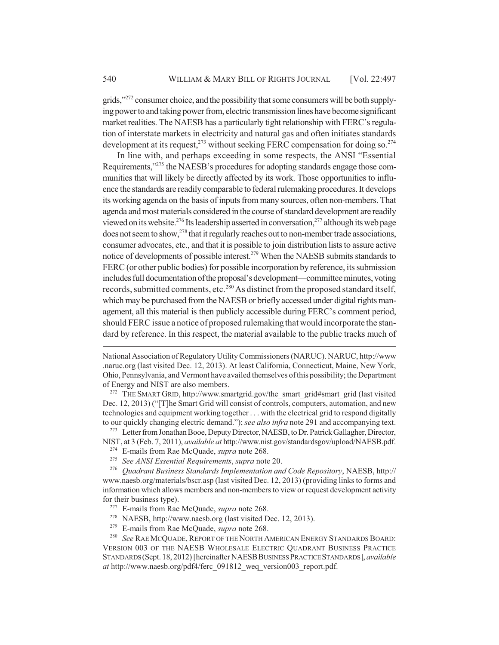grids,"272 consumer choice, and the possibility that some consumers will be both supplying power to and taking power from, electric transmission lines have become significant market realities. The NAESB has a particularly tight relationship with FERC's regulation of interstate markets in electricity and natural gas and often initiates standards development at its request,  $2^{73}$  without seeking FERC compensation for doing so.  $2^{74}$ 

In line with, and perhaps exceeding in some respects, the ANSI "Essential Requirements,"275 the NAESB's procedures for adopting standards engage those communities that will likely be directly affected by its work. Those opportunities to influence the standards are readily comparable to federal rulemaking procedures. It develops its working agenda on the basis of inputs from many sources, often non-members. That agenda and most materials considered in the course of standard development are readily viewed on its website.<sup>276</sup> Its leadership asserted in conversation,<sup>277</sup> although its web page  $\beta$  does not seem to show,<sup>278</sup> that it regularly reaches out to non-member trade associations, consumer advocates, etc., and that it is possible to join distribution lists to assure active notice of developments of possible interest.<sup>279</sup> When the NAESB submits standards to FERC (or other public bodies) for possible incorporation by reference, its submission includes full documentation of the proposal's development—committee minutes, voting records, submitted comments, etc.<sup>280</sup> As distinct from the proposed standard itself, which may be purchased from the NAESB or briefly accessed under digital rights management, all this material is then publicly accessible during FERC's comment period, should FERC issue a notice of proposed rulemaking that would incorporate the standard by reference. In this respect, the material available to the public tracks much of

THE SMART GRID, http://www.smartgrid.gov/the\_smart\_grid#smart\_grid (last visited Dec. 12, 2013) ("[T]he Smart Grid will consist of controls, computers, automation, and new technologies and equipment working together . . . with the electrical grid to respond digitally to our quickly changing electric demand."); *see also infra* note 291 and accompanying text.

<sup>273</sup> Letter from Jonathan Booe, Deputy Director, NAESB, to Dr. Patrick Gallagher, Director, NIST, at 3 (Feb. 7, 2011), *available at* http://www.nist.gov/standardsgov/upload/NAESB.pdf.

- <sup>274</sup> E-mails from Rae McQuade, *supra* note 268.
- <sup>275</sup> *See ANSI Essential Requirements*, *supra* note 20.

<sup>276</sup> *Quadrant Business Standards Implementation and Code Repository*, NAESB, http:// www.naesb.org/materials/bscr.asp (last visited Dec. 12, 2013) (providing links to forms and information which allows members and non-members to view or request development activity for their business type).

- <sup>277</sup> E-mails from Rae McQuade, *supra* note 268.
- <sup>278</sup> NAESB, http://www.naesb.org (last visited Dec. 12, 2013).<br><sup>279</sup> E-mails from Rae McQuade, sung note 268
- <sup>279</sup> E-mails from Rae McQuade, *supra* note 268.<br><sup>280</sup> See RAE MCQUADE, REPORT OF THE NORTH A

See RAE MCQUADE, REPORT OF THE NORTH AMERICAN ENERGY STANDARDS BOARD: VERSION 003 OF THE NAESB WHOLESALE ELECTRIC QUADRANT BUSINESS PRACTICE STANDARDS (Sept. 18, 2012) [hereinafter NAESBBUSINESS PRACTICE STANDARDS], *available at* http://www.naesb.org/pdf4/ferc\_091812\_weq\_version003\_report.pdf.

National Association of Regulatory Utility Commissioners (NARUC). NARUC, http://www .naruc.org (last visited Dec. 12, 2013). At least California, Connecticut, Maine, New York, Ohio, Pennsylvania, and Vermont have availed themselves of this possibility; the Department of Energy and NIST are also members.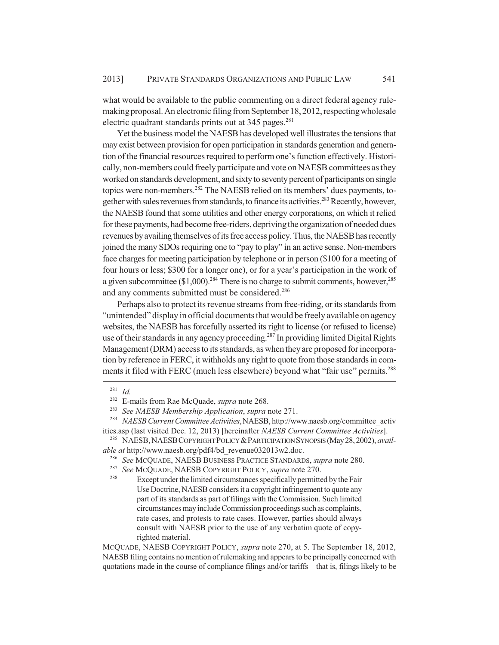what would be available to the public commenting on a direct federal agency rulemaking proposal. An electronic filing from September 18, 2012, respecting wholesale electric quadrant standards prints out at 345 pages.<sup>281</sup>

Yet the business model the NAESB has developed well illustrates the tensions that may exist between provision for open participation in standards generation and generation of the financial resources required to perform one's function effectively. Historically, non-members could freely participate and vote on NAESB committees as they worked on standards development, and sixty to seventy percent of participants on single topics were non-members.<sup>282</sup> The NAESB relied on its members' dues payments, together with sales revenues from standards, to finance its activities.<sup>283</sup> Recently, however, the NAESB found that some utilities and other energy corporations, on which it relied for these payments, had become free-riders, depriving the organization of needed dues revenues by availing themselves of its free access policy. Thus, the NAESB has recently joined the many SDOs requiring one to "pay to play" in an active sense. Non-members face charges for meeting participation by telephone or in person (\$100 for a meeting of four hours or less; \$300 for a longer one), or for a year's participation in the work of a given subcommittee  $(\$1,000)$ .<sup>284</sup> There is no charge to submit comments, however,<sup>285</sup> and any comments submitted must be considered.<sup>286</sup>

Perhaps also to protect its revenue streams from free-riding, or its standards from "unintended" display in official documents that would be freely available on agency websites, the NAESB has forcefully asserted its right to license (or refused to license) use of their standards in any agency proceeding.<sup>287</sup> In providing limited Digital Rights Management (DRM) access to its standards, as when they are proposed for incorporation by reference in FERC, it withholds any right to quote from those standards in comments it filed with FERC (much less elsewhere) beyond what "fair use" permits.<sup>288</sup>

<sup>285</sup> NAESB, NAESBCOPYRIGHT POLICY &PARTICIPATION SYNOPSIS (May 28, 2002), *available at http://www.naesb.org/pdf4/bd\_revenue032013w2.doc.*<br><sup>286</sup> See MCQUADE NAESP BUSINESS BLACTICE STANDARD

MCQUADE, NAESB COPYRIGHT POLICY, *supra* note 270, at 5. The September 18, 2012, NAESB filing contains no mention of rulemaking and appears to be principally concerned with quotations made in the course of compliance filings and/or tariffs—that is, filings likely to be

 $\frac{281}{282}$  *Id.* 

<sup>282</sup> E-mails from Rae McQuade, *supra* note 268.

<sup>283</sup> *See NAESB Membership Application*, *supra* note 271.

<sup>284</sup> *NAESB Current Committee Activities*,NAESB, http://www.naesb.org/committee\_activ ities.asp (last visited Dec. 12, 2013) [hereinafter *NAESB Current Committee Activities*].

<sup>&</sup>lt;sup>286</sup> See MCQUADE, NAESB BUSINESS PRACTICE STANDARDS, *supra* note 280.<br><sup>287</sup> See MCQUADE, NAESB CORVEIGHT POLICY, *supra* note 270.

<sup>287</sup> *See* MCQUADE, NAESB COPYRIGHT POLICY, *supra* note 270.

Except under the limited circumstances specifically permitted by the Fair Use Doctrine, NAESB considers it a copyright infringement to quote any part of its standards as part of filings with the Commission. Such limited circumstances may include Commission proceedings such as complaints, rate cases, and protests to rate cases. However, parties should always consult with NAESB prior to the use of any verbatim quote of copyrighted material.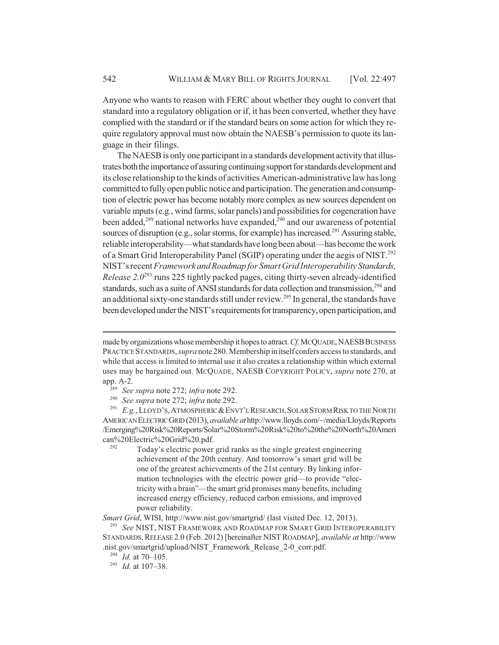Anyone who wants to reason with FERC about whether they ought to convert that standard into a regulatory obligation or if, it has been converted, whether they have complied with the standard or if the standard bears on some action for which they require regulatory approval must now obtain the NAESB's permission to quote its language in their filings.

The NAESB is only one participant in a standards development activity that illustrates both the importance of assuring continuing support for standards development and its close relationship to the kinds of activities American-administrative law has long committed to fully open public notice and participation. The generation and consumption of electric power has become notably more complex as new sources dependent on variable inputs (e.g., wind farms, solar panels) and possibilities for cogeneration have been added, $289$  national networks have expanded, $290$  and our awareness of potential sources of disruption (e.g., solar storms, for example) has increased.<sup>291</sup> Assuring stable, reliable interoperability—what standards have long been about—has become the work of a Smart Grid Interoperability Panel (SGIP) operating under the aegis of NIST.<sup>292</sup> NIST's recent *Framework and Roadmap for Smart Grid Interoperability Standards, Release 2.0*293 runs 225 tightly packed pages, citing thirty-seven already-identified standards, such as a suite of ANSI standards for data collection and transmission,<sup>294</sup> and an additional sixty-one standards still under review.<sup>295</sup> In general, the standards have been developed under the NIST's requirements for transparency, open participation, and

<sup>291</sup> E.g., LLOYD'S, ATMOSPHERIC & ENVT'L RESEARCH, SOLAR STORM RISK TO THE NORTH AMERICAN ELECTRIC GRID (2013), *available at* http://www.lloyds.com/~/media/Lloyds/Reports /Emerging%20Risk%20Reports/Solar%20Storm%20Risk%20to%20the%20North%20Ameri can%20Electric%20Grid%20.pdf.

Today's electric power grid ranks as the single greatest engineering achievement of the 20th century. And tomorrow's smart grid will be one of the greatest achievements of the 21st century. By linking information technologies with the electric power grid—to provide "electricity with a brain"—the smart grid promises many benefits, including increased energy efficiency, reduced carbon emissions, and improved power reliability.

*Smart Grid*, WISI, http://www.nist.gov/smartgrid/ (last visited Dec. 12, 2013).

<sup>293</sup> *See* NIST, NIST FRAMEWORK AND ROADMAP FOR SMART GRID INTEROPERABILITY STANDARDS,RELEASE 2.0 (Feb. 2012) [hereinafter NIST ROADMAP], *available at* http://www .nist.gov/smartgrid/upload/NIST\_Framework\_Release\_2-0\_corr.pdf.

made by organizations whose membership it hopes to attract. *Cf.* MCQUADE, NAESB BUSINESS PRACTICE STANDARDS, *supra* note 280. Membership in itself confers access to standards, and while that access is limited to internal use it also creates a relationship within which external uses may be bargained out. MCQUADE, NAESB COPYRIGHT POLICY, *supra* note 270, at app. A-2.

<sup>289</sup> *See supra* note 272; *infra* note 292.

<sup>290</sup> *See supra* note 272; *infra* note 292.

<sup>294</sup> *Id.* at 70–105.

<sup>295</sup> *Id.* at 107–38.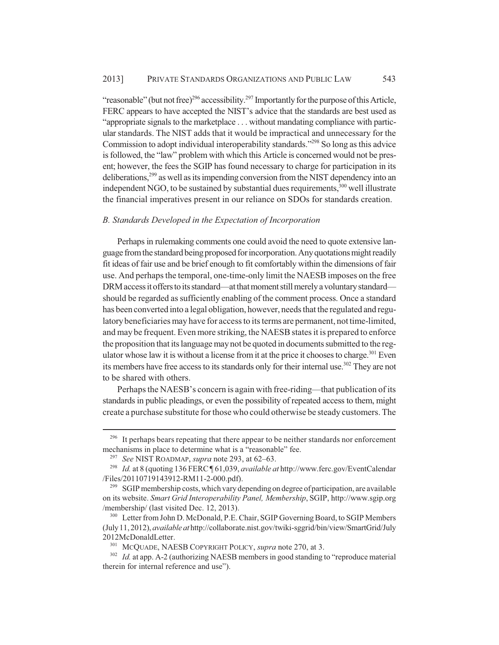"reasonable" (but not free)<sup>296</sup> accessibility.<sup>297</sup> Importantly for the purpose of this Article, FERC appears to have accepted the NIST's advice that the standards are best used as "appropriate signals to the marketplace . . . without mandating compliance with particular standards. The NIST adds that it would be impractical and unnecessary for the Commission to adopt individual interoperability standards."298 So long as this advice is followed, the "law" problem with which this Article is concerned would not be present; however, the fees the SGIP has found necessary to charge for participation in its deliberations,299 as well as its impending conversion from the NIST dependency into an independent NGO, to be sustained by substantial dues requirements,<sup>300</sup> well illustrate the financial imperatives present in our reliance on SDOs for standards creation.

## *B. Standards Developed in the Expectation of Incorporation*

Perhaps in rulemaking comments one could avoid the need to quote extensive language from the standard being proposed for incorporation. Any quotations might readily fit ideas of fair use and be brief enough to fit comfortably within the dimensions of fair use. And perhaps the temporal, one-time-only limit the NAESB imposes on the free DRM access it offers to its standard—at that moment still merely a voluntary standard should be regarded as sufficiently enabling of the comment process. Once a standard has been converted into a legal obligation, however, needs that the regulated and regulatory beneficiaries may have for access to its terms are permanent, not time-limited, and may be frequent. Even more striking, the NAESB states it is prepared to enforce the proposition that its language may not be quoted in documents submitted to the regulator whose law it is without a license from it at the price it chooses to charge.<sup>301</sup> Even its members have free access to its standards only for their internal use.<sup>302</sup> They are not to be shared with others.

Perhaps the NAESB's concern is again with free-riding—that publication of its standards in public pleadings, or even the possibility of repeated access to them, might create a purchase substitute for those who could otherwise be steady customers. The

<sup>&</sup>lt;sup>296</sup> It perhaps bears repeating that there appear to be neither standards nor enforcement mechanisms in place to determine what is a "reasonable" fee.

<sup>297</sup> *See* NIST ROADMAP, *supra* note 293, at 62–63.

<sup>298</sup> *Id.* at 8 (quoting 136 FERC ¶ 61,039, *available at* http://www.ferc.gov/EventCalendar /Files/20110719143912-RM11-2-000.pdf).

<sup>&</sup>lt;sup>299</sup> SGIP membership costs, which vary depending on degree of participation, are available on its website. *Smart Grid Interoperability Panel, Membership*, SGIP, http://www.sgip.org /membership/ (last visited Dec. 12, 2013).

<sup>300</sup> Letter from John D. McDonald, P.E. Chair, SGIP Governing Board, to SGIP Members (July 11, 2012), *available at* http://collaborate.nist.gov/twiki-sggrid/bin/view/SmartGrid/July 2012McDonaldLetter.

MCQUADE, NAESB COPYRIGHT POLICY, *supra* note 270, at 3.

<sup>&</sup>lt;sup>302</sup> *Id.* at app. A-2 (authorizing NAESB members in good standing to "reproduce material therein for internal reference and use").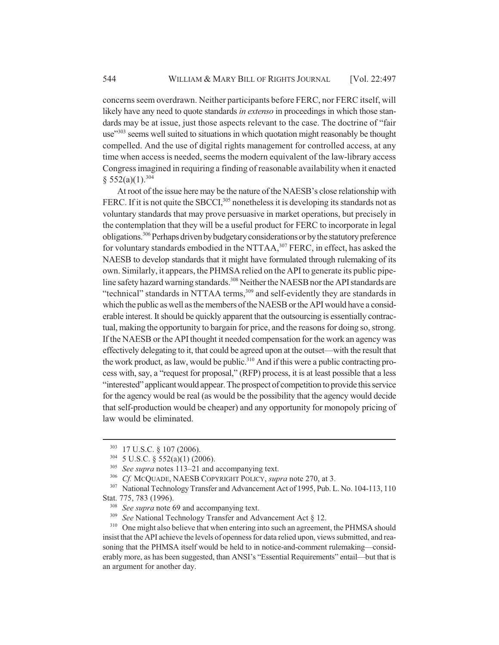concerns seem overdrawn. Neither participants before FERC, nor FERC itself, will likely have any need to quote standards *in extenso* in proceedings in which those standards may be at issue, just those aspects relevant to the case. The doctrine of "fair use"<sup>303</sup> seems well suited to situations in which quotation might reasonably be thought compelled. And the use of digital rights management for controlled access, at any time when access is needed, seems the modern equivalent of the law-library access Congress imagined in requiring a finding of reasonable availability when it enacted  $§$  552(a)(1).<sup>304</sup>

At root of the issue here may be the nature of the NAESB's close relationship with FERC. If it is not quite the SBCCI,<sup>305</sup> nonetheless it is developing its standards not as voluntary standards that may prove persuasive in market operations, but precisely in the contemplation that they will be a useful product for FERC to incorporate in legal obligations.306 Perhaps driven by budgetary considerations or by the statutory preference for voluntary standards embodied in the NTTAA,<sup>307</sup> FERC, in effect, has asked the NAESB to develop standards that it might have formulated through rulemaking of its own. Similarly, it appears, the PHMSA relied on the API to generate its public pipeline safety hazard warning standards.<sup>308</sup> Neither the NAESB nor the API standards are "technical" standards in NTTAA terms,<sup>309</sup> and self-evidently they are standards in which the public as well as the members of the NAESB or the API would have a considerable interest. It should be quickly apparent that the outsourcing is essentially contractual, making the opportunity to bargain for price, and the reasons for doing so, strong. If the NAESB or the API thought it needed compensation for the work an agency was effectively delegating to it, that could be agreed upon at the outset—with the result that the work product, as law, would be public.<sup>310</sup> And if this were a public contracting process with, say, a "request for proposal," (RFP) process, it is at least possible that a less "interested" applicant would appear. The prospect of competition to provide this service for the agency would be real (as would be the possibility that the agency would decide that self-production would be cheaper) and any opportunity for monopoly pricing of law would be eliminated.

<sup>303</sup> 17 U.S.C. § 107 (2006).

<sup>304</sup> 5 U.S.C. § 552(a)(1) (2006).

<sup>305</sup> *See supra* notes 113–21 and accompanying text.

<sup>306</sup> *Cf.* MCQUADE, NAESB COPYRIGHT POLICY, *supra* note 270, at 3.

<sup>&</sup>lt;sup>307</sup> National Technology Transfer and Advancement Act of 1995, Pub. L. No. 104-113, 110 Stat. 775, 783 (1996).

<sup>&</sup>lt;sup>308</sup> *See supra* note 69 and accompanying text.<br><sup>309</sup> *See* National Technology Transfer and Ad

*See* National Technology Transfer and Advancement Act § 12.

<sup>&</sup>lt;sup>310</sup> One might also believe that when entering into such an agreement, the PHMSA should insist that the API achieve the levels of openness for data relied upon, views submitted, and reasoning that the PHMSA itself would be held to in notice-and-comment rulemaking—considerably more, as has been suggested, than ANSI's "Essential Requirements" entail—but that is an argument for another day.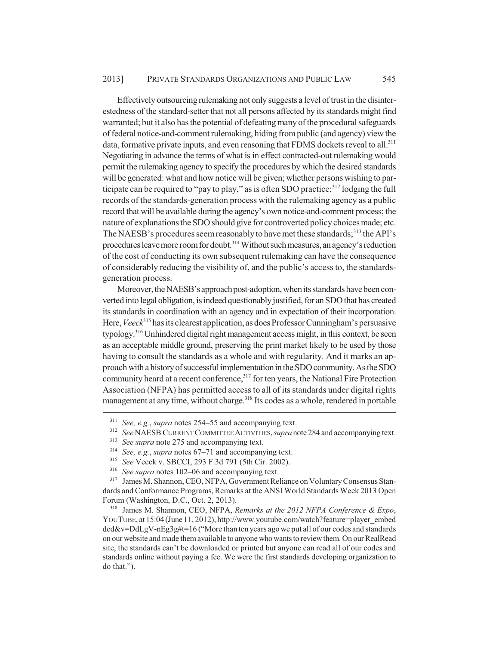Effectively outsourcing rulemaking not only suggests a level of trust in the disinterestedness of the standard-setter that not all persons affected by its standards might find warranted; but it also has the potential of defeating many of the procedural safeguards of federal notice-and-comment rulemaking, hiding from public (and agency) view the data, formative private inputs, and even reasoning that FDMS dockets reveal to all.<sup>311</sup> Negotiating in advance the terms of what is in effect contracted-out rulemaking would permit the rulemaking agency to specify the procedures by which the desired standards will be generated: what and how notice will be given; whether persons wishing to participate can be required to "pay to play," as is often SDO practice; $3^{12}$  lodging the full records of the standards-generation process with the rulemaking agency as a public record that will be available during the agency's own notice-and-comment process; the nature of explanations the SDO should give for controverted policy choices made; etc. The NAESB's procedures seem reasonably to have met these standards;<sup>313</sup> the API's procedures leave more room for doubt.<sup>314</sup> Without such measures, an agency's reduction of the cost of conducting its own subsequent rulemaking can have the consequence of considerably reducing the visibility of, and the public's access to, the standardsgeneration process.

Moreover, the NAESB's approach post-adoption, when its standards have been converted into legal obligation, is indeed questionably justified, for an SDO that has created its standards in coordination with an agency and in expectation of their incorporation. Here, *Veeck*<sup>315</sup> has its clearest application, as does Professor Cunningham's persuasive typology.316 Unhindered digital right management access might, in this context, be seen as an acceptable middle ground, preserving the print market likely to be used by those having to consult the standards as a whole and with regularity. And it marks an approach with a history of successful implementation in the SDO community. As the SDO community heard at a recent conference,<sup>317</sup> for ten years, the National Fire Protection Association (NFPA) has permitted access to all of its standards under digital rights management at any time, without charge.<sup>318</sup> Its codes as a whole, rendered in portable

<sup>311</sup> *See, e.g.*, *supra* notes 254–55 and accompanying text.

<sup>312</sup> *See* NAESB CURRENT COMMITTEE ACTIVITIES, *supra* note 284 and accompanying text.

<sup>313</sup> *See supra* note 275 and accompanying text.

<sup>&</sup>lt;sup>314</sup> *See, e.g., supra* notes  $67-71$  and accompanying text.<br><sup>315</sup> *See Neeck y* SBCCL 203 E 3d 701 (5th Cir. 2002)

<sup>315</sup> *See* Veeck v. SBCCI, 293 F.3d 791 (5th Cir. 2002).

<sup>&</sup>lt;sup>316</sup> *See supra* notes 102–06 and accompanying text.

James M. Shannon, CEO, NFPA, Government Reliance on Voluntary Consensus Standards and Conformance Programs, Remarks at the ANSI World Standards Week 2013 Open Forum (Washington, D.C., Oct. 2, 2013).

<sup>318</sup> James M. Shannon, CEO, NFPA, *Remarks at the 2012 NFPA Conference & Expo*, YOUTUBE, at 15:04 (June 11, 2012), http://www.youtube.com/watch?feature=player\_embed ded&v=DdLgV-nEg3g#t=16 ("More than ten years ago we put all of our codes and standards on our website and made them available to anyone who wants to review them. On our RealRead site, the standards can't be downloaded or printed but anyone can read all of our codes and standards online without paying a fee. We were the first standards developing organization to do that.").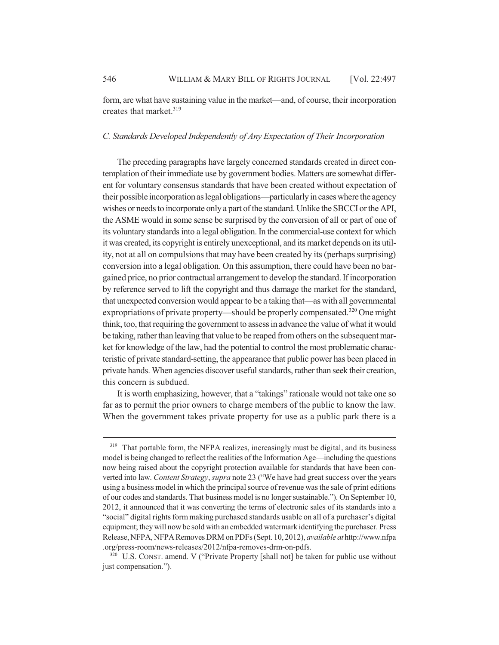form, are what have sustaining value in the market—and, of course, their incorporation creates that market.<sup>319</sup>

## *C. Standards Developed Independently of Any Expectation of Their Incorporation*

The preceding paragraphs have largely concerned standards created in direct contemplation of their immediate use by government bodies. Matters are somewhat different for voluntary consensus standards that have been created without expectation of their possible incorporation as legal obligations—particularly in cases where the agency wishes or needs to incorporate only a part of the standard. Unlike the SBCCI or the API, the ASME would in some sense be surprised by the conversion of all or part of one of its voluntary standards into a legal obligation. In the commercial-use context for which it was created, its copyright is entirely unexceptional, and its market depends on its utility, not at all on compulsions that may have been created by its (perhaps surprising) conversion into a legal obligation. On this assumption, there could have been no bargained price, no prior contractual arrangement to develop the standard. If incorporation by reference served to lift the copyright and thus damage the market for the standard, that unexpected conversion would appear to be a taking that—as with all governmental expropriations of private property—should be properly compensated.<sup>320</sup> One might think, too, that requiring the government to assess in advance the value of what it would be taking, rather than leaving that value to be reaped from others on the subsequent market for knowledge of the law, had the potential to control the most problematic characteristic of private standard-setting, the appearance that public power has been placed in private hands. When agencies discover useful standards, rather than seek their creation, this concern is subdued.

It is worth emphasizing, however, that a "takings" rationale would not take one so far as to permit the prior owners to charge members of the public to know the law. When the government takes private property for use as a public park there is a

<sup>&</sup>lt;sup>319</sup> That portable form, the NFPA realizes, increasingly must be digital, and its business model is being changed to reflect the realities of the Information Age—including the questions now being raised about the copyright protection available for standards that have been converted into law. *Content Strategy*, *supra* note 23 ("We have had great success over the years using a business model in which the principal source of revenue was the sale of print editions of our codes and standards. That business model is no longer sustainable."). On September 10, 2012, it announced that it was converting the terms of electronic sales of its standards into a "social" digital rights form making purchased standards usable on all of a purchaser's digital equipment; they will now be sold with an embedded watermark identifying the purchaser. Press Release, NFPA, NFPA Removes DRM on PDFs (Sept. 10, 2012), *available at* http://www.nfpa .org/press-room/news-releases/2012/nfpa-removes-drm-on-pdfs.

<sup>&</sup>lt;sup>320</sup> U.S. CONST. amend. V ("Private Property [shall not] be taken for public use without just compensation.").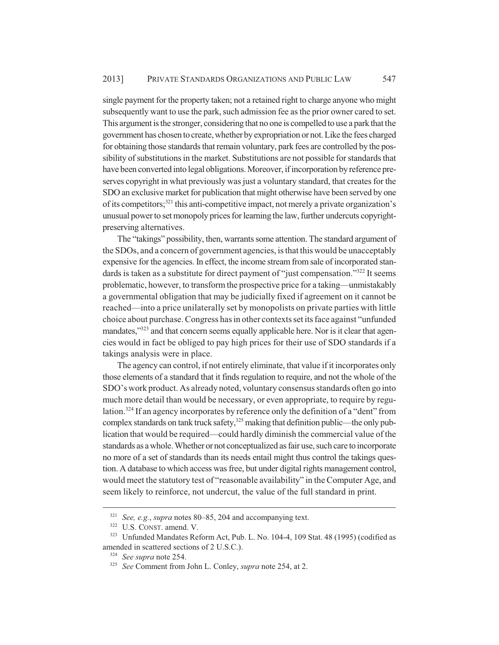single payment for the property taken; not a retained right to charge anyone who might subsequently want to use the park, such admission fee as the prior owner cared to set. This argument is the stronger, considering that no one is compelled to use a park that the government has chosen to create, whether by expropriation or not. Like the fees charged for obtaining those standards that remain voluntary, park fees are controlled by the possibility of substitutions in the market. Substitutions are not possible for standards that have been converted into legal obligations. Moreover, if incorporation by reference preserves copyright in what previously was just a voluntary standard, that creates for the SDO an exclusive market for publication that might otherwise have been served by one of its competitors;<sup>321</sup> this anti-competitive impact, not merely a private organization's unusual power to set monopoly prices for learning the law, further undercuts copyrightpreserving alternatives.

The "takings" possibility, then, warrants some attention. The standard argument of the SDOs, and a concern of government agencies, is that this would be unacceptably expensive for the agencies. In effect, the income stream from sale of incorporated standards is taken as a substitute for direct payment of "just compensation."<sup>322</sup> It seems problematic, however, to transform the prospective price for a taking—unmistakably a governmental obligation that may be judicially fixed if agreement on it cannot be reached—into a price unilaterally set by monopolists on private parties with little choice about purchase. Congress has in other contexts set its face against "unfunded mandates,<sup>3323</sup> and that concern seems equally applicable here. Nor is it clear that agencies would in fact be obliged to pay high prices for their use of SDO standards if a takings analysis were in place.

The agency can control, if not entirely eliminate, that value if it incorporates only those elements of a standard that it finds regulation to require, and not the whole of the SDO's work product. As already noted, voluntary consensus standards often go into much more detail than would be necessary, or even appropriate, to require by regulation.324 If an agency incorporates by reference only the definition of a "dent" from complex standards on tank truck safety, $325$  making that definition public—the only publication that would be required—could hardly diminish the commercial value of the standards as a whole. Whether or not conceptualized as fair use, such care to incorporate no more of a set of standards than its needs entail might thus control the takings question. A database to which access was free, but under digital rights management control, would meet the statutory test of "reasonable availability" in the Computer Age, and seem likely to reinforce, not undercut, the value of the full standard in print.

<sup>321</sup> *See, e.g.*, *supra* notes 80–85, 204 and accompanying text.

<sup>322</sup> U.S. CONST. amend. V.

<sup>323</sup> Unfunded Mandates Reform Act, Pub. L. No. 104-4, 109 Stat. 48 (1995) (codified as amended in scattered sections of 2 U.S.C.).

<sup>324</sup> *See supra* note 254.

<sup>325</sup> *See* Comment from John L. Conley, *supra* note 254, at 2.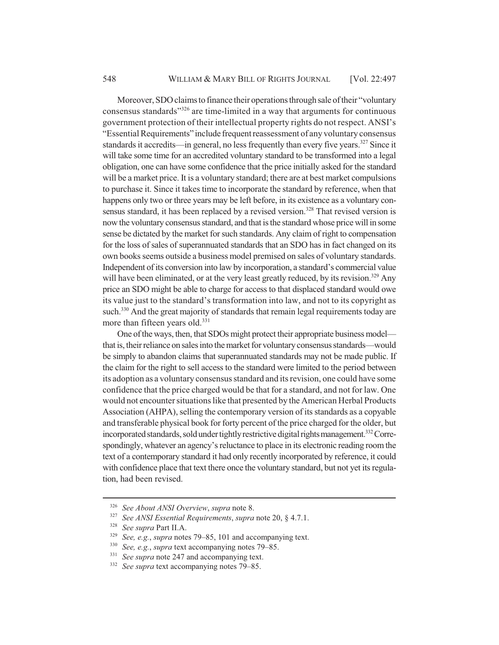Moreover, SDO claims to finance their operations through sale of their "voluntary consensus standards"326 are time-limited in a way that arguments for continuous government protection of their intellectual property rights do not respect. ANSI's "Essential Requirements" include frequent reassessment of any voluntary consensus standards it accredits—in general, no less frequently than every five years.<sup>327</sup> Since it will take some time for an accredited voluntary standard to be transformed into a legal obligation, one can have some confidence that the price initially asked for the standard will be a market price. It is a voluntary standard; there are at best market compulsions to purchase it. Since it takes time to incorporate the standard by reference, when that happens only two or three years may be left before, in its existence as a voluntary consensus standard, it has been replaced by a revised version.<sup>328</sup> That revised version is now the voluntary consensus standard, and that is the standard whose price will in some sense be dictated by the market for such standards. Any claim of right to compensation for the loss of sales of superannuated standards that an SDO has in fact changed on its own books seems outside a business model premised on sales of voluntary standards. Independent of its conversion into law by incorporation, a standard's commercial value will have been eliminated, or at the very least greatly reduced, by its revision.<sup>329</sup> Any price an SDO might be able to charge for access to that displaced standard would owe its value just to the standard's transformation into law, and not to its copyright as such.<sup>330</sup> And the great majority of standards that remain legal requirements today are more than fifteen years old.<sup>331</sup>

One of the ways, then, that SDOs might protect their appropriate business model that is, their reliance on sales into the market for voluntary consensus standards—would be simply to abandon claims that superannuated standards may not be made public. If the claim for the right to sell access to the standard were limited to the period between its adoption as a voluntary consensus standard and its revision, one could have some confidence that the price charged would be that for a standard, and not for law. One would not encounter situations like that presented by the American Herbal Products Association (AHPA), selling the contemporary version of its standards as a copyable and transferable physical book for forty percent of the price charged for the older, but incorporated standards, sold under tightly restrictive digital rights management.<sup>332</sup> Correspondingly, whatever an agency's reluctance to place in its electronic reading room the text of a contemporary standard it had only recently incorporated by reference, it could with confidence place that text there once the voluntary standard, but not yet its regulation, had been revised.

<sup>326</sup> *See About ANSI Overview*, *supra* note 8.

<sup>327</sup> *See ANSI Essential Requirements*, *supra* note 20, § 4.7.1.

<sup>328</sup> *See supra* Part II.A.

<sup>&</sup>lt;sup>329</sup> *See, e.g., supra* notes 79–85, 101 and accompanying text.<br><sup>330</sup> *See a.g., supra* text accompanying notes 79–85

<sup>&</sup>lt;sup>330</sup> *See, e.g., supra* text accompanying notes 79–85.<br><sup>331</sup> *See supra* pote 247 and accompanying text

<sup>&</sup>lt;sup>331</sup> *See supra* note 247 and accompanying text.<br><sup>332</sup> *See supra* text accompanying notes 79–85

<sup>332</sup> *See supra* text accompanying notes 79–85.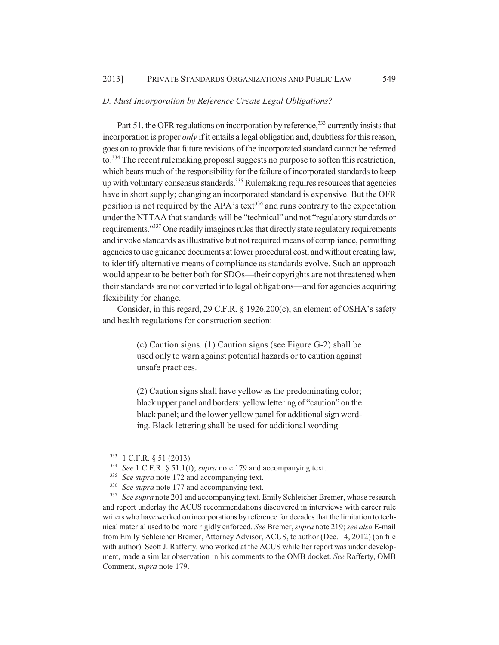#### *D. Must Incorporation by Reference Create Legal Obligations?*

Part 51, the OFR regulations on incorporation by reference,<sup>333</sup> currently insists that incorporation is proper *only* if it entails a legal obligation and, doubtless for this reason, goes on to provide that future revisions of the incorporated standard cannot be referred to.<sup>334</sup> The recent rulemaking proposal suggests no purpose to soften this restriction, which bears much of the responsibility for the failure of incorporated standards to keep up with voluntary consensus standards.<sup>335</sup> Rulemaking requires resources that agencies have in short supply; changing an incorporated standard is expensive. But the OFR position is not required by the APA's text<sup>336</sup> and runs contrary to the expectation under the NTTAA that standards will be "technical" and not "regulatory standards or requirements."<sup>337</sup> One readily imagines rules that directly state regulatory requirements and invoke standards as illustrative but not required means of compliance, permitting agencies to use guidance documents at lower procedural cost, and without creating law, to identify alternative means of compliance as standards evolve. Such an approach would appear to be better both for SDOs—their copyrights are not threatened when their standards are not converted into legal obligations—and for agencies acquiring flexibility for change.

Consider, in this regard, 29 C.F.R. § 1926.200(c), an element of OSHA's safety and health regulations for construction section:

> (c) Caution signs. (1) Caution signs (see Figure G-2) shall be used only to warn against potential hazards or to caution against unsafe practices.

> (2) Caution signs shall have yellow as the predominating color; black upper panel and borders: yellow lettering of "caution" on the black panel; and the lower yellow panel for additional sign wording. Black lettering shall be used for additional wording.

<sup>333</sup> 1 C.F.R. § 51 (2013).

<sup>334</sup> *See* 1 C.F.R. § 51.1(f); *supra* note 179 and accompanying text.

<sup>&</sup>lt;sup>335</sup> *See supra* note 172 and accompanying text.

 $336$  *See supra* note 177 and accompanying text.<br> $337$  *See supra* note 201 and accompanying text F

<sup>337</sup> *See supra* note 201 and accompanying text. Emily Schleicher Bremer, whose research and report underlay the ACUS recommendations discovered in interviews with career rule writers who have worked on incorporations by reference for decades that the limitation to technical material used to be more rigidly enforced. *See* Bremer, *supra* note 219; *see also* E-mail from Emily Schleicher Bremer, Attorney Advisor, ACUS, to author (Dec. 14, 2012) (on file with author). Scott J. Rafferty, who worked at the ACUS while her report was under development, made a similar observation in his comments to the OMB docket. *See* Rafferty, OMB Comment, *supra* note 179.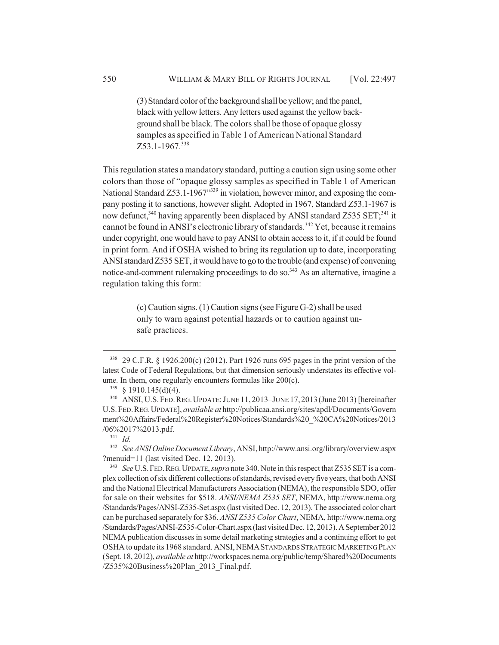(3) Standard color of the background shall be yellow; and the panel, black with yellow letters. Any letters used against the yellow background shall be black. The colors shall be those of opaque glossy samples as specified in Table 1 of American National Standard Z53.1-1967.338

This regulation states a mandatory standard, putting a caution sign using some other colors than those of "opaque glossy samples as specified in Table 1 of American National Standard Z53.1-1967<sup>"339</sup> in violation, however minor, and exposing the company posting it to sanctions, however slight. Adopted in 1967, Standard Z53.1-1967 is now defunct,<sup>340</sup> having apparently been displaced by ANSI standard Z535 SET;<sup>341</sup> it cannot be found in ANSI's electronic library of standards.<sup>342</sup> Yet, because it remains under copyright, one would have to pay ANSI to obtain access to it, if it could be found in print form. And if OSHA wished to bring its regulation up to date, incorporating ANSI standard Z535 SET, it would have to go to the trouble (and expense) of convening notice-and-comment rulemaking proceedings to do so.<sup>343</sup> As an alternative, imagine a regulation taking this form:

> (c) Caution signs. (1) Caution signs (see Figure G-2) shall be used only to warn against potential hazards or to caution against unsafe practices.

<sup>338</sup> 29 C.F.R. § 1926.200(c) (2012). Part 1926 runs 695 pages in the print version of the latest Code of Federal Regulations, but that dimension seriously understates its effective volume. In them, one regularly encounters formulas like 200(c).

 $339 \& 1910.145(d)(4)$ .

<sup>&</sup>lt;sup>340</sup> ANSI, U.S. FED. REG. UPDATE: JUNE 11, 2013–JUNE 17, 2013 (June 2013) [hereinafter U.S.FED.REG.UPDATE], *available at* http://publicaa.ansi.org/sites/apdl/Documents/Govern ment%20Affairs/Federal%20Register%20Notices/Standards%20\_%20CA%20Notices/2013 /06%2017%2013.pdf.

<sup>341</sup> *Id.*

<sup>342</sup> *See ANSI Online Document Library*, ANSI, http://www.ansi.org/library/overview.aspx ?menuid=11 (last visited Dec. 12, 2013).

<sup>343</sup> *See* U.S.FED.REG.UPDATE, *supra* note 340. Note in this respect that Z535 SET is a complex collection of six different collections of standards, revised every five years, that both ANSI and the National Electrical Manufacturers Association (NEMA), the responsible SDO, offer for sale on their websites for \$518. *ANSI/NEMA Z535 SET*, NEMA, http://www.nema.org /Standards/Pages/ANSI-Z535-Set.aspx (last visited Dec. 12, 2013). The associated color chart can be purchased separately for \$36. *ANSI Z535 Color Chart*, NEMA, http://www.nema.org /Standards/Pages/ANSI-Z535-Color-Chart.aspx (last visited Dec. 12, 2013). A September 2012 NEMA publication discusses in some detail marketing strategies and a continuing effort to get OSHA to update its 1968 standard. ANSI, NEMASTANDARDS STRATEGIC MARKETING PLAN (Sept. 18, 2012), *available at* http://workspaces.nema.org/public/temp/Shared%20Documents /Z535%20Business%20Plan\_2013\_Final.pdf.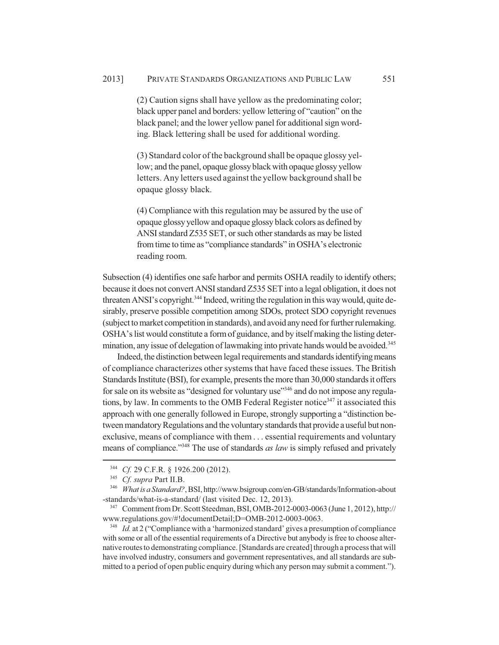(2) Caution signs shall have yellow as the predominating color; black upper panel and borders: yellow lettering of "caution" on the black panel; and the lower yellow panel for additional sign wording. Black lettering shall be used for additional wording.

(3) Standard color of the background shall be opaque glossy yellow; and the panel, opaque glossy black with opaque glossy yellow letters. Any letters used against the yellow background shall be opaque glossy black.

(4) Compliance with this regulation may be assured by the use of opaque glossy yellow and opaque glossy black colors as defined by ANSI standard Z535 SET, or such other standards as may be listed from time to time as "compliance standards" in OSHA's electronic reading room.

Subsection (4) identifies one safe harbor and permits OSHA readily to identify others; because it does not convert ANSI standard Z535 SET into a legal obligation, it does not threaten ANSI's copyright.<sup>344</sup> Indeed, writing the regulation in this way would, quite desirably, preserve possible competition among SDOs, protect SDO copyright revenues (subject to market competition in standards), and avoid any need for further rulemaking. OSHA's list would constitute a form of guidance, and by itself making the listing determination, any issue of delegation of lawmaking into private hands would be avoided.<sup>345</sup>

Indeed, the distinction between legal requirements and standards identifying means of compliance characterizes other systems that have faced these issues. The British Standards Institute (BSI), for example, presents the more than 30,000 standards it offers for sale on its website as "designed for voluntary use"<sup>346</sup> and do not impose any regulations, by law. In comments to the OMB Federal Register notice<sup>347</sup> it associated this approach with one generally followed in Europe, strongly supporting a "distinction between mandatory Regulations and the voluntary standards that provide a useful but nonexclusive, means of compliance with them . . . essential requirements and voluntary means of compliance."348 The use of standards *as law* is simply refused and privately

<sup>&</sup>lt;sup>344</sup> *Cf.* 29 C.F.R. § 1926.200 (2012).

<sup>345</sup> *Cf. supra* Part II.B.

<sup>346</sup> *What is a Standard?*, BSI, http://www.bsigroup.com/en-GB/standards/Information-about -standards/what-is-a-standard/ (last visited Dec. 12, 2013).

<sup>347</sup> Comment from Dr. Scott Steedman, BSI, OMB-2012-0003-0063 (June 1, 2012), http:// www.regulations.gov/#!documentDetail;D=OMB-2012-0003-0063.

<sup>&</sup>lt;sup>348</sup> *Id.* at 2 ("Compliance with a 'harmonized standard' gives a presumption of compliance with some or all of the essential requirements of a Directive but anybody is free to choose alternative routes to demonstrating compliance. [Standards are created] through a process that will have involved industry, consumers and government representatives, and all standards are submitted to a period of open public enquiry during which any person may submit a comment.").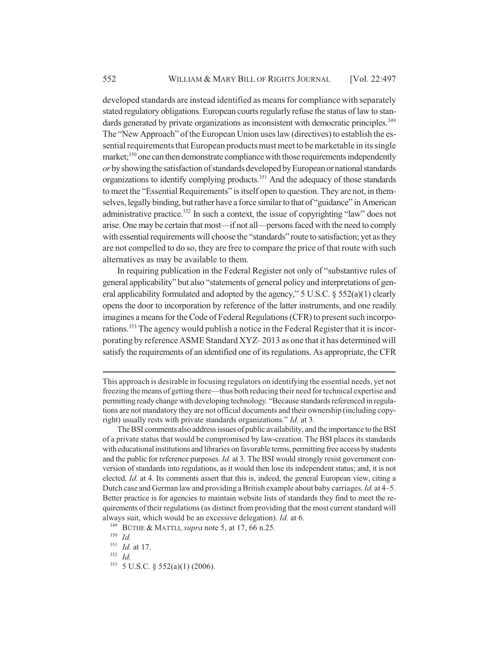developed standards are instead identified as means for compliance with separately stated regulatory obligations. European courts regularly refuse the status of law to standards generated by private organizations as inconsistent with democratic principles.<sup>349</sup> The "New Approach" of the European Union uses law (directives) to establish the essential requirements that European products must meet to be marketable in its single market;<sup>350</sup> one can then demonstrate compliance with those requirements independently *or* by showing the satisfaction of standards developed by European or national standards organizations to identify complying products.351 And the adequacy of those standards to meet the "Essential Requirements" is itself open to question. They are not, in themselves, legally binding, but rather have a force similar to that of "guidance" in American administrative practice.<sup>352</sup> In such a context, the issue of copyrighting "law" does not arise. One may be certain that most—if not all—persons faced with the need to comply with essential requirements will choose the "standards" route to satisfaction; yet as they are not compelled to do so, they are free to compare the price of that route with such alternatives as may be available to them.

In requiring publication in the Federal Register not only of "substantive rules of general applicability" but also "statements of general policy and interpretations of general applicability formulated and adopted by the agency," 5 U.S.C. § 552(a)(1) clearly opens the door to incorporation by reference of the latter instruments, and one readily imagines a means for the Code of Federal Regulations (CFR) to present such incorporations.<sup>353</sup> The agency would publish a notice in the Federal Register that it is incorporating by reference ASME Standard XYZ–2013 as one that it has determined will satisfy the requirements of an identified one of its regulations. As appropriate, the CFR

This approach is desirable in focusing regulators on identifying the essential needs, yet not freezing the means of getting there—thus both reducing their need for technical expertise and permitting ready change with developing technology. "Because standards referenced in regulations are not mandatory they are not official documents and their ownership (including copyright) usually rests with private standards organizations." *Id.* at 3.

The BSI comments also address issues of public availability, and the importance to the BSI of a private status that would be compromised by law-creation. The BSI places its standards with educational institutions and libraries on favorable terms, permitting free access by students and the public for reference purposes. *Id.* at 3. The BSI would strongly resist government conversion of standards into regulations, as it would then lose its independent status; and, it is not elected. *Id.* at 4. Its comments assert that this is, indeed, the general European view, citing a Dutch case and German law and providing a British example about baby carriages. *Id.* at 4–5. Better practice is for agencies to maintain website lists of standards they find to meet the requirements of their regulations (as distinct from providing that the most current standard will always suit, which would be an excessive delegation). *Id.* at 6.

<sup>349</sup> BÜTHE & MATTLI, *supra* note 5, at 17, 66 n.25.

<sup>350</sup> *Id.*

<sup>351</sup> *Id.* at 17.

<sup>352</sup> *Id.*

 $353$  5 U.S.C. § 552(a)(1) (2006).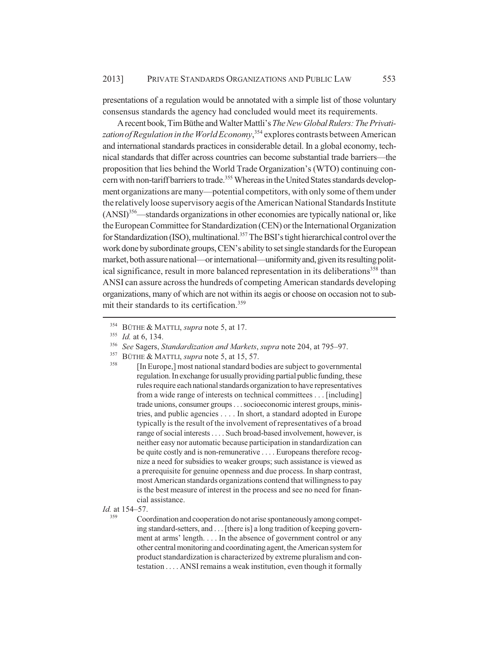presentations of a regulation would be annotated with a simple list of those voluntary consensus standards the agency had concluded would meet its requirements.

A recent book, Tim Büthe and Walter Mattli's *The New Global Rulers: The Privatization of Regulation in the World Economy*, 354 explores contrasts between American and international standards practices in considerable detail. In a global economy, technical standards that differ across countries can become substantial trade barriers—the proposition that lies behind the World Trade Organization's (WTO) continuing concern with non-tariff barriers to trade.<sup>355</sup> Whereas in the United States standards development organizations are many—potential competitors, with only some of them under the relatively loose supervisory aegis of the American National Standards Institute (ANSI)356—standards organizations in other economies are typically national or, like the European Committee for Standardization (CEN) or the International Organization for Standardization (ISO), multinational.<sup>357</sup> The BSI's tight hierarchical control over the work done by subordinate groups, CEN's ability to set single standards for the European market, both assure national—or international—uniformity and, given its resulting political significance, result in more balanced representation in its deliberations<sup>358</sup> than ANSI can assure across the hundreds of competing American standards developing organizations, many of which are not within its aegis or choose on occasion not to submit their standards to its certification.<sup>359</sup>

Coordination and cooperation do not arise spontaneously among competing standard-setters, and . . . [there is] a long tradition of keeping government at arms' length. . . . In the absence of government control or any other central monitoring and coordinating agent, the American system for product standardization is characterized by extreme pluralism and contestation . . . . ANSI remains a weak institution, even though it formally

<sup>354</sup> BÜTHE & MATTLI, *supra* note 5, at 17.

<sup>355</sup> *Id.* at 6, 134.

<sup>356</sup> *See* Sagers, *Standardization and Markets*, *supra* note 204, at 795–97.

<sup>357</sup> BÜTHE & MATTLI, *supra* note 5, at 15, 57.

<sup>[</sup>In Europe,] most national standard bodies are subject to governmental regulation. In exchange for usually providing partial public funding, these rules require each national standards organization to have representatives from a wide range of interests on technical committees . . . [including] trade unions, consumer groups . . . socioeconomic interest groups, ministries, and public agencies . . . . In short, a standard adopted in Europe typically is the result of the involvement of representatives of a broad range of social interests . . . . Such broad-based involvement, however, is neither easy nor automatic because participation in standardization can be quite costly and is non-remunerative . . . . Europeans therefore recognize a need for subsidies to weaker groups; such assistance is viewed as a prerequisite for genuine openness and due process. In sharp contrast, most American standards organizations contend that willingness to pay is the best measure of interest in the process and see no need for financial assistance.

*Id.* at 154–57.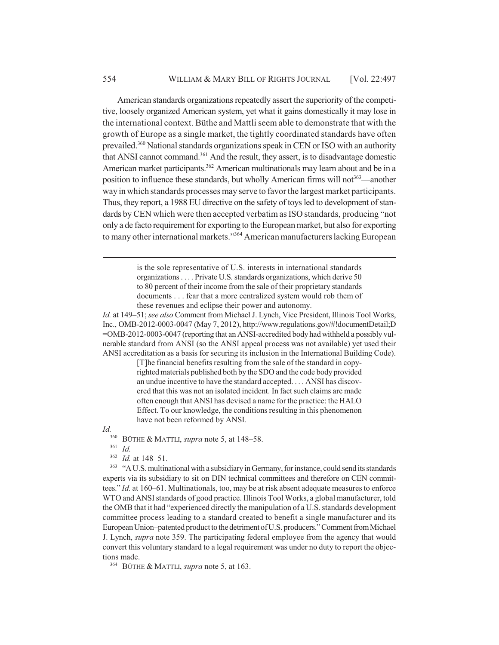American standards organizations repeatedly assert the superiority of the competitive, loosely organized American system, yet what it gains domestically it may lose in the international context. Büthe and Mattli seem able to demonstrate that with the growth of Europe as a single market, the tightly coordinated standards have often prevailed.360 National standards organizations speak in CEN or ISO with an authority that ANSI cannot command.361 And the result, they assert, is to disadvantage domestic American market participants.<sup>362</sup> American multinationals may learn about and be in a position to influence these standards, but wholly American firms will not<sup>363</sup>—another way in which standards processes may serve to favor the largest market participants. Thus, they report, a 1988 EU directive on the safety of toys led to development of standards by CEN which were then accepted verbatim as ISO standards, producing "not only a de facto requirement for exporting to the European market, but also for exporting to many other international markets."<sup>364</sup> American manufacturers lacking European

> is the sole representative of U.S. interests in international standards organizations . . . . Private U.S. standards organizations, which derive 50 to 80 percent of their income from the sale of their proprietary standards documents . . . fear that a more centralized system would rob them of these revenues and eclipse their power and autonomy.

*Id.* at 149–51; *see also* Comment from Michael J. Lynch, Vice President, Illinois Tool Works, Inc., OMB-2012-0003-0047 (May 7, 2012), http://www.regulations.gov/#!documentDetail;D =OMB-2012-0003-0047 (reporting that an ANSI-accredited body had withheld a possibly vulnerable standard from ANSI (so the ANSI appeal process was not available) yet used their ANSI accreditation as a basis for securing its inclusion in the International Building Code).

> [T]he financial benefits resulting from the sale of the standard in copyrighted materials published both by the SDO and the code body provided an undue incentive to have the standard accepted. . . . ANSI has discovered that this was not an isolated incident. In fact such claims are made often enough that ANSI has devised a name for the practice: the HALO Effect. To our knowledge, the conditions resulting in this phenomenon have not been reformed by ANSI.

*Id.*

<sup>360</sup> BÜTHE & MATTLI, *supra* note 5, at 148–58.

<sup>361</sup> *Id.*

<sup>362</sup> *Id.* at 148–51.

<sup>363</sup> "A U.S. multinational with a subsidiary in Germany, for instance, could send its standards experts via its subsidiary to sit on DIN technical committees and therefore on CEN committees." *Id.* at 160–61. Multinationals, too, may be at risk absent adequate measures to enforce WTO and ANSI standards of good practice. Illinois Tool Works, a global manufacturer, told the OMB that it had "experienced directly the manipulation of a U.S. standards development committee process leading to a standard created to benefit a single manufacturer and its European Union–patented product to the detriment of U.S. producers." Comment from Michael J. Lynch, *supra* note 359. The participating federal employee from the agency that would convert this voluntary standard to a legal requirement was under no duty to report the objections made.

<sup>364</sup> BÜTHE & MATTLI, *supra* note 5, at 163.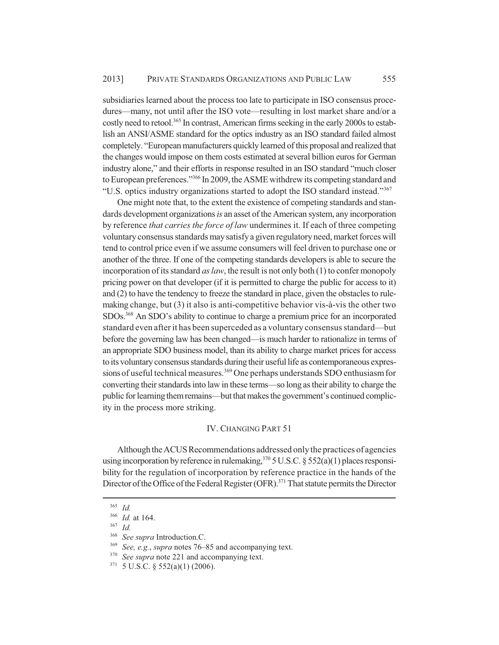subsidiaries learned about the process too late to participate in ISO consensus procedures—many, not until after the ISO vote—resulting in lost market share and/or a costly need to retool.<sup>365</sup> In contrast, American firms seeking in the early 2000s to establish an ANSI/ASME standard for the optics industry as an ISO standard failed almost completely. "European manufacturers quickly learned of this proposal and realized that the changes would impose on them costs estimated at several billion euros for German industry alone," and their efforts in response resulted in an ISO standard "much closer to European preferences."366 In 2009, the ASME withdrew its competing standard and "U.S. optics industry organizations started to adopt the ISO standard instead."367

One might note that, to the extent the existence of competing standards and standards development organizations *is* an asset of the American system, any incorporation by reference *that carries the force of law* undermines it. If each of three competing voluntary consensus standards may satisfy a given regulatory need, market forces will tend to control price even if we assume consumers will feel driven to purchase one or another of the three. If one of the competing standards developers is able to secure the incorporation of its standard *as law*, the result is not only both (1) to confer monopoly pricing power on that developer (if it is permitted to charge the public for access to it) and (2) to have the tendency to freeze the standard in place, given the obstacles to rulemaking change, but (3) it also is anti-competitive behavior vis-à-vis the other two SDOs.368 An SDO's ability to continue to charge a premium price for an incorporated standard even after it has been superceded as a voluntary consensus standard—but before the governing law has been changed—is much harder to rationalize in terms of an appropriate SDO business model, than its ability to charge market prices for access to its voluntary consensus standards during their useful life as contemporaneous expressions of useful technical measures.<sup>369</sup> One perhaps understands SDO enthusiasm for converting their standards into law in these terms—so long as their ability to charge the public for learning them remains—but that makes the government's continued complicity in the process more striking.

#### IV. CHANGING PART 51

Although the ACUS Recommendations addressed only the practices of agencies using incorporation by reference in rulemaking,  $370$  5 U.S.C. § 552(a)(1) places responsibility for the regulation of incorporation by reference practice in the hands of the Director of the Office of the Federal Register (OFR).<sup>371</sup> That statute permits the Director

<sup>365</sup> *Id.*

<sup>366</sup> *Id.* at 164.

<sup>367</sup> *Id.*

<sup>&</sup>lt;sup>368</sup> *See supra* Introduction.C.

See, e.g., *supra* notes 76–85 and accompanying text.

See *supra* note 221 and accompanying text.

 $371$  5 U.S.C. § 552(a)(1) (2006).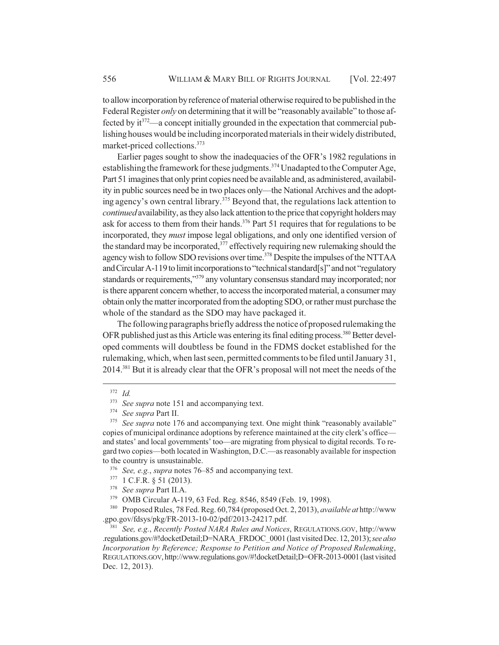to allow incorporation by reference of material otherwise required to be published in the Federal Register *only* on determining that it will be "reasonably available" to those affected by  $it^{372}$ —a concept initially grounded in the expectation that commercial publishing houses would be including incorporated materials in their widely distributed, market-priced collections.373

Earlier pages sought to show the inadequacies of the OFR's 1982 regulations in establishing the framework for these judgments.<sup>374</sup> Unadapted to the Computer Age, Part 51 imagines that only print copies need be available and, as administered, availability in public sources need be in two places only—the National Archives and the adopting agency's own central library.<sup>375</sup> Beyond that, the regulations lack attention to *continued* availability, as they also lack attention to the price that copyright holders may ask for access to them from their hands.<sup>376</sup> Part 51 requires that for regulations to be incorporated, they *must* impose legal obligations, and only one identified version of the standard may be incorporated, $377$  effectively requiring new rulemaking should the agency wish to follow SDO revisions over time.<sup>378</sup> Despite the impulses of the NTTAA and Circular A-119 to limit incorporations to "technical standard[s]" and not "regulatory standards or requirements,"<sup>379</sup> any voluntary consensus standard may incorporated; nor is there apparent concern whether, to access the incorporated material, a consumer may obtain only the matter incorporated from the adopting SDO, or rather must purchase the whole of the standard as the SDO may have packaged it.

The following paragraphs briefly address the notice of proposed rulemaking the OFR published just as this Article was entering its final editing process.<sup>380</sup> Better developed comments will doubtless be found in the FDMS docket established for the rulemaking, which, when last seen, permitted comments to be filed until January 31, 2014.<sup>381</sup> But it is already clear that the OFR's proposal will not meet the needs of the

<sup>380</sup> Proposed Rules, 78 Fed. Reg. 60,784 (proposed Oct. 2, 2013), *available at* http://www .gpo.gov/fdsys/pkg/FR-2013-10-02/pdf/2013-24217.pdf.

<sup>381</sup> *See, e.g.*, *Recently Posted NARA Rules and Notices*, REGULATIONS.GOV, http://www .regulations.gov/#!docketDetail;D=NARA\_FRDOC\_0001 (last visited Dec. 12, 2013); *see also Incorporation by Reference; Response to Petition and Notice of Proposed Rulemaking*, REGULATIONS.GOV, http://www.regulations.gov/#!docketDetail;D=OFR-2013-0001 (last visited Dec. 12, 2013).

 $rac{372}{373}$  *Id.* 

<sup>&</sup>lt;sup>373</sup> *See supra* note 151 and accompanying text.<br><sup>374</sup> *See supra* Part II.

<sup>374</sup> *See supra* Part II.

<sup>&</sup>lt;sup>375</sup> See supra note 176 and accompanying text. One might think "reasonably available" copies of municipal ordinance adoptions by reference maintained at the city clerk's office and states' and local governments' too—are migrating from physical to digital records. To regard two copies—both located in Washington, D.C.—as reasonably available for inspection to the country is unsustainable.

<sup>376</sup> *See, e.g.*, *supra* notes 76–85 and accompanying text.

 $377$  1 C.F.R. § 51 (2013).

<sup>&</sup>lt;sup>378</sup> *See supra* Part II.A.<br><sup>379</sup> OMR Circular A-11

OMB Circular A-119, 63 Fed. Reg. 8546, 8549 (Feb. 19, 1998).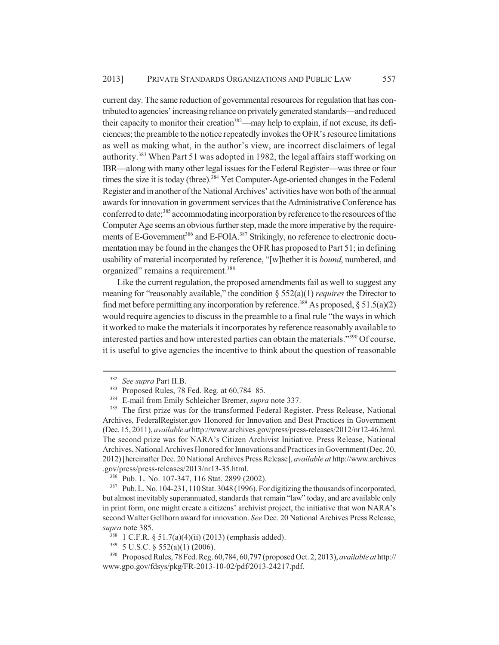current day. The same reduction of governmental resources for regulation that has contributed to agencies' increasing reliance on privately generated standards—and reduced their capacity to monitor their creation<sup>382</sup>—may help to explain, if not excuse, its deficiencies; the preamble to the notice repeatedly invokes the OFR's resource limitations as well as making what, in the author's view, are incorrect disclaimers of legal authority.<sup>383</sup> When Part 51 was adopted in 1982, the legal affairs staff working on IBR—along with many other legal issues for the Federal Register—was three or four times the size it is today (three).<sup>384</sup> Yet Computer-Age-oriented changes in the Federal Register and in another of the National Archives' activities have won both of the annual awards for innovation in government services that the Administrative Conference has conferred to date;<sup>385</sup> accommodating incorporation by reference to the resources of the Computer Age seems an obvious further step, made the more imperative by the requirements of E-Government<sup>386</sup> and E-FOIA.<sup>387</sup> Strikingly, no reference to electronic documentation may be found in the changes the OFR has proposed to Part 51; in defining usability of material incorporated by reference, "[w]hether it is *bound*, numbered, and organized" remains a requirement.<sup>388</sup>

Like the current regulation, the proposed amendments fail as well to suggest any meaning for "reasonably available," the condition § 552(a)(1) *requires* the Director to find met before permitting any incorporation by reference.<sup>389</sup> As proposed,  $\S 51.5(a)(2)$ would require agencies to discuss in the preamble to a final rule "the ways in which it worked to make the materials it incorporates by reference reasonably available to interested parties and how interested parties can obtain the materials."<sup>390</sup> Of course, it is useful to give agencies the incentive to think about the question of reasonable

<sup>382</sup> *See supra* Part II.B.

<sup>&</sup>lt;sup>383</sup> Proposed Rules, 78 Fed. Reg. at 60,784–85.

<sup>384</sup> E-mail from Emily Schleicher Bremer, *supra* note 337.

<sup>&</sup>lt;sup>385</sup> The first prize was for the transformed Federal Register. Press Release, National Archives, FederalRegister.gov Honored for Innovation and Best Practices in Government (Dec. 15, 2011), *available at* http://www.archives.gov/press/press-releases/2012/nr12-46.html. The second prize was for NARA's Citizen Archivist Initiative. Press Release, National Archives, National Archives Honored for Innovations and Practices in Government (Dec. 20, 2012) [hereinafter Dec. 20 National Archives Press Release], *available at* http://www.archives .gov/press/press-releases/2013/nr13-35.html.

<sup>386</sup> Pub. L. No. 107-347, 116 Stat. 2899 (2002).

<sup>&</sup>lt;sup>387</sup> Pub. L. No. 104-231, 110 Stat. 3048 (1996). For digitizing the thousands of incorporated, but almost inevitably superannuated, standards that remain "law" today, and are available only in print form, one might create a citizens' archivist project, the initiative that won NARA's second Walter Gellhorn award for innovation. *See* Dec. 20 National Archives Press Release, *supra* note 385.

<sup>&</sup>lt;sup>388</sup> 1 C.F.R. § 51.7(a)(4)(ii) (2013) (emphasis added).

<sup>389</sup> 5 U.S.C. § 552(a)(1) (2006).

<sup>390</sup> Proposed Rules, 78 Fed. Reg. 60,784, 60,797 (proposed Oct. 2, 2013), *available at* http:// www.gpo.gov/fdsys/pkg/FR-2013-10-02/pdf/2013-24217.pdf.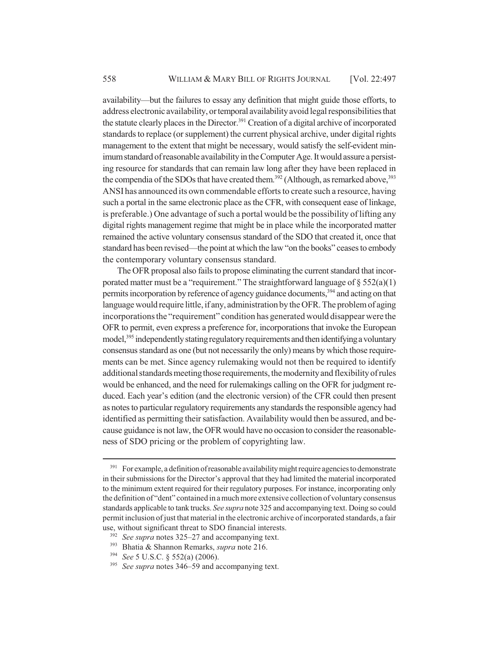availability—but the failures to essay any definition that might guide those efforts, to address electronic availability, or temporal availability avoid legal responsibilities that the statute clearly places in the Director.<sup>391</sup> Creation of a digital archive of incorporated standards to replace (or supplement) the current physical archive, under digital rights management to the extent that might be necessary, would satisfy the self-evident minimum standard of reasonable availability in the Computer Age. It would assure a persisting resource for standards that can remain law long after they have been replaced in the compendia of the SDOs that have created them.<sup>392</sup> (Although, as remarked above,  $393$ ) ANSI has announced its own commendable efforts to create such a resource, having such a portal in the same electronic place as the CFR, with consequent ease of linkage, is preferable.) One advantage of such a portal would be the possibility of lifting any digital rights management regime that might be in place while the incorporated matter remained the active voluntary consensus standard of the SDO that created it, once that standard has been revised—the point at which the law "on the books" ceases to embody the contemporary voluntary consensus standard.

The OFR proposal also fails to propose eliminating the current standard that incorporated matter must be a "requirement." The straightforward language of  $\S 552(a)(1)$ permits incorporation by reference of agency guidance documents,<sup>394</sup> and acting on that language would require little, if any, administration by the OFR. The problem of aging incorporations the "requirement" condition has generated would disappear were the OFR to permit, even express a preference for, incorporations that invoke the European model,<sup>395</sup> independently stating regulatory requirements and then identifying a voluntary consensus standard as one (but not necessarily the only) means by which those requirements can be met. Since agency rulemaking would not then be required to identify additional standards meeting those requirements, the modernity and flexibility of rules would be enhanced, and the need for rulemakings calling on the OFR for judgment reduced. Each year's edition (and the electronic version) of the CFR could then present as notes to particular regulatory requirements any standards the responsible agency had identified as permitting their satisfaction. Availability would then be assured, and because guidance is not law, the OFR would have no occasion to consider the reasonableness of SDO pricing or the problem of copyrighting law.

<sup>&</sup>lt;sup>391</sup> For example, a definition of reasonable availability might require agencies to demonstrate in their submissions for the Director's approval that they had limited the material incorporated to the minimum extent required for their regulatory purposes. For instance, incorporating only the definition of "dent" contained in a much more extensive collection of voluntary consensus standards applicable to tank trucks. *See supra* note 325 and accompanying text. Doing so could permit inclusion of just that material in the electronic archive of incorporated standards, a fair use, without significant threat to SDO financial interests.

<sup>392</sup> *See supra* notes 325–27 and accompanying text.

<sup>393</sup> Bhatia & Shannon Remarks, *supra* note 216.

<sup>394</sup> *See* 5 U.S.C. § 552(a) (2006).

<sup>395</sup> *See supra* notes 346–59 and accompanying text.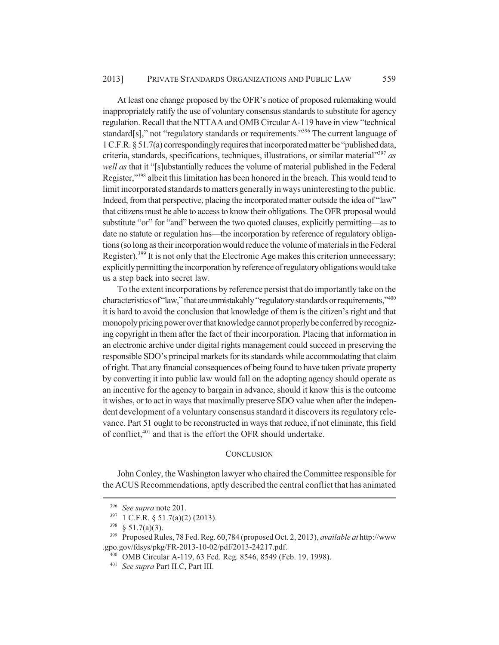At least one change proposed by the OFR's notice of proposed rulemaking would inappropriately ratify the use of voluntary consensus standards to substitute for agency regulation. Recall that the NTTAA and OMB Circular A-119 have in view "technical standard[s]," not "regulatory standards or requirements."<sup>396</sup> The current language of 1 C.F.R. § 51.7(a) correspondingly requires that incorporated matter be "published data, criteria, standards, specifications, techniques, illustrations, or similar material"397 *as well as* that it "[s]ubstantially reduces the volume of material published in the Federal Register,"398 albeit this limitation has been honored in the breach. This would tend to limit incorporated standards to matters generally in ways uninteresting to the public. Indeed, from that perspective, placing the incorporated matter outside the idea of "law" that citizens must be able to access to know their obligations. The OFR proposal would substitute "or" for "and" between the two quoted clauses, explicitly permitting—as to date no statute or regulation has—the incorporation by reference of regulatory obligations (so long as their incorporation would reduce the volume of materials in the Federal Register).<sup>399</sup> It is not only that the Electronic Age makes this criterion unnecessary; explicitly permitting the incorporation by reference of regulatory obligations would take us a step back into secret law.

To the extent incorporations by reference persist that do importantly take on the characteristics of "law," that are unmistakably "regulatory standards or requirements," 400 it is hard to avoid the conclusion that knowledge of them is the citizen's right and that monopoly pricing power over that knowledge cannot properly be conferred by recognizing copyright in them after the fact of their incorporation. Placing that information in an electronic archive under digital rights management could succeed in preserving the responsible SDO's principal markets for its standards while accommodating that claim of right. That any financial consequences of being found to have taken private property by converting it into public law would fall on the adopting agency should operate as an incentive for the agency to bargain in advance, should it know this is the outcome it wishes, or to act in ways that maximally preserve SDO value when after the independent development of a voluntary consensus standard it discovers its regulatory relevance. Part 51 ought to be reconstructed in ways that reduce, if not eliminate, this field of conflict,401 and that is the effort the OFR should undertake.

## **CONCLUSION**

John Conley, the Washington lawyer who chaired the Committee responsible for the ACUS Recommendations, aptly described the central conflict that has animated

<sup>&</sup>lt;sup>396</sup> *See supra* note 201.<br><sup>397</sup> 1 C F R 8 51 7(a)(2)

 $397 \text{ } 1 \text{ C.F.R. }$  § 51.7(a)(2) (2013).<br> $398 \text{ } 851.7$ (a)(3)

 $rac{398}{399}$  § 51.7(a)(3).<br><sup>399</sup> Proposed Ru

<sup>399</sup> Proposed Rules, 78 Fed. Reg. 60,784 (proposed Oct. 2, 2013), *available at* http://www .gpo.gov/fdsys/pkg/FR-2013-10-02/pdf/2013-24217.pdf.

<sup>400</sup> OMB Circular A-119, 63 Fed. Reg. 8546, 8549 (Feb. 19, 1998).

<sup>401</sup> *See supra* Part II.C, Part III.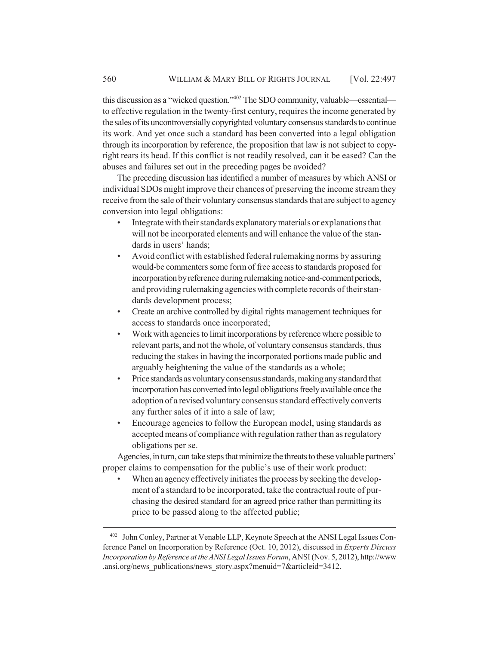this discussion as a "wicked question."402 The SDO community, valuable—essential to effective regulation in the twenty-first century, requires the income generated by the sales of its uncontroversially copyrighted voluntary consensus standards to continue its work. And yet once such a standard has been converted into a legal obligation through its incorporation by reference, the proposition that law is not subject to copyright rears its head. If this conflict is not readily resolved, can it be eased? Can the abuses and failures set out in the preceding pages be avoided?

The preceding discussion has identified a number of measures by which ANSI or individual SDOs might improve their chances of preserving the income stream they receive from the sale of their voluntary consensus standards that are subject to agency conversion into legal obligations:

- Integrate with their standards explanatory materials or explanations that will not be incorporated elements and will enhance the value of the standards in users' hands;
- Avoid conflict with established federal rulemaking norms by assuring would-be commenters some form of free access to standards proposed for incorporation by reference during rulemaking notice-and-comment periods, and providing rulemaking agencies with complete records of their standards development process;
- Create an archive controlled by digital rights management techniques for access to standards once incorporated;
- Work with agencies to limit incorporations by reference where possible to relevant parts, and not the whole, of voluntary consensus standards, thus reducing the stakes in having the incorporated portions made public and arguably heightening the value of the standards as a whole;
- Price standards as voluntary consensus standards, making any standard that incorporation has converted into legal obligations freely available once the adoption of a revised voluntary consensus standard effectively converts any further sales of it into a sale of law;
- Encourage agencies to follow the European model, using standards as accepted means of compliance with regulation rather than as regulatory obligations per se.

Agencies, in turn, can take steps that minimize the threats to these valuable partners' proper claims to compensation for the public's use of their work product:

• When an agency effectively initiates the process by seeking the development of a standard to be incorporated, take the contractual route of purchasing the desired standard for an agreed price rather than permitting its price to be passed along to the affected public;

<sup>402</sup> John Conley, Partner at Venable LLP, Keynote Speech at the ANSI Legal Issues Conference Panel on Incorporation by Reference (Oct. 10, 2012), discussed in *Experts Discuss Incorporation by Reference at the ANSI Legal Issues Forum*, ANSI (Nov. 5, 2012), http://www .ansi.org/news\_publications/news\_story.aspx?menuid=7&articleid=3412.